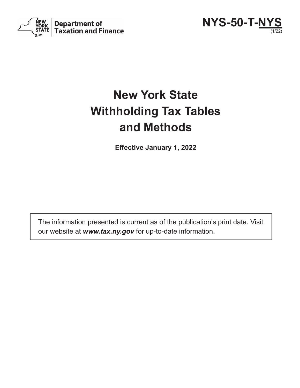



# **New York State Withholding Tax Tables and Methods**

**Effective January 1, 2022**

The information presented is current as of the publication's print date. Visit our website at *www.tax.ny.gov* for up-to-date information.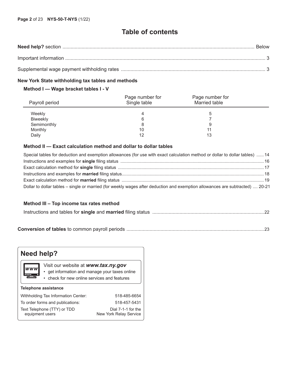# **Table of contents**

#### **New York State withholding tax tables and methods**

### **Method I — Wage bracket tables I - V**

| Payroll period  | Page number for<br>Single table | Page number for<br>Married table |  |
|-----------------|---------------------------------|----------------------------------|--|
| Weekly          | 4                               |                                  |  |
| <b>Biweekly</b> | 6                               |                                  |  |
| Semimonthly     | 8                               | 9                                |  |
| Monthly         | 10                              | 11                               |  |
| Daily           | 12                              | 13                               |  |

### **Method II — Exact calculation method and dollar to dollar tables**

| Special tables for deduction and exemption allowances (for use with exact calculation method or dollar to dollar tables)  14  |  |
|-------------------------------------------------------------------------------------------------------------------------------|--|
|                                                                                                                               |  |
|                                                                                                                               |  |
|                                                                                                                               |  |
|                                                                                                                               |  |
| Dollar to dollar tables - single or married (for weekly wages after deduction and exemption allowances are subtracted)  20-21 |  |

#### **Method III – Top income tax rates method**

|--|--|

**Conversion of tables** to common payroll periods .....................................................................................................23

| <b>Need help?</b>                              |                                                                                                                                       |  |  |  |  |  |  |  |  |  |  |
|------------------------------------------------|---------------------------------------------------------------------------------------------------------------------------------------|--|--|--|--|--|--|--|--|--|--|
| <b>WWW</b>                                     | Visit our website at www.tax.ny.gov<br>• get information and manage your taxes online<br>• check for new online services and features |  |  |  |  |  |  |  |  |  |  |
| <b>Telephone assistance</b>                    |                                                                                                                                       |  |  |  |  |  |  |  |  |  |  |
| Withholding Tax Information Center:            | 518-485-6654                                                                                                                          |  |  |  |  |  |  |  |  |  |  |
| To order forms and publications:               | 518-457-5431                                                                                                                          |  |  |  |  |  |  |  |  |  |  |
| Text Telephone (TTY) or TDD<br>equipment users | Dial 7-1-1 for the<br>New York Relay Service                                                                                          |  |  |  |  |  |  |  |  |  |  |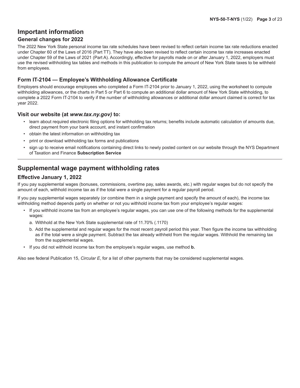# **Important information**

### **General changes for 2022**

The 2022 New York State personal income tax rate schedules have been revised to reflect certain income tax rate reductions enacted under Chapter 60 of the Laws of 2016 (Part TT). They have also been revised to reflect certain income tax rate increases enacted under Chapter 59 of the Laws of 2021 (Part A). Accordingly, effective for payrolls made on or after January 1, 2022, employers must use the revised withholding tax tables and methods in this publication to compute the amount of New York State taxes to be withheld from employees.

### **Form IT-2104 — Employee's Withholding Allowance Certificate**

Employers should encourage employees who completed a Form IT-2104 prior to January 1, 2022, using the worksheet to compute withholding allowances, or the charts in Part 5 or Part 6 to compute an additional dollar amount of New York State withholding, to complete a 2022 Form IT-2104 to verify if the number of withholding allowances or additional dollar amount claimed is correct for tax year 2022.

#### **Visit our website (at** *www.tax.ny.gov)* **to:**

- learn about required electronic filing options for withholding tax returns; benefits include automatic calculation of amounts due, direct payment from your bank account, and instant confirmation
- obtain the latest information on withholding tax
- print or download withholding tax forms and publications
- sign up to receive email notifications containing direct links to newly posted content on our website through the NYS Department of Taxation and Finance **Subscription Service**

# **Supplemental wage payment withholding rates**

### **Effective January 1, 2022**

If you pay supplemental wages (bonuses, commissions, overtime pay, sales awards, etc.) with regular wages but do not specify the amount of each, withhold income tax as if the total were a single payment for a regular payroll period.

If you pay supplemental wages separately (or combine them in a single payment and specify the amount of each), the income tax withholding method depends partly on whether or not you withhold income tax from your employee's regular wages:

- If you withhold income tax from an employee's regular wages, you can use one of the following methods for the supplemental wages:
	- a. Withhold at the New York State supplemental rate of 11.70% (.1170)
	- b. Add the supplemental and regular wages for the most recent payroll period this year. Then figure the income tax withholding as if the total were a single payment. Subtract the tax already withheld from the regular wages. Withhold the remaining tax from the supplemental wages.
- If you did not withhold income tax from the employee's regular wages, use method **b.**

Also see federal Publication 15, *Circular E*, for a list of other payments that may be considered supplemental wages.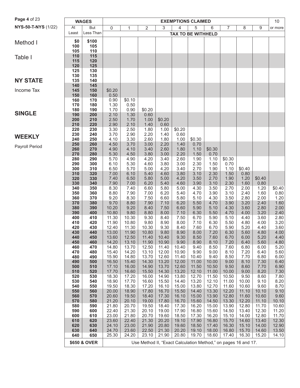| Page 4 of 23        |            |              | <b>EXEMPTIONS CLAIMED</b> |                |                                                                |                |                           |                |                |                |                |                |               |
|---------------------|------------|--------------|---------------------------|----------------|----------------------------------------------------------------|----------------|---------------------------|----------------|----------------|----------------|----------------|----------------|---------------|
|                     |            | <b>WAGES</b> |                           |                |                                                                |                |                           |                |                |                |                |                | 10            |
| NYS-50-T-NYS (1/22) | At         | <b>But</b>   | 0                         | 1              | 2                                                              | 3              | $\overline{4}$            | 5              | 6              | 7              | 8              | 9              | or more       |
|                     | Least      | Less Than    |                           |                |                                                                |                | <b>TAX TO BE WITHHELD</b> |                |                |                |                |                |               |
|                     | \$0        | \$100        |                           |                |                                                                |                |                           |                |                |                |                |                |               |
| Method I            | 100        | 105          |                           |                |                                                                |                |                           |                |                |                |                |                |               |
|                     | 105        | 110          |                           |                |                                                                |                |                           |                |                |                |                |                |               |
| Table I             | 110        | 115          |                           |                |                                                                |                |                           |                |                |                |                |                |               |
|                     | 115        | 120          |                           |                |                                                                |                |                           |                |                |                |                |                |               |
|                     | 120        | 125          |                           |                |                                                                |                |                           |                |                |                |                |                |               |
|                     | 125        | 130          |                           |                |                                                                |                |                           |                |                |                |                |                |               |
|                     | 130        | 135          |                           |                |                                                                |                |                           |                |                |                |                |                |               |
| <b>NY STATE</b>     | 135<br>140 | 140<br>145   |                           |                |                                                                |                |                           |                |                |                |                |                |               |
| Income Tax          | 145        | 150          | \$0.20                    |                |                                                                |                |                           |                |                |                |                |                |               |
|                     | 150        | 160          | 0.50                      |                |                                                                |                |                           |                |                |                |                |                |               |
|                     | 160        | 170          | 0.90                      | \$0.10         |                                                                |                |                           |                |                |                |                |                |               |
|                     | 170        | 180          | 1.30                      | 0.50           |                                                                |                |                           |                |                |                |                |                |               |
|                     | 180        | 190          | 1.70                      | 0.90           | \$0.20                                                         |                |                           |                |                |                |                |                |               |
| <b>SINGLE</b>       | 190        | 200          | 2.10                      | 1.30           | 0.60                                                           |                |                           |                |                |                |                |                |               |
|                     | 200        | 210          | 2.50                      | 1.70           | 1.00                                                           | \$0.20         |                           |                |                |                |                |                |               |
|                     | 210        | 220          | 2.90                      | 2.10           | 1.40                                                           | 0.60           |                           |                |                |                |                |                |               |
|                     | 220<br>230 | 230<br>240   | 3.30<br>3.70              | 2.50<br>2.90   | 1.80<br>2.20                                                   | 1.00<br>1.40   | \$0.20<br>0.60            |                |                |                |                |                |               |
| <b>WEEKLY</b>       | 240        | 250          | 4.10                      | 3.30           | 2.60                                                           | 1.80           | 1.00                      | \$0.30         |                |                |                |                |               |
|                     | 250        | 260          | 4.50                      | 3.70           | 3.00                                                           | 2.20           | 1.40                      | 0.70           |                |                |                |                |               |
| Payroll Period      | 260        | 270          | 4.90                      | 4.10           | 3.40                                                           | 2.60           | 1.80                      | 1.10           | \$0.30         |                |                |                |               |
|                     | 270        | 280          | 5.30                      | 4.50           | 3.80                                                           | 3.00           | 2.20                      | 1.50           | 0.70           |                |                |                |               |
|                     | 280        | 290          | 5.70                      | 4.90           | 4.20                                                           | 3.40           | 2.60                      | 1.90           | 1.10           | \$0.30         |                |                |               |
|                     | 290        | 300          | 6.10                      | 5.30           | 4.60                                                           | 3.80           | 3.00                      | 2.30           | 1.50           | 0.70           |                |                |               |
|                     | 300<br>310 | 310<br>320   | 6.50                      | 5.70<br>6.10   | 5.00<br>5.40                                                   | 4.20<br>4.60   | 3.40<br>3.80              | 2.70<br>3.10   | 1.90<br>2.30   | 1.10<br>1.50   | \$0.40<br>0.80 |                |               |
|                     | 320        | 330          | 7.00<br>7.40              | 6.50           | 5.80                                                           | 5.00           | 4.20                      | 3.50           | 2.70           | 1.90           | 1.20           | \$0.40         |               |
|                     | 330        | 340          | 7.90                      | 7.00           | 6.20                                                           | 5.40           | 4.60                      | 3.90           | 3.10           | 2.30           | 1.60           | 0.80           |               |
|                     | 340        | 350          | 8.30                      | 7.40           | 6.60                                                           | 5.80           | 5.00                      | 4.30           | 3.50           | 2.70           | 2.00           | 1.20           | \$0.40        |
|                     | 350        | 360          | 8.80                      | 7.90           | 7.00                                                           | 6.20           | 5.40                      | 4.70           | 3.90           | 3.10           | 2.40           | 1.60           | 0.80          |
|                     | 360        | 370          | 9.20                      | 8.30           | 7.50                                                           | 6.60           | 5.80                      | 5.10           | 4.30           | 3.50           | 2.80           | 2.00           | 1.20          |
|                     | 370        | 380          | 9.70                      | 8.80           | 7.90                                                           | 7.10           | 6.20                      | 5.50           | 4.70           | 3.90           | 3.20           | 2.40           | 1.60          |
|                     | 380        | 390          | 10.20                     | 9.20           | 8.40                                                           | 7.50           | 6.60                      | 5.90           | 5.10           | 4.30           | 3.60           | 2.80           | 2.00          |
|                     | 390        | 400          | 10.80                     | 9.80           | 8.80                                                           | 8.00           | 7.10                      | 6.30           | 5.50           | 4.70           | 4.00           | 3.20           | 2.40          |
|                     | 400<br>410 | 410<br>420   | 11.30<br>11.90            | 10.30<br>10.80 | 9.30<br>9.80                                                   | 8.40<br>8.90   | 7.50<br>8.00              | 6.70<br>7.10   | 5.90<br>6.30   | 5.10<br>5.50   | 4.40<br>4.80   | 3.60<br>4.00   | 2.80<br>3.20  |
|                     | 420        | 430          | 12.40                     | 11.30          | 10.30                                                          | 9.30           | 8.40                      | 7.60           | 6.70           | 5.90           | 5.20           | 4.40           | 3.60          |
|                     | 430        | 440          | 13.00                     | 11.90          | 10.80                                                          | 9.80           | 8.90                      | 8.00           | 7.20           | 6.30           | 5.60           | 4.80           | 4.00          |
|                     | 440        | 450          | 13.60                     | 12.50          | 11.40                                                          | 10.40          | 9.30                      | 8.50           | 7.60           | 6.70           | 6.00           | 5.20           | 4.40          |
|                     | 450        | 460          | 14.20                     | 13.10          | 11.90                                                          | 10.90          | 9.90                      | 8.90           | 8.10           | 7.20           | 6.40           | 5.60           | 4.80          |
|                     | 460        | 470          | 14.80                     | 13.70          | 12.50                                                          | 11.40          | 10.40                     | 9.40           | 8.50           | 7.60           | 6.80           | 6.00           | 5.20          |
|                     | 470<br>480 | 480<br>490   | 15.40<br>15.90            | 14.20<br>14.80 | 13.10<br>13.70                                                 | 12.00<br>12.60 | 10.90<br>11.40            | 9.90           | 9.00<br>9.40   | 8.10<br>8.50   | 7.20<br>7.70   | 6.40<br>6.80   | 5.60<br>6.00  |
|                     | 490        | 500          | 16.50                     | 15.40          | 14.30                                                          | 13.20          | 12.00                     | 10.40<br>11.00 | 10.00          | 9.00           | 8.10           | 7.30           | 6.40          |
|                     | 500        | 510          | 17.10                     | 16.00          | 14.90                                                          | 13.70          | 12.60                     | 11.50          | 10.50          | 9.50           | 8.60           | 7.70           | 6.90          |
|                     | 510        | 520          | 17.70                     | 16.60          | 15.50                                                          | 14.30          | 13.20                     | 12.10          | 11.00          | 10.00          | 9.00           | 8.20           | 7.30          |
|                     | 520        | 530          | 18.30                     | 17.20          | 16.00                                                          | 14.90          | 13.80                     | 12.70          | 11.50          | 10.50          | 9.50           | 8.60           | 7.80          |
|                     | 530        | 540          | 18.90                     | 17.70          | 16.60                                                          | 15.50          | 14.40                     | 13.20          | 12.10          | 11.00          | 10.00          | 9.10           | 8.20          |
|                     | 540        | 550          | 19.50                     | 18.30          | 17.20                                                          | 16.10          | 15.00                     | 13.80          | 12.70          | 11.60          | 10.60          | 9.60           | 8.70          |
|                     | 550        | 560          | 20.00                     | 18.90          | 17.80                                                          | 16.70          | 15.50                     | 14.40          | 13.30          | 12.20          | 11.10          | 10.10          | 9.10          |
|                     | 560<br>570 | 570<br>580   | 20.60<br>21.20            | 19.50<br>20.10 | 18.40<br>19.00                                                 | 17.30<br>17.80 | 16.10<br>16.70            | 15.00<br>15.60 | 13.90<br>14.50 | 12.80<br>13.30 | 11.60<br>12.20 | 10.60<br>11.10 | 9.60<br>10.10 |
|                     | 580        | 590          | 21.80                     | 20.70          | 19.50                                                          | 18.40          | 17.30                     | 16.20          | 15.00          | 13.90          | 12.80          | 11.70          | 10.60         |
|                     | 590        | 600          | 22.40                     | 21.30          | 20.10                                                          | 19.00          | 17.90                     | 16.80          | 15.60          | 14.50          | 13.40          | 12.30          | 11.20         |
|                     | 600        | 610          | 23.00                     | 21.80          | 20.70                                                          | 19.60          | 18.50                     | 17.30          | 16.20          | 15.10          | 14.00          | 12.80          | 11.70         |
|                     | 610        | 620          | 23.60                     | 22.40          | 21.30                                                          | 20.20          | 19.10                     | 17.90          | 16.80          | 15.70          | 14.60          | 13.40          | 12.30         |
|                     | 620        | 630          | 24.10                     | 23.00          | 21.90                                                          | 20.80          | 19.60                     | 18.50          | 17.40          | 16.30          | 15.10          | 14.00          | 12.90         |
|                     | 630        | 640          | 24.70                     | 23.60          | 22.50                                                          | 21.30          | 20.20                     | 19.10          | 18.00          | 16.80          | 15.70          | 14.60          | 13.50         |
|                     | 640        | 650          | 25.30                     | 24.20          | 23.10                                                          | 21.90          | 20.80                     | 19.70          | 18.60          | 17.40          | 16.30          | 15.20          | 14.10         |
|                     |            | \$650 & OVER |                           |                | Use Method II, "Exact Calculation Method," on pages 16 and 17. |                |                           |                |                |                |                |                |               |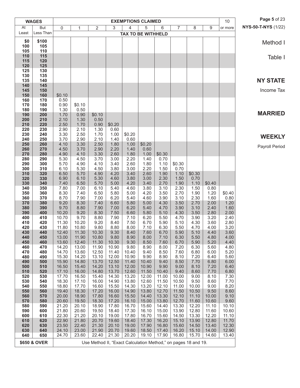|            | <b>WAGES</b>            |                |                |                                                                |                |                | <b>EXEMPTIONS CLAIMED</b> |                |                |                |                | 10             | Page 5 of 23               |
|------------|-------------------------|----------------|----------------|----------------------------------------------------------------|----------------|----------------|---------------------------|----------------|----------------|----------------|----------------|----------------|----------------------------|
| At         | <b>But</b>              | 0              | 1              | $\overline{2}$                                                 | 3              | 4              | 5                         | 6              | $\overline{7}$ | 8              | 9              | or more        | <b>NYS-50-T-NYS (1/22)</b> |
| Least      | Less Than               |                |                |                                                                |                |                | <b>TAX TO BE WITHHELD</b> |                |                |                |                |                |                            |
| \$0        | \$100                   |                |                |                                                                |                |                |                           |                |                |                |                |                | Method I                   |
| 100<br>105 | 105<br>110              |                |                |                                                                |                |                |                           |                |                |                |                |                |                            |
| 110        | 115                     |                |                |                                                                |                |                |                           |                |                |                |                |                | Table I                    |
| 115        | 120                     |                |                |                                                                |                |                |                           |                |                |                |                |                |                            |
| 120<br>125 | 125<br>130              |                |                |                                                                |                |                |                           |                |                |                |                |                |                            |
| 130        | 135                     |                |                |                                                                |                |                |                           |                |                |                |                |                |                            |
| 135        | 140                     |                |                |                                                                |                |                |                           |                |                |                |                |                | <b>NY STATE</b>            |
| 140<br>145 | 145<br>150              |                |                |                                                                |                |                |                           |                |                |                |                |                | Income Tax                 |
| 150        | 160                     | \$0.10         |                |                                                                |                |                |                           |                |                |                |                |                |                            |
| 160        | 170                     | 0.50           |                |                                                                |                |                |                           |                |                |                |                |                |                            |
| 170<br>180 | 180<br>190              | 0.90<br>1.30   | \$0.10<br>0.50 |                                                                |                |                |                           |                |                |                |                |                |                            |
| 190        | 200                     | 1.70           | 0.90           | \$0.10                                                         |                |                |                           |                |                |                |                |                | <b>MARRIED</b>             |
| 200        | 210                     | 2.10           | 1.30           | 0.50                                                           |                |                |                           |                |                |                |                |                |                            |
| 210<br>220 | 220<br>230              | 2.50<br>2.90   | 1.70<br>2.10   | 0.90<br>1.30                                                   | \$0.20<br>0.60 |                |                           |                |                |                |                |                |                            |
| 230        | 240                     | 3.30           | 2.50           | 1.70                                                           | 1.00           | \$0.20         |                           |                |                |                |                |                |                            |
| 240        | 250                     | 3.70           | 2.90           | 2.10                                                           | 1.40           | 0.60           |                           |                |                |                |                |                | <b>WEEKLY</b>              |
| 250<br>260 | 260<br>270              | 4.10<br>4.50   | 3.30<br>3.70   | 2.50<br>2.90                                                   | 1.80<br>2.20   | 1.00<br>1.40   | \$0.20<br>0.60            |                |                |                |                |                | Payroll Period             |
| 270        | 280                     | 4.90           | 4.10           | 3.30                                                           | 2.60           | 1.80           | 1.00                      | \$0.30         |                |                |                |                |                            |
| 280        | 290                     | 5.30           | 4.50           | 3.70                                                           | 3.00           | 2.20           | 1.40                      | 0.70           |                |                |                |                |                            |
| 290<br>300 | 300<br>310              | 5.70<br>6.10   | 4.90<br>5.30   | 4.10<br>4.50                                                   | 3.40<br>3.80   | 2.60<br>3.00   | 1.80<br>2.20              | 1.10<br>1.50   | \$0.30<br>0.70 |                |                |                |                            |
| 310        | 320                     | 6.50           | 5.70           | 4.90                                                           | 4.20           | 3.40           | 2.60                      | 1.90           | 1.10           | \$0.30         |                |                |                            |
| 320        | 330                     | 6.90           | 6.10           | 5.30                                                           | 4.60           | 3.80           | 3.00                      | 2.30           | 1.50           | 0.70           |                |                |                            |
| 330<br>340 | 340<br>350              | 7.40<br>7.80   | 6.50<br>7.00   | 5.70<br>6.10                                                   | 5.00<br>5.40   | 4.20<br>4.60   | 3.40<br>3.80              | 2.70<br>3.10   | 1.90<br>2.30   | 1.10<br>1.50   | \$0.40<br>0.80 |                |                            |
| 350        | 360                     | 8.30           | 7.40           | 6.50                                                           | 5.80           | 5.00           | 4.20                      | 3.50           | 2.70           | 1.90           | 1.20           | \$0.40         |                            |
| 360        | 370                     | 8.70           | 7.90           | 7.00                                                           | 6.20           | 5.40           | 4.60                      | 3.90           | 3.10           | 2.30           | 1.60           | 0.80           |                            |
| 370<br>380 | 380<br>390              | 9.20<br>9.70   | 8.30<br>8.80   | 7.40<br>7.90                                                   | 6.60<br>7.00   | 5.80<br>6.20   | 5.00<br>5.40              | 4.30<br>4.70   | 3.50<br>3.90   | 2.70<br>3.10   | 2.00<br>2.40   | 1.20<br>1.60   |                            |
| 390        | 400                     | 10.20          | 9.20           | 8.30                                                           | 7.50           | 6.60           | 5.80                      | 5.10           | 4.30           | 3.50           | 2.80           | 2.00           |                            |
| 400        | 410                     | 10.70          | 9.70           | 8.80                                                           | 7.90           | 7.10           | 6.20                      | 5.50           | 4.70           | 3.90           | 3.20           | 2.40           |                            |
| 410<br>420 | 420<br>430              | 11.30<br>11.80 | 10.20<br>10.80 | 9.20<br>9.80                                                   | 8.40<br>8.80   | 7.50<br>8.00   | 6.70<br>7.10              | 5.90<br>6.30   | 5.10<br>5.50   | 4.30<br>4.70   | 3.60<br>4.00   | 2.80<br>3.20   |                            |
| 430        | 440                     | 12.40          | 11.30          | 10.30                                                          | 9.30           | 8.40           | 7.60                      | 6.70           | 5.90           | 5.10           | 4.40           | 3.60           |                            |
| 440        | 450                     | 13.00          | 11.90          | 10.80                                                          | 9.80           | 8.90           | 8.00                      | 7.10           | 6.30           | 5.50           | 4.80           | 4.00           |                            |
| 450<br>460 | 460<br>470              | 13.60<br>14.20 | 12.40<br>13.00 | 11.30<br>11.90                                                 | 10.30<br>10.90 | 9.30<br>9.80   | 8.50<br>8.90              | 7.60<br>8.00   | 6.70<br>7.20   | 5.90<br>6.30   | 5.20<br>5.60   | 4.40<br>4.80   |                            |
| 470        | 480                     | 14.70          | 13.60          | 12.50                                                          | 11.40          | 10.40          | 9.40                      | 8.50           | 7.60           | 6.80           | 6.00           | 5.20           |                            |
| 480        | 490                     | 15.30          | 14.20          | 13.10                                                          | 12.00          | 10.90          | 9.90                      | 8.90           | 8.10           | 7.20           | 6.40           | 5.60           |                            |
| 490<br>500 | 500<br>510              | 15.90<br>16.50 | 14.80<br>15.40 | 13.70<br>14.20                                                 | 12.50<br>13.10 | 11.40<br>12.00 | 10.40<br>10.90            | 9.40<br>9.90   | 8.50<br>9.00   | 7.70<br>8.10   | 6.80<br>7.20   | 6.00<br>6.40   |                            |
| 510        | 520                     | 17.10          | 16.00          | 14.80                                                          | 13.70          | 12.60          | 11.50                     | 10.40          | 9.40           | 8.60           | 7.70           | 6.80           |                            |
| 520        | 530                     | 17.70          | 16.50          | 15.40                                                          | 14.30          | 13.20          | 12.00                     | 11.00          | 10.00          | 9.00           | 8.10           | 7.30           |                            |
| 530<br>540 | 540<br>550              | 18.30<br>18.80 | 17.10<br>17.70 | 16.00<br>16.60                                                 | 14.90<br>15.50 | 13.80<br>14.30 | 12.60<br>13.20            | 11.50<br>12.10 | 10.50<br>11.00 | 9.50<br>10.00  | 8.60<br>9.00   | 7.70<br>8.20   |                            |
| 550        | 560                     | 19.40          | 18.30          | 17.20                                                          | 16.00          | 14.90          | 13.80                     | 12.70          | 11.50          | 10.50          | 9.50           | 8.60           |                            |
| 560        | 570                     | 20.00          | 18.90          | 17.80                                                          | 16.60          | 15.50          | 14.40                     | 13.30          | 12.10          | 11.10          | 10.00          | 9.10           |                            |
| 570<br>580 | 580<br>590              | 20.60<br>21.20 | 19.50<br>20.10 | 18.30<br>18.90                                                 | 17.20<br>17.80 | 16.10<br>16.70 | 15.00<br>15.60            | 13.80<br>14.40 | 12.70<br>13.30 | 11.60<br>12.20 | 10.60<br>11.10 | 9.60<br>10.10  |                            |
| 590        | 600                     | 21.80          | 20.60          | 19.50                                                          | 18.40          | 17.30          | 16.10                     | 15.00          | 13.90          | 12.80          | 11.60          | 10.60          |                            |
| 600        | 610                     | 22.30          | 21.20          | 20.10                                                          | 19.00          | 17.80          | 16.70                     | 15.60          | 14.50          | 13.30          | 12.20          | 11.10          |                            |
| 610<br>620 | 620<br>630              | 22.90<br>23.50 | 21.80<br>22.40 | 20.70<br>21.30                                                 | 19.60<br>20.10 | 18.40<br>19.00 | 17.30<br>17.90            | 16.20<br>16.80 | 15.10<br>15.60 | 13.90<br>14.50 | 12.80<br>13.40 | 11.70<br>12.30 |                            |
| 630        | 640                     | 24.10          | 23.00          | 21.90                                                          | 20.70          | 19.60          | 18.50                     | 17.40          | 16.20          | 15.10          | 14.00          | 12.90          |                            |
| 640        | 650                     | 24.70          | 23.60          | 22.40                                                          | 21.30          | 20.20          | 19.10                     | 17.90          | 16.80          | 15.70          | 14.60          | 13.40          |                            |
|            | <b>\$650 &amp; OVER</b> |                |                | Use Method II, "Exact Calculation Method," on pages 18 and 19. |                |                |                           |                |                |                |                |                |                            |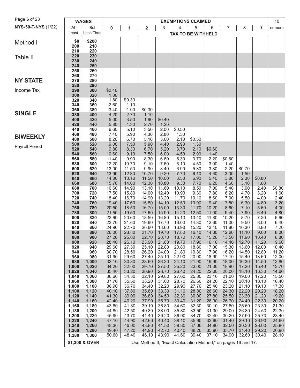| NYS-50-T-NYS (1/22)<br>At<br>But<br>3<br>4<br>5<br>6<br>7<br>0<br>$\overline{2}$<br>8<br>9<br>1<br>or more<br>Less Than<br>Least<br><b>TAX TO BE WITHHELD</b><br>\$200<br>\$0<br>Method I<br>210<br>200<br>210<br>220<br>220<br>230<br>Table II<br>230<br>240<br>240<br>250<br>250<br>260<br>270<br>260<br><b>NY STATE</b><br>270<br>280<br>280<br>290<br>290<br>Income Tax<br>300<br>\$0.40<br>300<br>320<br>1.00<br>320<br>340<br>1.80<br>\$0.30<br>340<br>360<br>2.60<br>1.10<br>360<br>380<br>1.90<br>\$0.30<br>3.40<br><b>SINGLE</b><br>380<br>400<br>4.20<br>2.70<br>1.10<br>420<br>1.90<br>400<br>5.00<br>3.50<br>\$0.40<br>420<br>5.80<br>4.30<br>2.70<br>1.20<br>440<br>440<br>3.50<br>460<br>6.60<br>5.10<br>2.00<br>\$0.50<br>460<br>480<br>5.90<br>4.30<br>2.80<br>1.30<br>7.40<br><b>BIWEEKLY</b><br>480<br>500<br>8.20<br>6.70<br>5.10<br>2.10<br>3.60<br>\$0.50<br>500<br>7.50<br>5.90<br>2.90<br>520<br>9.00<br>4.40<br>1.30<br>Payroll Period<br>520<br>8.30<br>6.70<br>540<br>9.80<br>5.20<br>3.70<br>2.10<br>\$0.60<br>7.50<br>540<br>560<br>9.10<br>4.50<br>1.40<br>10.60<br>6.00<br>2.90<br>560<br>9.90<br>8.30<br>2.20<br>580<br>11.40<br>6.80<br>5.30<br>3.70<br>\$0.60<br>580<br>600<br>12.20<br>10.70<br>9.10<br>7.60<br>6.10<br>4.50<br>3.00<br>1.40<br>600<br>620<br>13.00<br>11.50<br>9.90<br>6.90<br>3.80<br>2.20<br>\$0.70<br>8.40<br>5.30<br>620<br>12.30<br>10.70<br>640<br>13.90<br>9.20<br>7.70<br>4.60<br>3.00<br>1.50<br>6.10<br>640<br>660<br>14.80<br>13.10<br>11.50<br>10.00<br>8.50<br>6.90<br>5.40<br>3.80<br>2.30<br>\$0.80<br>660<br>680<br>15.70<br>14.00<br>12.30<br>10.80<br>9.30<br>6.20<br>4.60<br>3.10<br>1.60<br>7.70<br>680<br>13.10<br>7.00<br>700<br>16.60<br>14.90<br>11.60<br>10.10<br>8.50<br>5.40<br>3.90<br>2.40<br>\$0.80<br>720<br>700<br>15.80<br>14.00<br>12.40<br>10.90<br>9.30<br>7.80<br>6.20<br>4.70<br>3.20<br>1.60<br>17.50<br>720<br>740<br>18.40<br>16.70<br>14.90<br>13.20<br>11.70<br>8.60<br>7.00<br>5.50<br>4.00<br>2.40<br>10.10<br>3.20<br>740<br>19.40<br>17.60<br>15.80<br>14.10<br>12.50<br>10.90<br>9.40<br>760<br>7.80<br>6.30<br>4.80<br>20.50<br>13.30<br>4.00<br>760<br>780<br>18.50<br>16.70<br>15.00<br>11.70<br>10.20<br>8.60<br>7.10<br>5.60<br>780<br>800<br>21.50<br>19.50<br>17.60<br>15.90<br>14.20<br>12.50<br>11.00<br>7.90<br>4.80<br>9.40<br>6.40<br>5.60<br>800<br>22.60<br>18.50<br>820<br>20.60<br>16.80<br>15.10<br>13.40<br>11.80<br>10.20<br>8.70<br>7.20<br>6.40<br>820<br>23.70<br>21.60<br>19.60<br>17.70<br>16.00<br>14.30<br>12.60<br>11.00<br>9.50<br>8.00<br>840<br>840<br>20.60<br>16.90<br>13.40<br>11.80<br>7.20<br>860<br>24.90<br>22.70<br>18.60<br>15.20<br>10.30<br>8.80<br>8.00<br>860<br>880<br>26.00<br>23.80<br>21.70<br>17.80<br>14.30<br>19.70<br>16.10<br>12.60<br>11.10<br>9.60<br>880<br>900<br>27.20<br>25.00<br>22.70<br>20.70<br>18.70<br>17.00<br>15.20<br>13.50<br>11.90<br>10.40<br>8.80<br>900<br>920<br>28.40<br>26.10<br>23.90<br>21.80<br>19.70<br>17.90<br>12.70<br>11.20<br>9.60<br>16.10<br>14.40<br>920<br>29.60<br>25.10<br>22.80<br>13.60<br>940<br>27.30<br>20.80<br>18.80<br>17.00<br>15.30<br>12.00<br>10.40<br>21.80<br>940<br>960<br>30.70<br>28.50<br>26.20<br>24.00<br>19.80<br>17.90<br>16.20<br>14.50<br>12.80<br>11.20<br>25.10<br>20.90<br>960<br>980<br>31.90<br>29.60<br>27.40<br>22.90<br>18.90<br>17.10<br>15.40<br>13.60<br>12.00<br>980<br>1,000<br>33.10<br>30.80<br>28.60<br>26.30<br>24.10<br>19.90<br>18.00<br>16.30<br>12.80<br>21.90<br>14.50<br>1,000<br>1,020<br>29.70<br>27.50<br>25.20<br>18.90<br>13.70<br>34.20<br>32.00<br>23.00<br>21.00<br>17.20<br>15.40<br>1,020<br>1,040<br>35.40<br>33.20<br>30.90<br>28.70<br>26.40<br>24.20<br>22.00<br>20.00<br>18.10<br>16.30<br>14.60<br>1,040<br>32.10<br>29.80<br>23.10<br>1,060<br>36.60<br>34.30<br>27.60<br>25.30<br>21.00<br>19.00<br>17.20<br>15.50<br>31.00<br>28.70<br>22.10<br>1,060<br>1,080<br>37.70<br>35.50<br>33.20<br>26.50<br>24.20<br>20.10<br>18.10<br>16.40<br>32.20<br>23.20<br>21.10<br>1,080<br>1,100<br>38.90<br>36.70<br>34.40<br>29.90<br>27.70<br>25.40<br>19.10<br>17.30<br>1,120<br>35.60<br>33.30<br>31.10<br>28.80<br>26.60<br>24.30<br>22.20<br>20.20<br>18.20<br>1,100<br>40.10<br>37.80<br>36.80<br>32.30<br>27.80<br>25.50<br>23.30<br>1,120<br>1,140<br>41.30<br>39.00<br>34.50<br>30.00<br>21.20<br>19.20<br>1,140<br>1,160<br>42.40<br>40.20<br>37.90<br>35.70<br>33.40<br>31.20<br>28.90<br>26.70<br>24.40<br>22.30<br>20.20<br>39.10<br>21.30<br>1,160<br>1,180<br>43.60<br>41.30<br>36.80<br>34.60<br>32.30<br>30.10<br>27.80<br>25.60<br>23.30<br>29.00<br>1,180<br>1,200<br>44.80<br>42.50<br>40.30<br>38.00<br>35.80<br>33.50<br>31.30<br>26.80<br>24.50<br>22.30<br>30.20<br>27.90<br>25.70<br>1,200<br>1,220<br>45.90<br>43.70<br>41.40<br>39.20<br>36.90<br>34.70<br>32.40<br>23.40<br>1,240<br>47.10<br>44.90<br>42.60<br>35.90<br>33.60<br>31.40<br>29.10<br>26.90<br>24.60<br>1,220<br>40.40<br>38.10<br>32.50<br>25.80<br>1,240<br>1,260<br>48.30<br>46.00<br>43.80<br>41.50<br>39.30<br>37.00<br>34.80<br>30.30<br>28.00<br>1,280<br>49.40<br>47.20<br>44.90<br>42.70<br>33.70<br>29.20<br>1,260<br>40.40<br>38.20<br>35.90<br>31.40<br>26.90<br>1,300<br>48.40<br>43.90<br>1,280<br>50.60<br>46.10<br>41.60<br>39.40<br>37.10<br>34.90<br>32.60<br>30.40<br>28.10<br>\$1,300 & OVER<br>Use Method II, "Exact Calculation Method," on pages 16 and 17. | Page 6 of 23 | <b>WAGES</b> |  |  | <b>EXEMPTIONS CLAIMED</b> |  |  | 10 |
|----------------------------------------------------------------------------------------------------------------------------------------------------------------------------------------------------------------------------------------------------------------------------------------------------------------------------------------------------------------------------------------------------------------------------------------------------------------------------------------------------------------------------------------------------------------------------------------------------------------------------------------------------------------------------------------------------------------------------------------------------------------------------------------------------------------------------------------------------------------------------------------------------------------------------------------------------------------------------------------------------------------------------------------------------------------------------------------------------------------------------------------------------------------------------------------------------------------------------------------------------------------------------------------------------------------------------------------------------------------------------------------------------------------------------------------------------------------------------------------------------------------------------------------------------------------------------------------------------------------------------------------------------------------------------------------------------------------------------------------------------------------------------------------------------------------------------------------------------------------------------------------------------------------------------------------------------------------------------------------------------------------------------------------------------------------------------------------------------------------------------------------------------------------------------------------------------------------------------------------------------------------------------------------------------------------------------------------------------------------------------------------------------------------------------------------------------------------------------------------------------------------------------------------------------------------------------------------------------------------------------------------------------------------------------------------------------------------------------------------------------------------------------------------------------------------------------------------------------------------------------------------------------------------------------------------------------------------------------------------------------------------------------------------------------------------------------------------------------------------------------------------------------------------------------------------------------------------------------------------------------------------------------------------------------------------------------------------------------------------------------------------------------------------------------------------------------------------------------------------------------------------------------------------------------------------------------------------------------------------------------------------------------------------------------------------------------------------------------------------------------------------------------------------------------------------------------------------------------------------------------------------------------------------------------------------------------------------------------------------------------------------------------------------------------------------------------------------------------------------------------------------------------------------------------------------------------------------------------------------------------------------------------------------------------------------------------------------------------------------------------------------------------------------------------------------------------------------------------------------------------------------------------------------------------------------------------------------------------------------------------------------------------------------------------------------------------------------------------------------------------------------------------------------------------------------------------------------------------------------------------------------------------------------------------------------------------------------------------------------------------------------------------------------------------------------------------------------------------------------------------------------------------------------------------------------------------------------------------------------------------------------------------------------------------------------------------------------------------------------------------------------------------------------------------------|--------------|--------------|--|--|---------------------------|--|--|----|
|                                                                                                                                                                                                                                                                                                                                                                                                                                                                                                                                                                                                                                                                                                                                                                                                                                                                                                                                                                                                                                                                                                                                                                                                                                                                                                                                                                                                                                                                                                                                                                                                                                                                                                                                                                                                                                                                                                                                                                                                                                                                                                                                                                                                                                                                                                                                                                                                                                                                                                                                                                                                                                                                                                                                                                                                                                                                                                                                                                                                                                                                                                                                                                                                                                                                                                                                                                                                                                                                                                                                                                                                                                                                                                                                                                                                                                                                                                                                                                                                                                                                                                                                                                                                                                                                                                                                                                                                                                                                                                                                                                                                                                                                                                                                                                                                                                                                                                                                                                                                                                                                                                                                                                                                                                                                                                                                                                                                                                  |              |              |  |  |                           |  |  |    |
|                                                                                                                                                                                                                                                                                                                                                                                                                                                                                                                                                                                                                                                                                                                                                                                                                                                                                                                                                                                                                                                                                                                                                                                                                                                                                                                                                                                                                                                                                                                                                                                                                                                                                                                                                                                                                                                                                                                                                                                                                                                                                                                                                                                                                                                                                                                                                                                                                                                                                                                                                                                                                                                                                                                                                                                                                                                                                                                                                                                                                                                                                                                                                                                                                                                                                                                                                                                                                                                                                                                                                                                                                                                                                                                                                                                                                                                                                                                                                                                                                                                                                                                                                                                                                                                                                                                                                                                                                                                                                                                                                                                                                                                                                                                                                                                                                                                                                                                                                                                                                                                                                                                                                                                                                                                                                                                                                                                                                                  |              |              |  |  |                           |  |  |    |
|                                                                                                                                                                                                                                                                                                                                                                                                                                                                                                                                                                                                                                                                                                                                                                                                                                                                                                                                                                                                                                                                                                                                                                                                                                                                                                                                                                                                                                                                                                                                                                                                                                                                                                                                                                                                                                                                                                                                                                                                                                                                                                                                                                                                                                                                                                                                                                                                                                                                                                                                                                                                                                                                                                                                                                                                                                                                                                                                                                                                                                                                                                                                                                                                                                                                                                                                                                                                                                                                                                                                                                                                                                                                                                                                                                                                                                                                                                                                                                                                                                                                                                                                                                                                                                                                                                                                                                                                                                                                                                                                                                                                                                                                                                                                                                                                                                                                                                                                                                                                                                                                                                                                                                                                                                                                                                                                                                                                                                  |              |              |  |  |                           |  |  |    |
|                                                                                                                                                                                                                                                                                                                                                                                                                                                                                                                                                                                                                                                                                                                                                                                                                                                                                                                                                                                                                                                                                                                                                                                                                                                                                                                                                                                                                                                                                                                                                                                                                                                                                                                                                                                                                                                                                                                                                                                                                                                                                                                                                                                                                                                                                                                                                                                                                                                                                                                                                                                                                                                                                                                                                                                                                                                                                                                                                                                                                                                                                                                                                                                                                                                                                                                                                                                                                                                                                                                                                                                                                                                                                                                                                                                                                                                                                                                                                                                                                                                                                                                                                                                                                                                                                                                                                                                                                                                                                                                                                                                                                                                                                                                                                                                                                                                                                                                                                                                                                                                                                                                                                                                                                                                                                                                                                                                                                                  |              |              |  |  |                           |  |  |    |
|                                                                                                                                                                                                                                                                                                                                                                                                                                                                                                                                                                                                                                                                                                                                                                                                                                                                                                                                                                                                                                                                                                                                                                                                                                                                                                                                                                                                                                                                                                                                                                                                                                                                                                                                                                                                                                                                                                                                                                                                                                                                                                                                                                                                                                                                                                                                                                                                                                                                                                                                                                                                                                                                                                                                                                                                                                                                                                                                                                                                                                                                                                                                                                                                                                                                                                                                                                                                                                                                                                                                                                                                                                                                                                                                                                                                                                                                                                                                                                                                                                                                                                                                                                                                                                                                                                                                                                                                                                                                                                                                                                                                                                                                                                                                                                                                                                                                                                                                                                                                                                                                                                                                                                                                                                                                                                                                                                                                                                  |              |              |  |  |                           |  |  |    |
|                                                                                                                                                                                                                                                                                                                                                                                                                                                                                                                                                                                                                                                                                                                                                                                                                                                                                                                                                                                                                                                                                                                                                                                                                                                                                                                                                                                                                                                                                                                                                                                                                                                                                                                                                                                                                                                                                                                                                                                                                                                                                                                                                                                                                                                                                                                                                                                                                                                                                                                                                                                                                                                                                                                                                                                                                                                                                                                                                                                                                                                                                                                                                                                                                                                                                                                                                                                                                                                                                                                                                                                                                                                                                                                                                                                                                                                                                                                                                                                                                                                                                                                                                                                                                                                                                                                                                                                                                                                                                                                                                                                                                                                                                                                                                                                                                                                                                                                                                                                                                                                                                                                                                                                                                                                                                                                                                                                                                                  |              |              |  |  |                           |  |  |    |
|                                                                                                                                                                                                                                                                                                                                                                                                                                                                                                                                                                                                                                                                                                                                                                                                                                                                                                                                                                                                                                                                                                                                                                                                                                                                                                                                                                                                                                                                                                                                                                                                                                                                                                                                                                                                                                                                                                                                                                                                                                                                                                                                                                                                                                                                                                                                                                                                                                                                                                                                                                                                                                                                                                                                                                                                                                                                                                                                                                                                                                                                                                                                                                                                                                                                                                                                                                                                                                                                                                                                                                                                                                                                                                                                                                                                                                                                                                                                                                                                                                                                                                                                                                                                                                                                                                                                                                                                                                                                                                                                                                                                                                                                                                                                                                                                                                                                                                                                                                                                                                                                                                                                                                                                                                                                                                                                                                                                                                  |              |              |  |  |                           |  |  |    |
|                                                                                                                                                                                                                                                                                                                                                                                                                                                                                                                                                                                                                                                                                                                                                                                                                                                                                                                                                                                                                                                                                                                                                                                                                                                                                                                                                                                                                                                                                                                                                                                                                                                                                                                                                                                                                                                                                                                                                                                                                                                                                                                                                                                                                                                                                                                                                                                                                                                                                                                                                                                                                                                                                                                                                                                                                                                                                                                                                                                                                                                                                                                                                                                                                                                                                                                                                                                                                                                                                                                                                                                                                                                                                                                                                                                                                                                                                                                                                                                                                                                                                                                                                                                                                                                                                                                                                                                                                                                                                                                                                                                                                                                                                                                                                                                                                                                                                                                                                                                                                                                                                                                                                                                                                                                                                                                                                                                                                                  |              |              |  |  |                           |  |  |    |
|                                                                                                                                                                                                                                                                                                                                                                                                                                                                                                                                                                                                                                                                                                                                                                                                                                                                                                                                                                                                                                                                                                                                                                                                                                                                                                                                                                                                                                                                                                                                                                                                                                                                                                                                                                                                                                                                                                                                                                                                                                                                                                                                                                                                                                                                                                                                                                                                                                                                                                                                                                                                                                                                                                                                                                                                                                                                                                                                                                                                                                                                                                                                                                                                                                                                                                                                                                                                                                                                                                                                                                                                                                                                                                                                                                                                                                                                                                                                                                                                                                                                                                                                                                                                                                                                                                                                                                                                                                                                                                                                                                                                                                                                                                                                                                                                                                                                                                                                                                                                                                                                                                                                                                                                                                                                                                                                                                                                                                  |              |              |  |  |                           |  |  |    |
|                                                                                                                                                                                                                                                                                                                                                                                                                                                                                                                                                                                                                                                                                                                                                                                                                                                                                                                                                                                                                                                                                                                                                                                                                                                                                                                                                                                                                                                                                                                                                                                                                                                                                                                                                                                                                                                                                                                                                                                                                                                                                                                                                                                                                                                                                                                                                                                                                                                                                                                                                                                                                                                                                                                                                                                                                                                                                                                                                                                                                                                                                                                                                                                                                                                                                                                                                                                                                                                                                                                                                                                                                                                                                                                                                                                                                                                                                                                                                                                                                                                                                                                                                                                                                                                                                                                                                                                                                                                                                                                                                                                                                                                                                                                                                                                                                                                                                                                                                                                                                                                                                                                                                                                                                                                                                                                                                                                                                                  |              |              |  |  |                           |  |  |    |
|                                                                                                                                                                                                                                                                                                                                                                                                                                                                                                                                                                                                                                                                                                                                                                                                                                                                                                                                                                                                                                                                                                                                                                                                                                                                                                                                                                                                                                                                                                                                                                                                                                                                                                                                                                                                                                                                                                                                                                                                                                                                                                                                                                                                                                                                                                                                                                                                                                                                                                                                                                                                                                                                                                                                                                                                                                                                                                                                                                                                                                                                                                                                                                                                                                                                                                                                                                                                                                                                                                                                                                                                                                                                                                                                                                                                                                                                                                                                                                                                                                                                                                                                                                                                                                                                                                                                                                                                                                                                                                                                                                                                                                                                                                                                                                                                                                                                                                                                                                                                                                                                                                                                                                                                                                                                                                                                                                                                                                  |              |              |  |  |                           |  |  |    |
|                                                                                                                                                                                                                                                                                                                                                                                                                                                                                                                                                                                                                                                                                                                                                                                                                                                                                                                                                                                                                                                                                                                                                                                                                                                                                                                                                                                                                                                                                                                                                                                                                                                                                                                                                                                                                                                                                                                                                                                                                                                                                                                                                                                                                                                                                                                                                                                                                                                                                                                                                                                                                                                                                                                                                                                                                                                                                                                                                                                                                                                                                                                                                                                                                                                                                                                                                                                                                                                                                                                                                                                                                                                                                                                                                                                                                                                                                                                                                                                                                                                                                                                                                                                                                                                                                                                                                                                                                                                                                                                                                                                                                                                                                                                                                                                                                                                                                                                                                                                                                                                                                                                                                                                                                                                                                                                                                                                                                                  |              |              |  |  |                           |  |  |    |
|                                                                                                                                                                                                                                                                                                                                                                                                                                                                                                                                                                                                                                                                                                                                                                                                                                                                                                                                                                                                                                                                                                                                                                                                                                                                                                                                                                                                                                                                                                                                                                                                                                                                                                                                                                                                                                                                                                                                                                                                                                                                                                                                                                                                                                                                                                                                                                                                                                                                                                                                                                                                                                                                                                                                                                                                                                                                                                                                                                                                                                                                                                                                                                                                                                                                                                                                                                                                                                                                                                                                                                                                                                                                                                                                                                                                                                                                                                                                                                                                                                                                                                                                                                                                                                                                                                                                                                                                                                                                                                                                                                                                                                                                                                                                                                                                                                                                                                                                                                                                                                                                                                                                                                                                                                                                                                                                                                                                                                  |              |              |  |  |                           |  |  |    |
|                                                                                                                                                                                                                                                                                                                                                                                                                                                                                                                                                                                                                                                                                                                                                                                                                                                                                                                                                                                                                                                                                                                                                                                                                                                                                                                                                                                                                                                                                                                                                                                                                                                                                                                                                                                                                                                                                                                                                                                                                                                                                                                                                                                                                                                                                                                                                                                                                                                                                                                                                                                                                                                                                                                                                                                                                                                                                                                                                                                                                                                                                                                                                                                                                                                                                                                                                                                                                                                                                                                                                                                                                                                                                                                                                                                                                                                                                                                                                                                                                                                                                                                                                                                                                                                                                                                                                                                                                                                                                                                                                                                                                                                                                                                                                                                                                                                                                                                                                                                                                                                                                                                                                                                                                                                                                                                                                                                                                                  |              |              |  |  |                           |  |  |    |
|                                                                                                                                                                                                                                                                                                                                                                                                                                                                                                                                                                                                                                                                                                                                                                                                                                                                                                                                                                                                                                                                                                                                                                                                                                                                                                                                                                                                                                                                                                                                                                                                                                                                                                                                                                                                                                                                                                                                                                                                                                                                                                                                                                                                                                                                                                                                                                                                                                                                                                                                                                                                                                                                                                                                                                                                                                                                                                                                                                                                                                                                                                                                                                                                                                                                                                                                                                                                                                                                                                                                                                                                                                                                                                                                                                                                                                                                                                                                                                                                                                                                                                                                                                                                                                                                                                                                                                                                                                                                                                                                                                                                                                                                                                                                                                                                                                                                                                                                                                                                                                                                                                                                                                                                                                                                                                                                                                                                                                  |              |              |  |  |                           |  |  |    |
|                                                                                                                                                                                                                                                                                                                                                                                                                                                                                                                                                                                                                                                                                                                                                                                                                                                                                                                                                                                                                                                                                                                                                                                                                                                                                                                                                                                                                                                                                                                                                                                                                                                                                                                                                                                                                                                                                                                                                                                                                                                                                                                                                                                                                                                                                                                                                                                                                                                                                                                                                                                                                                                                                                                                                                                                                                                                                                                                                                                                                                                                                                                                                                                                                                                                                                                                                                                                                                                                                                                                                                                                                                                                                                                                                                                                                                                                                                                                                                                                                                                                                                                                                                                                                                                                                                                                                                                                                                                                                                                                                                                                                                                                                                                                                                                                                                                                                                                                                                                                                                                                                                                                                                                                                                                                                                                                                                                                                                  |              |              |  |  |                           |  |  |    |
|                                                                                                                                                                                                                                                                                                                                                                                                                                                                                                                                                                                                                                                                                                                                                                                                                                                                                                                                                                                                                                                                                                                                                                                                                                                                                                                                                                                                                                                                                                                                                                                                                                                                                                                                                                                                                                                                                                                                                                                                                                                                                                                                                                                                                                                                                                                                                                                                                                                                                                                                                                                                                                                                                                                                                                                                                                                                                                                                                                                                                                                                                                                                                                                                                                                                                                                                                                                                                                                                                                                                                                                                                                                                                                                                                                                                                                                                                                                                                                                                                                                                                                                                                                                                                                                                                                                                                                                                                                                                                                                                                                                                                                                                                                                                                                                                                                                                                                                                                                                                                                                                                                                                                                                                                                                                                                                                                                                                                                  |              |              |  |  |                           |  |  |    |
|                                                                                                                                                                                                                                                                                                                                                                                                                                                                                                                                                                                                                                                                                                                                                                                                                                                                                                                                                                                                                                                                                                                                                                                                                                                                                                                                                                                                                                                                                                                                                                                                                                                                                                                                                                                                                                                                                                                                                                                                                                                                                                                                                                                                                                                                                                                                                                                                                                                                                                                                                                                                                                                                                                                                                                                                                                                                                                                                                                                                                                                                                                                                                                                                                                                                                                                                                                                                                                                                                                                                                                                                                                                                                                                                                                                                                                                                                                                                                                                                                                                                                                                                                                                                                                                                                                                                                                                                                                                                                                                                                                                                                                                                                                                                                                                                                                                                                                                                                                                                                                                                                                                                                                                                                                                                                                                                                                                                                                  |              |              |  |  |                           |  |  |    |
|                                                                                                                                                                                                                                                                                                                                                                                                                                                                                                                                                                                                                                                                                                                                                                                                                                                                                                                                                                                                                                                                                                                                                                                                                                                                                                                                                                                                                                                                                                                                                                                                                                                                                                                                                                                                                                                                                                                                                                                                                                                                                                                                                                                                                                                                                                                                                                                                                                                                                                                                                                                                                                                                                                                                                                                                                                                                                                                                                                                                                                                                                                                                                                                                                                                                                                                                                                                                                                                                                                                                                                                                                                                                                                                                                                                                                                                                                                                                                                                                                                                                                                                                                                                                                                                                                                                                                                                                                                                                                                                                                                                                                                                                                                                                                                                                                                                                                                                                                                                                                                                                                                                                                                                                                                                                                                                                                                                                                                  |              |              |  |  |                           |  |  |    |
|                                                                                                                                                                                                                                                                                                                                                                                                                                                                                                                                                                                                                                                                                                                                                                                                                                                                                                                                                                                                                                                                                                                                                                                                                                                                                                                                                                                                                                                                                                                                                                                                                                                                                                                                                                                                                                                                                                                                                                                                                                                                                                                                                                                                                                                                                                                                                                                                                                                                                                                                                                                                                                                                                                                                                                                                                                                                                                                                                                                                                                                                                                                                                                                                                                                                                                                                                                                                                                                                                                                                                                                                                                                                                                                                                                                                                                                                                                                                                                                                                                                                                                                                                                                                                                                                                                                                                                                                                                                                                                                                                                                                                                                                                                                                                                                                                                                                                                                                                                                                                                                                                                                                                                                                                                                                                                                                                                                                                                  |              |              |  |  |                           |  |  |    |
|                                                                                                                                                                                                                                                                                                                                                                                                                                                                                                                                                                                                                                                                                                                                                                                                                                                                                                                                                                                                                                                                                                                                                                                                                                                                                                                                                                                                                                                                                                                                                                                                                                                                                                                                                                                                                                                                                                                                                                                                                                                                                                                                                                                                                                                                                                                                                                                                                                                                                                                                                                                                                                                                                                                                                                                                                                                                                                                                                                                                                                                                                                                                                                                                                                                                                                                                                                                                                                                                                                                                                                                                                                                                                                                                                                                                                                                                                                                                                                                                                                                                                                                                                                                                                                                                                                                                                                                                                                                                                                                                                                                                                                                                                                                                                                                                                                                                                                                                                                                                                                                                                                                                                                                                                                                                                                                                                                                                                                  |              |              |  |  |                           |  |  |    |
|                                                                                                                                                                                                                                                                                                                                                                                                                                                                                                                                                                                                                                                                                                                                                                                                                                                                                                                                                                                                                                                                                                                                                                                                                                                                                                                                                                                                                                                                                                                                                                                                                                                                                                                                                                                                                                                                                                                                                                                                                                                                                                                                                                                                                                                                                                                                                                                                                                                                                                                                                                                                                                                                                                                                                                                                                                                                                                                                                                                                                                                                                                                                                                                                                                                                                                                                                                                                                                                                                                                                                                                                                                                                                                                                                                                                                                                                                                                                                                                                                                                                                                                                                                                                                                                                                                                                                                                                                                                                                                                                                                                                                                                                                                                                                                                                                                                                                                                                                                                                                                                                                                                                                                                                                                                                                                                                                                                                                                  |              |              |  |  |                           |  |  |    |
|                                                                                                                                                                                                                                                                                                                                                                                                                                                                                                                                                                                                                                                                                                                                                                                                                                                                                                                                                                                                                                                                                                                                                                                                                                                                                                                                                                                                                                                                                                                                                                                                                                                                                                                                                                                                                                                                                                                                                                                                                                                                                                                                                                                                                                                                                                                                                                                                                                                                                                                                                                                                                                                                                                                                                                                                                                                                                                                                                                                                                                                                                                                                                                                                                                                                                                                                                                                                                                                                                                                                                                                                                                                                                                                                                                                                                                                                                                                                                                                                                                                                                                                                                                                                                                                                                                                                                                                                                                                                                                                                                                                                                                                                                                                                                                                                                                                                                                                                                                                                                                                                                                                                                                                                                                                                                                                                                                                                                                  |              |              |  |  |                           |  |  |    |
|                                                                                                                                                                                                                                                                                                                                                                                                                                                                                                                                                                                                                                                                                                                                                                                                                                                                                                                                                                                                                                                                                                                                                                                                                                                                                                                                                                                                                                                                                                                                                                                                                                                                                                                                                                                                                                                                                                                                                                                                                                                                                                                                                                                                                                                                                                                                                                                                                                                                                                                                                                                                                                                                                                                                                                                                                                                                                                                                                                                                                                                                                                                                                                                                                                                                                                                                                                                                                                                                                                                                                                                                                                                                                                                                                                                                                                                                                                                                                                                                                                                                                                                                                                                                                                                                                                                                                                                                                                                                                                                                                                                                                                                                                                                                                                                                                                                                                                                                                                                                                                                                                                                                                                                                                                                                                                                                                                                                                                  |              |              |  |  |                           |  |  |    |
|                                                                                                                                                                                                                                                                                                                                                                                                                                                                                                                                                                                                                                                                                                                                                                                                                                                                                                                                                                                                                                                                                                                                                                                                                                                                                                                                                                                                                                                                                                                                                                                                                                                                                                                                                                                                                                                                                                                                                                                                                                                                                                                                                                                                                                                                                                                                                                                                                                                                                                                                                                                                                                                                                                                                                                                                                                                                                                                                                                                                                                                                                                                                                                                                                                                                                                                                                                                                                                                                                                                                                                                                                                                                                                                                                                                                                                                                                                                                                                                                                                                                                                                                                                                                                                                                                                                                                                                                                                                                                                                                                                                                                                                                                                                                                                                                                                                                                                                                                                                                                                                                                                                                                                                                                                                                                                                                                                                                                                  |              |              |  |  |                           |  |  |    |
|                                                                                                                                                                                                                                                                                                                                                                                                                                                                                                                                                                                                                                                                                                                                                                                                                                                                                                                                                                                                                                                                                                                                                                                                                                                                                                                                                                                                                                                                                                                                                                                                                                                                                                                                                                                                                                                                                                                                                                                                                                                                                                                                                                                                                                                                                                                                                                                                                                                                                                                                                                                                                                                                                                                                                                                                                                                                                                                                                                                                                                                                                                                                                                                                                                                                                                                                                                                                                                                                                                                                                                                                                                                                                                                                                                                                                                                                                                                                                                                                                                                                                                                                                                                                                                                                                                                                                                                                                                                                                                                                                                                                                                                                                                                                                                                                                                                                                                                                                                                                                                                                                                                                                                                                                                                                                                                                                                                                                                  |              |              |  |  |                           |  |  |    |
|                                                                                                                                                                                                                                                                                                                                                                                                                                                                                                                                                                                                                                                                                                                                                                                                                                                                                                                                                                                                                                                                                                                                                                                                                                                                                                                                                                                                                                                                                                                                                                                                                                                                                                                                                                                                                                                                                                                                                                                                                                                                                                                                                                                                                                                                                                                                                                                                                                                                                                                                                                                                                                                                                                                                                                                                                                                                                                                                                                                                                                                                                                                                                                                                                                                                                                                                                                                                                                                                                                                                                                                                                                                                                                                                                                                                                                                                                                                                                                                                                                                                                                                                                                                                                                                                                                                                                                                                                                                                                                                                                                                                                                                                                                                                                                                                                                                                                                                                                                                                                                                                                                                                                                                                                                                                                                                                                                                                                                  |              |              |  |  |                           |  |  |    |
|                                                                                                                                                                                                                                                                                                                                                                                                                                                                                                                                                                                                                                                                                                                                                                                                                                                                                                                                                                                                                                                                                                                                                                                                                                                                                                                                                                                                                                                                                                                                                                                                                                                                                                                                                                                                                                                                                                                                                                                                                                                                                                                                                                                                                                                                                                                                                                                                                                                                                                                                                                                                                                                                                                                                                                                                                                                                                                                                                                                                                                                                                                                                                                                                                                                                                                                                                                                                                                                                                                                                                                                                                                                                                                                                                                                                                                                                                                                                                                                                                                                                                                                                                                                                                                                                                                                                                                                                                                                                                                                                                                                                                                                                                                                                                                                                                                                                                                                                                                                                                                                                                                                                                                                                                                                                                                                                                                                                                                  |              |              |  |  |                           |  |  |    |
|                                                                                                                                                                                                                                                                                                                                                                                                                                                                                                                                                                                                                                                                                                                                                                                                                                                                                                                                                                                                                                                                                                                                                                                                                                                                                                                                                                                                                                                                                                                                                                                                                                                                                                                                                                                                                                                                                                                                                                                                                                                                                                                                                                                                                                                                                                                                                                                                                                                                                                                                                                                                                                                                                                                                                                                                                                                                                                                                                                                                                                                                                                                                                                                                                                                                                                                                                                                                                                                                                                                                                                                                                                                                                                                                                                                                                                                                                                                                                                                                                                                                                                                                                                                                                                                                                                                                                                                                                                                                                                                                                                                                                                                                                                                                                                                                                                                                                                                                                                                                                                                                                                                                                                                                                                                                                                                                                                                                                                  |              |              |  |  |                           |  |  |    |
|                                                                                                                                                                                                                                                                                                                                                                                                                                                                                                                                                                                                                                                                                                                                                                                                                                                                                                                                                                                                                                                                                                                                                                                                                                                                                                                                                                                                                                                                                                                                                                                                                                                                                                                                                                                                                                                                                                                                                                                                                                                                                                                                                                                                                                                                                                                                                                                                                                                                                                                                                                                                                                                                                                                                                                                                                                                                                                                                                                                                                                                                                                                                                                                                                                                                                                                                                                                                                                                                                                                                                                                                                                                                                                                                                                                                                                                                                                                                                                                                                                                                                                                                                                                                                                                                                                                                                                                                                                                                                                                                                                                                                                                                                                                                                                                                                                                                                                                                                                                                                                                                                                                                                                                                                                                                                                                                                                                                                                  |              |              |  |  |                           |  |  |    |
|                                                                                                                                                                                                                                                                                                                                                                                                                                                                                                                                                                                                                                                                                                                                                                                                                                                                                                                                                                                                                                                                                                                                                                                                                                                                                                                                                                                                                                                                                                                                                                                                                                                                                                                                                                                                                                                                                                                                                                                                                                                                                                                                                                                                                                                                                                                                                                                                                                                                                                                                                                                                                                                                                                                                                                                                                                                                                                                                                                                                                                                                                                                                                                                                                                                                                                                                                                                                                                                                                                                                                                                                                                                                                                                                                                                                                                                                                                                                                                                                                                                                                                                                                                                                                                                                                                                                                                                                                                                                                                                                                                                                                                                                                                                                                                                                                                                                                                                                                                                                                                                                                                                                                                                                                                                                                                                                                                                                                                  |              |              |  |  |                           |  |  |    |
|                                                                                                                                                                                                                                                                                                                                                                                                                                                                                                                                                                                                                                                                                                                                                                                                                                                                                                                                                                                                                                                                                                                                                                                                                                                                                                                                                                                                                                                                                                                                                                                                                                                                                                                                                                                                                                                                                                                                                                                                                                                                                                                                                                                                                                                                                                                                                                                                                                                                                                                                                                                                                                                                                                                                                                                                                                                                                                                                                                                                                                                                                                                                                                                                                                                                                                                                                                                                                                                                                                                                                                                                                                                                                                                                                                                                                                                                                                                                                                                                                                                                                                                                                                                                                                                                                                                                                                                                                                                                                                                                                                                                                                                                                                                                                                                                                                                                                                                                                                                                                                                                                                                                                                                                                                                                                                                                                                                                                                  |              |              |  |  |                           |  |  |    |
|                                                                                                                                                                                                                                                                                                                                                                                                                                                                                                                                                                                                                                                                                                                                                                                                                                                                                                                                                                                                                                                                                                                                                                                                                                                                                                                                                                                                                                                                                                                                                                                                                                                                                                                                                                                                                                                                                                                                                                                                                                                                                                                                                                                                                                                                                                                                                                                                                                                                                                                                                                                                                                                                                                                                                                                                                                                                                                                                                                                                                                                                                                                                                                                                                                                                                                                                                                                                                                                                                                                                                                                                                                                                                                                                                                                                                                                                                                                                                                                                                                                                                                                                                                                                                                                                                                                                                                                                                                                                                                                                                                                                                                                                                                                                                                                                                                                                                                                                                                                                                                                                                                                                                                                                                                                                                                                                                                                                                                  |              |              |  |  |                           |  |  |    |
|                                                                                                                                                                                                                                                                                                                                                                                                                                                                                                                                                                                                                                                                                                                                                                                                                                                                                                                                                                                                                                                                                                                                                                                                                                                                                                                                                                                                                                                                                                                                                                                                                                                                                                                                                                                                                                                                                                                                                                                                                                                                                                                                                                                                                                                                                                                                                                                                                                                                                                                                                                                                                                                                                                                                                                                                                                                                                                                                                                                                                                                                                                                                                                                                                                                                                                                                                                                                                                                                                                                                                                                                                                                                                                                                                                                                                                                                                                                                                                                                                                                                                                                                                                                                                                                                                                                                                                                                                                                                                                                                                                                                                                                                                                                                                                                                                                                                                                                                                                                                                                                                                                                                                                                                                                                                                                                                                                                                                                  |              |              |  |  |                           |  |  |    |
|                                                                                                                                                                                                                                                                                                                                                                                                                                                                                                                                                                                                                                                                                                                                                                                                                                                                                                                                                                                                                                                                                                                                                                                                                                                                                                                                                                                                                                                                                                                                                                                                                                                                                                                                                                                                                                                                                                                                                                                                                                                                                                                                                                                                                                                                                                                                                                                                                                                                                                                                                                                                                                                                                                                                                                                                                                                                                                                                                                                                                                                                                                                                                                                                                                                                                                                                                                                                                                                                                                                                                                                                                                                                                                                                                                                                                                                                                                                                                                                                                                                                                                                                                                                                                                                                                                                                                                                                                                                                                                                                                                                                                                                                                                                                                                                                                                                                                                                                                                                                                                                                                                                                                                                                                                                                                                                                                                                                                                  |              |              |  |  |                           |  |  |    |
|                                                                                                                                                                                                                                                                                                                                                                                                                                                                                                                                                                                                                                                                                                                                                                                                                                                                                                                                                                                                                                                                                                                                                                                                                                                                                                                                                                                                                                                                                                                                                                                                                                                                                                                                                                                                                                                                                                                                                                                                                                                                                                                                                                                                                                                                                                                                                                                                                                                                                                                                                                                                                                                                                                                                                                                                                                                                                                                                                                                                                                                                                                                                                                                                                                                                                                                                                                                                                                                                                                                                                                                                                                                                                                                                                                                                                                                                                                                                                                                                                                                                                                                                                                                                                                                                                                                                                                                                                                                                                                                                                                                                                                                                                                                                                                                                                                                                                                                                                                                                                                                                                                                                                                                                                                                                                                                                                                                                                                  |              |              |  |  |                           |  |  |    |
|                                                                                                                                                                                                                                                                                                                                                                                                                                                                                                                                                                                                                                                                                                                                                                                                                                                                                                                                                                                                                                                                                                                                                                                                                                                                                                                                                                                                                                                                                                                                                                                                                                                                                                                                                                                                                                                                                                                                                                                                                                                                                                                                                                                                                                                                                                                                                                                                                                                                                                                                                                                                                                                                                                                                                                                                                                                                                                                                                                                                                                                                                                                                                                                                                                                                                                                                                                                                                                                                                                                                                                                                                                                                                                                                                                                                                                                                                                                                                                                                                                                                                                                                                                                                                                                                                                                                                                                                                                                                                                                                                                                                                                                                                                                                                                                                                                                                                                                                                                                                                                                                                                                                                                                                                                                                                                                                                                                                                                  |              |              |  |  |                           |  |  |    |
|                                                                                                                                                                                                                                                                                                                                                                                                                                                                                                                                                                                                                                                                                                                                                                                                                                                                                                                                                                                                                                                                                                                                                                                                                                                                                                                                                                                                                                                                                                                                                                                                                                                                                                                                                                                                                                                                                                                                                                                                                                                                                                                                                                                                                                                                                                                                                                                                                                                                                                                                                                                                                                                                                                                                                                                                                                                                                                                                                                                                                                                                                                                                                                                                                                                                                                                                                                                                                                                                                                                                                                                                                                                                                                                                                                                                                                                                                                                                                                                                                                                                                                                                                                                                                                                                                                                                                                                                                                                                                                                                                                                                                                                                                                                                                                                                                                                                                                                                                                                                                                                                                                                                                                                                                                                                                                                                                                                                                                  |              |              |  |  |                           |  |  |    |
|                                                                                                                                                                                                                                                                                                                                                                                                                                                                                                                                                                                                                                                                                                                                                                                                                                                                                                                                                                                                                                                                                                                                                                                                                                                                                                                                                                                                                                                                                                                                                                                                                                                                                                                                                                                                                                                                                                                                                                                                                                                                                                                                                                                                                                                                                                                                                                                                                                                                                                                                                                                                                                                                                                                                                                                                                                                                                                                                                                                                                                                                                                                                                                                                                                                                                                                                                                                                                                                                                                                                                                                                                                                                                                                                                                                                                                                                                                                                                                                                                                                                                                                                                                                                                                                                                                                                                                                                                                                                                                                                                                                                                                                                                                                                                                                                                                                                                                                                                                                                                                                                                                                                                                                                                                                                                                                                                                                                                                  |              |              |  |  |                           |  |  |    |
|                                                                                                                                                                                                                                                                                                                                                                                                                                                                                                                                                                                                                                                                                                                                                                                                                                                                                                                                                                                                                                                                                                                                                                                                                                                                                                                                                                                                                                                                                                                                                                                                                                                                                                                                                                                                                                                                                                                                                                                                                                                                                                                                                                                                                                                                                                                                                                                                                                                                                                                                                                                                                                                                                                                                                                                                                                                                                                                                                                                                                                                                                                                                                                                                                                                                                                                                                                                                                                                                                                                                                                                                                                                                                                                                                                                                                                                                                                                                                                                                                                                                                                                                                                                                                                                                                                                                                                                                                                                                                                                                                                                                                                                                                                                                                                                                                                                                                                                                                                                                                                                                                                                                                                                                                                                                                                                                                                                                                                  |              |              |  |  |                           |  |  |    |
|                                                                                                                                                                                                                                                                                                                                                                                                                                                                                                                                                                                                                                                                                                                                                                                                                                                                                                                                                                                                                                                                                                                                                                                                                                                                                                                                                                                                                                                                                                                                                                                                                                                                                                                                                                                                                                                                                                                                                                                                                                                                                                                                                                                                                                                                                                                                                                                                                                                                                                                                                                                                                                                                                                                                                                                                                                                                                                                                                                                                                                                                                                                                                                                                                                                                                                                                                                                                                                                                                                                                                                                                                                                                                                                                                                                                                                                                                                                                                                                                                                                                                                                                                                                                                                                                                                                                                                                                                                                                                                                                                                                                                                                                                                                                                                                                                                                                                                                                                                                                                                                                                                                                                                                                                                                                                                                                                                                                                                  |              |              |  |  |                           |  |  |    |
|                                                                                                                                                                                                                                                                                                                                                                                                                                                                                                                                                                                                                                                                                                                                                                                                                                                                                                                                                                                                                                                                                                                                                                                                                                                                                                                                                                                                                                                                                                                                                                                                                                                                                                                                                                                                                                                                                                                                                                                                                                                                                                                                                                                                                                                                                                                                                                                                                                                                                                                                                                                                                                                                                                                                                                                                                                                                                                                                                                                                                                                                                                                                                                                                                                                                                                                                                                                                                                                                                                                                                                                                                                                                                                                                                                                                                                                                                                                                                                                                                                                                                                                                                                                                                                                                                                                                                                                                                                                                                                                                                                                                                                                                                                                                                                                                                                                                                                                                                                                                                                                                                                                                                                                                                                                                                                                                                                                                                                  |              |              |  |  |                           |  |  |    |
|                                                                                                                                                                                                                                                                                                                                                                                                                                                                                                                                                                                                                                                                                                                                                                                                                                                                                                                                                                                                                                                                                                                                                                                                                                                                                                                                                                                                                                                                                                                                                                                                                                                                                                                                                                                                                                                                                                                                                                                                                                                                                                                                                                                                                                                                                                                                                                                                                                                                                                                                                                                                                                                                                                                                                                                                                                                                                                                                                                                                                                                                                                                                                                                                                                                                                                                                                                                                                                                                                                                                                                                                                                                                                                                                                                                                                                                                                                                                                                                                                                                                                                                                                                                                                                                                                                                                                                                                                                                                                                                                                                                                                                                                                                                                                                                                                                                                                                                                                                                                                                                                                                                                                                                                                                                                                                                                                                                                                                  |              |              |  |  |                           |  |  |    |
|                                                                                                                                                                                                                                                                                                                                                                                                                                                                                                                                                                                                                                                                                                                                                                                                                                                                                                                                                                                                                                                                                                                                                                                                                                                                                                                                                                                                                                                                                                                                                                                                                                                                                                                                                                                                                                                                                                                                                                                                                                                                                                                                                                                                                                                                                                                                                                                                                                                                                                                                                                                                                                                                                                                                                                                                                                                                                                                                                                                                                                                                                                                                                                                                                                                                                                                                                                                                                                                                                                                                                                                                                                                                                                                                                                                                                                                                                                                                                                                                                                                                                                                                                                                                                                                                                                                                                                                                                                                                                                                                                                                                                                                                                                                                                                                                                                                                                                                                                                                                                                                                                                                                                                                                                                                                                                                                                                                                                                  |              |              |  |  |                           |  |  |    |
|                                                                                                                                                                                                                                                                                                                                                                                                                                                                                                                                                                                                                                                                                                                                                                                                                                                                                                                                                                                                                                                                                                                                                                                                                                                                                                                                                                                                                                                                                                                                                                                                                                                                                                                                                                                                                                                                                                                                                                                                                                                                                                                                                                                                                                                                                                                                                                                                                                                                                                                                                                                                                                                                                                                                                                                                                                                                                                                                                                                                                                                                                                                                                                                                                                                                                                                                                                                                                                                                                                                                                                                                                                                                                                                                                                                                                                                                                                                                                                                                                                                                                                                                                                                                                                                                                                                                                                                                                                                                                                                                                                                                                                                                                                                                                                                                                                                                                                                                                                                                                                                                                                                                                                                                                                                                                                                                                                                                                                  |              |              |  |  |                           |  |  |    |
|                                                                                                                                                                                                                                                                                                                                                                                                                                                                                                                                                                                                                                                                                                                                                                                                                                                                                                                                                                                                                                                                                                                                                                                                                                                                                                                                                                                                                                                                                                                                                                                                                                                                                                                                                                                                                                                                                                                                                                                                                                                                                                                                                                                                                                                                                                                                                                                                                                                                                                                                                                                                                                                                                                                                                                                                                                                                                                                                                                                                                                                                                                                                                                                                                                                                                                                                                                                                                                                                                                                                                                                                                                                                                                                                                                                                                                                                                                                                                                                                                                                                                                                                                                                                                                                                                                                                                                                                                                                                                                                                                                                                                                                                                                                                                                                                                                                                                                                                                                                                                                                                                                                                                                                                                                                                                                                                                                                                                                  |              |              |  |  |                           |  |  |    |
|                                                                                                                                                                                                                                                                                                                                                                                                                                                                                                                                                                                                                                                                                                                                                                                                                                                                                                                                                                                                                                                                                                                                                                                                                                                                                                                                                                                                                                                                                                                                                                                                                                                                                                                                                                                                                                                                                                                                                                                                                                                                                                                                                                                                                                                                                                                                                                                                                                                                                                                                                                                                                                                                                                                                                                                                                                                                                                                                                                                                                                                                                                                                                                                                                                                                                                                                                                                                                                                                                                                                                                                                                                                                                                                                                                                                                                                                                                                                                                                                                                                                                                                                                                                                                                                                                                                                                                                                                                                                                                                                                                                                                                                                                                                                                                                                                                                                                                                                                                                                                                                                                                                                                                                                                                                                                                                                                                                                                                  |              |              |  |  |                           |  |  |    |
|                                                                                                                                                                                                                                                                                                                                                                                                                                                                                                                                                                                                                                                                                                                                                                                                                                                                                                                                                                                                                                                                                                                                                                                                                                                                                                                                                                                                                                                                                                                                                                                                                                                                                                                                                                                                                                                                                                                                                                                                                                                                                                                                                                                                                                                                                                                                                                                                                                                                                                                                                                                                                                                                                                                                                                                                                                                                                                                                                                                                                                                                                                                                                                                                                                                                                                                                                                                                                                                                                                                                                                                                                                                                                                                                                                                                                                                                                                                                                                                                                                                                                                                                                                                                                                                                                                                                                                                                                                                                                                                                                                                                                                                                                                                                                                                                                                                                                                                                                                                                                                                                                                                                                                                                                                                                                                                                                                                                                                  |              |              |  |  |                           |  |  |    |
|                                                                                                                                                                                                                                                                                                                                                                                                                                                                                                                                                                                                                                                                                                                                                                                                                                                                                                                                                                                                                                                                                                                                                                                                                                                                                                                                                                                                                                                                                                                                                                                                                                                                                                                                                                                                                                                                                                                                                                                                                                                                                                                                                                                                                                                                                                                                                                                                                                                                                                                                                                                                                                                                                                                                                                                                                                                                                                                                                                                                                                                                                                                                                                                                                                                                                                                                                                                                                                                                                                                                                                                                                                                                                                                                                                                                                                                                                                                                                                                                                                                                                                                                                                                                                                                                                                                                                                                                                                                                                                                                                                                                                                                                                                                                                                                                                                                                                                                                                                                                                                                                                                                                                                                                                                                                                                                                                                                                                                  |              |              |  |  |                           |  |  |    |
|                                                                                                                                                                                                                                                                                                                                                                                                                                                                                                                                                                                                                                                                                                                                                                                                                                                                                                                                                                                                                                                                                                                                                                                                                                                                                                                                                                                                                                                                                                                                                                                                                                                                                                                                                                                                                                                                                                                                                                                                                                                                                                                                                                                                                                                                                                                                                                                                                                                                                                                                                                                                                                                                                                                                                                                                                                                                                                                                                                                                                                                                                                                                                                                                                                                                                                                                                                                                                                                                                                                                                                                                                                                                                                                                                                                                                                                                                                                                                                                                                                                                                                                                                                                                                                                                                                                                                                                                                                                                                                                                                                                                                                                                                                                                                                                                                                                                                                                                                                                                                                                                                                                                                                                                                                                                                                                                                                                                                                  |              |              |  |  |                           |  |  |    |
|                                                                                                                                                                                                                                                                                                                                                                                                                                                                                                                                                                                                                                                                                                                                                                                                                                                                                                                                                                                                                                                                                                                                                                                                                                                                                                                                                                                                                                                                                                                                                                                                                                                                                                                                                                                                                                                                                                                                                                                                                                                                                                                                                                                                                                                                                                                                                                                                                                                                                                                                                                                                                                                                                                                                                                                                                                                                                                                                                                                                                                                                                                                                                                                                                                                                                                                                                                                                                                                                                                                                                                                                                                                                                                                                                                                                                                                                                                                                                                                                                                                                                                                                                                                                                                                                                                                                                                                                                                                                                                                                                                                                                                                                                                                                                                                                                                                                                                                                                                                                                                                                                                                                                                                                                                                                                                                                                                                                                                  |              |              |  |  |                           |  |  |    |
|                                                                                                                                                                                                                                                                                                                                                                                                                                                                                                                                                                                                                                                                                                                                                                                                                                                                                                                                                                                                                                                                                                                                                                                                                                                                                                                                                                                                                                                                                                                                                                                                                                                                                                                                                                                                                                                                                                                                                                                                                                                                                                                                                                                                                                                                                                                                                                                                                                                                                                                                                                                                                                                                                                                                                                                                                                                                                                                                                                                                                                                                                                                                                                                                                                                                                                                                                                                                                                                                                                                                                                                                                                                                                                                                                                                                                                                                                                                                                                                                                                                                                                                                                                                                                                                                                                                                                                                                                                                                                                                                                                                                                                                                                                                                                                                                                                                                                                                                                                                                                                                                                                                                                                                                                                                                                                                                                                                                                                  |              |              |  |  |                           |  |  |    |
|                                                                                                                                                                                                                                                                                                                                                                                                                                                                                                                                                                                                                                                                                                                                                                                                                                                                                                                                                                                                                                                                                                                                                                                                                                                                                                                                                                                                                                                                                                                                                                                                                                                                                                                                                                                                                                                                                                                                                                                                                                                                                                                                                                                                                                                                                                                                                                                                                                                                                                                                                                                                                                                                                                                                                                                                                                                                                                                                                                                                                                                                                                                                                                                                                                                                                                                                                                                                                                                                                                                                                                                                                                                                                                                                                                                                                                                                                                                                                                                                                                                                                                                                                                                                                                                                                                                                                                                                                                                                                                                                                                                                                                                                                                                                                                                                                                                                                                                                                                                                                                                                                                                                                                                                                                                                                                                                                                                                                                  |              |              |  |  |                           |  |  |    |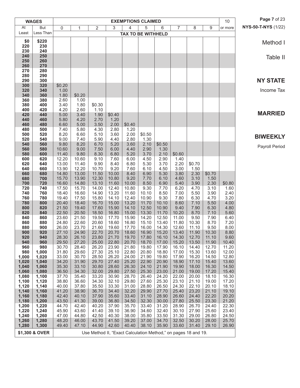|                | <b>WAGES</b>   |                |                |                                                                |                |                | <b>EXEMPTIONS CLAIMED</b> |                |                |                |                | 10             | Page 7 of 23        |
|----------------|----------------|----------------|----------------|----------------------------------------------------------------|----------------|----------------|---------------------------|----------------|----------------|----------------|----------------|----------------|---------------------|
| At             | <b>But</b>     | 0              | 1              | 2                                                              | 3              | $\overline{4}$ | 5                         | 6              | $\overline{7}$ | 8              | 9              | or more        | NYS-50-T-NYS (1/22) |
| Least          | Less Than      |                |                |                                                                |                |                | <b>TAX TO BE WITHHELD</b> |                |                |                |                |                |                     |
| \$0            | \$220          |                |                |                                                                |                |                |                           |                |                |                |                |                | Method I            |
| 220            | 230            |                |                |                                                                |                |                |                           |                |                |                |                |                |                     |
| 230            | 240            |                |                |                                                                |                |                |                           |                |                |                |                |                |                     |
| 240<br>250     | 250<br>260     |                |                |                                                                |                |                |                           |                |                |                |                |                | Table II            |
| 260            | 270            |                |                |                                                                |                |                |                           |                |                |                |                |                |                     |
| 270            | 280            |                |                |                                                                |                |                |                           |                |                |                |                |                |                     |
| 280            | 290            |                |                |                                                                |                |                |                           |                |                |                |                |                |                     |
| 290<br>300     | 300<br>320     | \$0.20         |                |                                                                |                |                |                           |                |                |                |                |                | <b>NY STATE</b>     |
| 320            | 340            | 1.00           |                |                                                                |                |                |                           |                |                |                |                |                | Income Tax          |
| 340            | 360            | 1.80           | \$0.20         |                                                                |                |                |                           |                |                |                |                |                |                     |
| 360            | 380            | 2.60           | 1.00           |                                                                |                |                |                           |                |                |                |                |                |                     |
| 380            | 400            | 3.40           | 1.80           | \$0.30                                                         |                |                |                           |                |                |                |                |                |                     |
| 400<br>420     | 420<br>440     | 4.20<br>5.00   | 2.60<br>3.40   | 1.10<br>1.90                                                   | \$0.40         |                |                           |                |                |                |                |                | <b>MARRIED</b>      |
| 440            | 460            | 5.80           | 4.20           | 2.70                                                           | 1.20           |                |                           |                |                |                |                |                |                     |
| 460            | 480            | 6.60           | 5.00           | 3.50                                                           | 2.00           | \$0.40         |                           |                |                |                |                |                |                     |
| 480            | 500            | 7.40           | 5.80           | 4.30                                                           | 2.80           | 1.20           |                           |                |                |                |                |                |                     |
| 500<br>520     | 520<br>540     | 8.20<br>9.00   | 6.60<br>7.40   | 5.10<br>5.90                                                   | 3.60<br>4.40   | 2.00<br>2.80   | \$0.50<br>1.30            |                |                |                |                |                | <b>BIWEEKLY</b>     |
| 540            | 560            | 9.80           | 8.20           | 6.70                                                           | 5.20           | 3.60           | 2.10                      | \$0.50         |                |                |                |                |                     |
| 560            | 580            | 10.60          | 9.00           | 7.50                                                           | 6.00           | 4.40           | 2.90                      | 1.30           |                |                |                |                | Payroll Period      |
| 580            | 600            | 11.40          | 9.80           | 8.30                                                           | 6.80           | 5.20           | 3.70                      | 2.10           | \$0.60         |                |                |                |                     |
| 600            | 620            | 12.20          | 10.60          | 9.10                                                           | 7.60           | 6.00           | 4.50                      | 2.90           | 1.40           |                |                |                |                     |
| 620<br>640     | 640<br>660     | 13.00<br>13.90 | 11.40<br>12.20 | 9.90<br>10.70                                                  | 8.40<br>9.20   | 6.80<br>7.60   | 5.30<br>6.10              | 3.70<br>4.50   | 2.20<br>3.00   | \$0.70<br>1.50 |                |                |                     |
| 660            | 680            | 14.80          | 13.00          | 11.50                                                          | 10.00          | 8.40           | 6.90                      | 5.30           | 3.80           | 2.30           | \$0.70         |                |                     |
| 680            | 700            | 15.70          | 13.90          | 12.30                                                          | 10.80          | 9.20           | 7.70                      | 6.10           | 4.60           | 3.10           | 1.50           |                |                     |
| 700            | 720            | 16.60          | 14.80          | 13.10                                                          | 11.60          | 10.00          | 8.50                      | 6.90           | 5.40           | 3.90           | 2.30           | \$0.80         |                     |
| 720<br>740     | 740<br>760     | 17.50<br>18.40 | 15.70<br>16.60 | 14.00<br>14.90                                                 | 12.40<br>13.20 | 10.80<br>11.60 | 9.30<br>10.10             | 7.70<br>8.50   | 6.20<br>7.00   | 4.70<br>5.50   | 3.10<br>3.90   | 1.60<br>2.40   |                     |
| 760            | 780            | 19.40          | 17.50          | 15.80                                                          | 14.10          | 12.40          | 10.90                     | 9.30           | 7.80           | 6.30           | 4.70           | 3.20           |                     |
| 780            | 800            | 20.40          | 18.40          | 16.70                                                          | 15.00          | 13.20          | 11.70                     | 10.10          | 8.60           | 7.10           | 5.50           | 4.00           |                     |
| 800            | 820            | 21.50          | 19.40          | 17.60                                                          | 15.90          | 14.10          | 12.50                     | 10.90          | 9.40           | 7.90           | 6.30           | 4.80           |                     |
| 820<br>840     | 840<br>860     | 22.50<br>23.60 | 20.50<br>21.50 | 18.50<br>19.50                                                 | 16.80<br>17.70 | 15.00<br>15.90 | 13.30<br>14.20            | 11.70<br>12.50 | 10.20<br>11.00 | 8.70<br>9.50   | 7.10<br>7.90   | 5.60<br>6.40   |                     |
| 860            | 880            | 24.80          | 22.60          | 20.60                                                          | 18.60          | 16.80          | 15.10                     | 13.40          | 11.80          | 10.30          | 8.70           | 7.20           |                     |
| 880            | 900            | 26.00          | 23.70          | 21.60                                                          | 19.60          | 17.70          | 16.00                     | 14.30          | 12.60          | 11.10          | 9.50           | 8.00           |                     |
| 900            | 920            | 27.10          | 24.90          | 22.70                                                          | 20.70          | 18.60          | 16.90                     | 15.20          | 13.40          | 11.90          | 10.30          | 8.80           |                     |
| 920            | 940            | 28.30          | 26.10          | 23.80                                                          | 21.70          | 19.70          | 17.80                     | 16.10          | 14.30          | 12.70          | 11.10          | 9.60           |                     |
| 940<br>960     | 960<br>980     | 29.50<br>30.70 | 27.20<br>28.40 | 25.00<br>26.20                                                 | 22.80<br>23.90 | 20.70<br>21.80 | 18.70<br>19.80            | 17.00<br>17.90 | 15.20<br>16.10 | 13.50<br>14.40 | 11.90<br>12.70 | 10.40<br>11.20 |                     |
| 980            | 1,000          | 31.80          | 29.60          | 27.30                                                          | 25.10          | 22.80          | 20.80                     | 18.80          | 17.00          | 15.30          | 13.60          | 12.00          |                     |
| 1,000          | 1,020          | 33.00          | 30.70          | 28.50                                                          | 26.20          | 24.00          | 21.90                     | 19.80          | 17.90          | 16.20          | 14.50          | 12.80          |                     |
| 1,020          | 1,040          | 34.20          | 31.90          | 29.70                                                          | 27.40          | 25.20          | 22.90                     | 20.90          | 18.90          | 17.10          | 15.40          | 13.60          |                     |
| 1,040<br>1,060 | 1,060<br>1,080 | 35.30<br>36.50 | 33.10<br>34.30 | 30.80<br>32.00                                                 | 28.60<br>29.80 | 26.30<br>27.50 | 24.10<br>25.30            | 21.90<br>23.00 | 19.90<br>21.00 | 18.00<br>19.00 | 16.30<br>17.20 | 14.50<br>15.40 |                     |
| 1,080          | 1,100          | 37.70          | 35.40          | 33.20                                                          | 30.90          | 28.70          | 26.40                     | 24.20          | 22.00          | 20.00          | 18.10          | 16.30          |                     |
| 1,100          | 1,120          | 38.80          | 36.60          | 34.30                                                          | 32.10          | 29.80          | 27.60                     | 25.30          | 23.10          | 21.10          | 19.00          | 17.20          |                     |
| 1,120          | 1,140          | 40.00          | 37.80          | 35.50                                                          | 33.30          | 31.00          | 28.80                     | 26.50          | 24.30          | 22.10          | 20.10          | 18.10          |                     |
| 1,140          | 1,160          | 41.20          | 38.90          | 36.70                                                          | 34.40          | 32.20          | 29.90                     | 27.70          | 25.40          | 23.20          | 21.10          | 19.10          |                     |
| 1,160<br>1,180 | 1,180<br>1,200 | 42.40<br>43.50 | 40.10<br>41.30 | 37.90<br>39.00                                                 | 35.60<br>36.80 | 33.40<br>34.50 | 31.10<br>32.30            | 28.90<br>30.00 | 26.60<br>27.80 | 24.40<br>25.50 | 22.20<br>23.30 | 20.20<br>21.20 |                     |
| 1,200          | 1,220          | 44.70          | 42.40          | 40.20                                                          | 37.90          | 35.70          | 33.40                     | 31.20          | 28.90          | 26.70          | 24.40          | 22.30          |                     |
| 1,220          | 1,240          | 45.90          | 43.60          | 41.40                                                          | 39.10          | 36.90          | 34.60                     | 32.40          | 30.10          | 27.90          | 25.60          | 23.40          |                     |
| 1,240          | 1,260          | 47.00          | 44.80          | 42.50                                                          | 40.30          | 38.00          | 35.80                     | 33.50          | 31.30          | 29.00          | 26.80          | 24.50          |                     |
| 1,260<br>1,280 | 1,280<br>1,300 | 48.20<br>49.40 | 46.00<br>47.10 | 43.70<br>44.90                                                 | 41.50<br>42.60 | 39.20<br>40.40 | 37.00<br>38.10            | 34.70<br>35.90 | 32.50<br>33.60 | 30.20<br>31.40 | 28.00<br>29.10 | 25.70<br>26.90 |                     |
|                |                |                |                |                                                                |                |                |                           |                |                |                |                |                |                     |
|                | \$1,300 & OVER |                |                | Use Method II, "Exact Calculation Method," on pages 18 and 19. |                |                |                           |                |                |                |                |                |                     |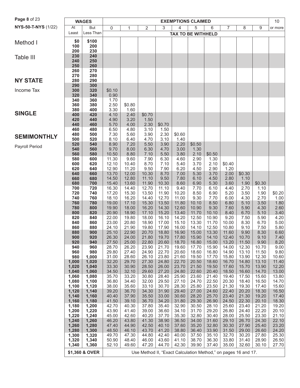| Page 8 of 23        |                                                                                  | <b>WAGES</b>   |                |                |                |                | <b>EXEMPTIONS CLAIMED</b> |                |                |                |                |                | 10             |
|---------------------|----------------------------------------------------------------------------------|----------------|----------------|----------------|----------------|----------------|---------------------------|----------------|----------------|----------------|----------------|----------------|----------------|
| NYS-50-T-NYS (1/22) | At                                                                               | <b>But</b>     | 0              | 1              | $\overline{2}$ | 3              | 4                         | 5              | 6              | $\overline{7}$ | 8              | 9              | or more        |
|                     | Least                                                                            | Less Than      |                |                |                |                | <b>TAX TO BE WITHHELD</b> |                |                |                |                |                |                |
| Method I            | \$0                                                                              | \$100          |                |                |                |                |                           |                |                |                |                |                |                |
|                     | 100                                                                              | 200            |                |                |                |                |                           |                |                |                |                |                |                |
|                     | 200                                                                              | 230            |                |                |                |                |                           |                |                |                |                |                |                |
| Table III           | 230<br>240                                                                       | 240<br>250     |                |                |                |                |                           |                |                |                |                |                |                |
|                     | 250                                                                              | 260            |                |                |                |                |                           |                |                |                |                |                |                |
|                     | 260                                                                              | 270            |                |                |                |                |                           |                |                |                |                |                |                |
|                     | 270                                                                              | 280            |                |                |                |                |                           |                |                |                |                |                |                |
| <b>NY STATE</b>     | 280<br>290                                                                       | 290<br>300     |                |                |                |                |                           |                |                |                |                |                |                |
| Income Tax          | 300                                                                              | 320            | \$0.10         |                |                |                |                           |                |                |                |                |                |                |
|                     | 320                                                                              | 340            | 0.90           |                |                |                |                           |                |                |                |                |                |                |
|                     | 340<br>360                                                                       | 360<br>380     | 1.70<br>2.50   | \$0.80         |                |                |                           |                |                |                |                |                |                |
|                     | 380                                                                              | 400            | 3.30           | 1.60           |                |                |                           |                |                |                |                |                |                |
| <b>SINGLE</b>       | 400                                                                              | 420            | 4.10           | 2.40           | \$0.70         |                |                           |                |                |                |                |                |                |
|                     | 420                                                                              | 440            | 4.90           | 3.20           | 1.50           |                |                           |                |                |                |                |                |                |
|                     | 440<br>460                                                                       | 460<br>480     | 5.70<br>6.50   | 4.00<br>4.80   | 2.30<br>3.10   | \$0.70<br>1.50 |                           |                |                |                |                |                |                |
|                     | 480                                                                              | 500            | 7.30           | 5.60           | 3.90           | 2.30           | \$0.60                    |                |                |                |                |                |                |
| <b>SEMIMONTHLY</b>  | 500                                                                              | 520            | 8.10           | 6.40           | 4.70           | 3.10           | 1.40                      |                |                |                |                |                |                |
| Payroll Period      | 520                                                                              | 540            | 8.90           | 7.20           | 5.50           | 3.90           | 2.20                      | \$0.50         |                |                |                |                |                |
|                     | 540<br>560                                                                       | 560<br>580     | 9.70<br>10.50  | 8.00<br>8.80   | 6.30<br>7.10   | 4.70<br>5.50   | 3.00<br>3.80              | 1.30<br>2.10   | \$0.50         |                |                |                |                |
|                     | 580                                                                              | 600            | 11.30          | 9.60           | 7.90           | 6.30           | 4.60                      | 2.90           | 1.30           |                |                |                |                |
|                     | 600                                                                              | 620            | 12.10          | 10.40          | 8.70           | 7.10           | 5.40                      | 3.70           | 2.10           | \$0.40         |                |                |                |
|                     | 620                                                                              | 640            | 12.90          | 11.20          | 9.50           | 7.90           | 6.20                      | 4.50           | 2.90           | 1.20           |                |                |                |
|                     | 640<br>660                                                                       | 660<br>680     | 13.70<br>14.50 | 12.00<br>12.80 | 10.30<br>11.10 | 8.70<br>9.50   | 7.00<br>7.80              | 5.30<br>6.10   | 3.70<br>4.50   | 2.00<br>2.80   | \$0.30<br>1.10 |                |                |
|                     | 680                                                                              | 700            | 15.40          | 13.60          | 11.90          | 10.30          | 8.60                      | 6.90           | 5.30           | 3.60           | 1.90           | \$0.30         |                |
|                     | 700                                                                              | 720            | 16.30          | 14.40          | 12.70          | 11.10          | 9.40                      | 7.70           | 6.10           | 4.40           | 2.70           | 1.10           |                |
|                     | 720                                                                              | 740            | 17.20          | 15.30          | 13.50          | 11.90          | 10.20                     | 8.50           | 6.90           | 5.20           | 3.50           | 1.90           | \$0.20         |
|                     | 740<br>760                                                                       | 760<br>780     | 18.10<br>19.00 | 16.20<br>17.10 | 14.40<br>15.30 | 12.70<br>13.50 | 11.00<br>11.80            | 9.30<br>10.10  | 7.70<br>8.50   | 6.00<br>6.80   | 4.30<br>5.10   | 2.70<br>3.50   | 1.00<br>1.80   |
|                     | 780                                                                              | 800            | 19.90          | 18.00          | 16.20          | 14.30          | 12.60                     | 10.90          | 9.30           | 7.60           | 5.90           | 4.30           | 2.60           |
|                     | 800                                                                              | 820            | 20.90          | 18.90          | 17.10          | 15.20          | 13.40                     | 11.70          | 10.10          | 8.40           | 6.70           | 5.10           | 3.40           |
|                     | 820                                                                              | 840            | 22.00          | 19.80          | 18.00          | 16.10          | 14.20                     | 12.50          | 10.90          | 9.20           | 7.50           | 5.90           | 4.20           |
|                     | 840<br>860                                                                       | 860<br>880     | 23.00<br>24.10 | 20.80<br>21.90 | 18.90<br>19.80 | 17.00<br>17.90 | 15.10<br>16.00            | 13.30<br>14.10 | 11.70<br>12.50 | 10.00<br>10.80 | 8.30<br>9.10   | 6.70<br>7.50   | 5.00<br>5.80   |
|                     | 880                                                                              | 900            | 25.10          | 22.90          | 20.70          | 18.80          | 16.90                     | 15.00          | 13.30          | 11.60          | 9.90           | 8.30           | 6.60           |
|                     | 900                                                                              | 920            | 26.30          | 24.00          | 21.80          | 19.70          | 17.80                     | 15.90          | 14.10          | 12.40          | 10.70          | 9.10           | 7.40           |
|                     | 920<br>940                                                                       | 940<br>960     | 27.50<br>28.70 | 25.00<br>26.20 | 22.80<br>23.90 | 20.60<br>21.70 | 18.70<br>19.60            | 16.80<br>17.70 | 15.00<br>15.90 | 13.20<br>14.00 | 11.50<br>12.30 | 9.90<br>10.70  | 8.20<br>9.00   |
|                     | 960                                                                              | 980            | 29.80          | 27.40          | 24.90          | 22.70          | 20.60                     | 18.60          | 16.80          | 14.90          | 13.10          | 11.50          | 9.80           |
|                     | 980                                                                              | 1,000          | 31.00          | 28.60          | 26.10          | 23.80          | 21.60                     | 19.50          | 17.70          | 15.80          | 13.90          | 12.30          | 10.60          |
|                     | 1,000                                                                            | 1,020          | 32.20          | 29.70          | 27.30          | 24.80          | 22.70                     | 20.50          | 18.60          | 16.70          | 14.80          | 13.10          | 11.40          |
|                     | 1,020<br>1,040                                                                   | 1,040<br>1,060 | 33.30<br>34.50 | 30.90<br>32.10 | 28.50<br>29.60 | 26.00<br>27.20 | 23.70<br>24.80            | 21.50<br>22.60 | 19.50<br>20.40 | 17.60<br>18.50 | 15.70<br>16.60 | 13.90<br>14.70 | 12.20<br>13.00 |
|                     | 1,060                                                                            | 1,080          | 35.70          | 33.20          | 30.80          | 28.40          | 25.90                     | 23.60          | 21.40          | 19.40          | 17.50          | 15.60          | 13.80          |
|                     | 1,080                                                                            | 1,100          | 36.80          | 34.40          | 32.00          | 29.50          | 27.10                     | 24.70          | 22.50          | 20.30          | 18.40          | 16.50          | 14.70          |
|                     | 1,100                                                                            | 1,120          | 38.00          | 35.60<br>36.70 | 33.10          | 30.70<br>31.90 | 28.30<br>29.40            | 25.80<br>27.00 | 23.50<br>24.60 | 21.30<br>22.40 | 19.30<br>20.20 | 17.40<br>18.30 | 15.60<br>16.50 |
|                     | 1,120<br>1,140                                                                   | 1,140<br>1,160 | 39.20<br>40.40 | 37.90          | 34.30<br>35.50 | 33.00          | 30.60                     | 28.20          | 25.70          | 23.40          | 21.30          | 19.20          | 17.40          |
|                     | 1,160                                                                            | 1,180          | 41.50          | 39.10          | 36.70          | 34.20          | 31.80                     | 29.30          | 26.90          | 24.50          | 22.30          | 20.10          | 18.30          |
|                     | 1,180                                                                            | 1,200          | 42.70          | 40.30          | 37.80          | 35.40          | 32.90                     | 30.50          | 28.10          | 25.60          | 23.40          | 21.20          | 19.20          |
|                     | 1,200                                                                            | 1,220          | 43.90          | 41.40          | 39.00          | 36.60          | 34.10                     | 31.70          | 29.20          | 26.80          | 24.40          | 22.20          | 20.10          |
|                     | 1,220<br>1,240                                                                   | 1,240<br>1,260 | 45.00<br>46.20 | 42.60<br>43.80 | 40.20<br>41.30 | 37.70<br>38.90 | 35.30<br>36.50            | 32.80<br>34.00 | 30.40<br>31.60 | 28.00<br>29.10 | 25.50<br>26.70 | 23.30<br>24.30 | 21.10<br>22.10 |
|                     | 1,260                                                                            | 1,280          | 47.40          | 44.90          | 42.50          | 40.10          | 37.60                     | 35.20          | 32.80          | 30.30          | 27.90          | 25.40          | 23.20          |
|                     | 1,280                                                                            | 1,300          | 48.50          | 46.10          | 43.70          | 41.20          | 38.80                     | 36.40          | 33.90          | 31.50          | 29.00          | 26.60          | 24.20          |
|                     | 1,300                                                                            | 1,320          | 49.70          | 47.30          | 44.80          | 42.40          | 40.00                     | 37.50          | 35.10          | 32.70          | 30.20          | 27.80          | 25.30          |
|                     | 1,320<br>1,340                                                                   | 1,340<br>1,360 | 50.90<br>52.10 | 48.40<br>49.60 | 46.00<br>47.20 | 43.60<br>44.70 | 41.10<br>42.30            | 38.70<br>39.90 | 36.30<br>37.40 | 33.80<br>35.00 | 31.40<br>32.60 | 28.90<br>30.10 | 26.50<br>27.70 |
|                     |                                                                                  |                |                |                |                |                |                           |                |                |                |                |                |                |
|                     | Use Method II, "Exact Calculation Method," on pages 16 and 17.<br>\$1,360 & OVER |                |                |                |                |                |                           |                |                |                |                |                |                |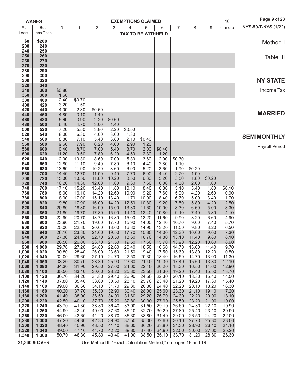|                | <b>WAGES</b>   |                |                |                                                                |                |                | <b>EXEMPTIONS CLAIMED</b> |                |                |                |                | 10             | Page 9 of 23               |
|----------------|----------------|----------------|----------------|----------------------------------------------------------------|----------------|----------------|---------------------------|----------------|----------------|----------------|----------------|----------------|----------------------------|
| At             | But            | 0              | $\mathbf{1}$   | $\overline{2}$                                                 | 3              | 4              | 5                         | 6              | $\overline{7}$ | 8              | 9              | or more        | <b>NYS-50-T-NYS (1/22)</b> |
| Least          | Less Than      |                |                |                                                                |                |                | <b>TAX TO BE WITHHELD</b> |                |                |                |                |                |                            |
| \$0            | \$200          |                |                |                                                                |                |                |                           |                |                |                |                |                | Method I                   |
| 200            | 240            |                |                |                                                                |                |                |                           |                |                |                |                |                |                            |
| 240<br>250     | 250<br>260     |                |                |                                                                |                |                |                           |                |                |                |                |                | Table III                  |
| 260            | 270            |                |                |                                                                |                |                |                           |                |                |                |                |                |                            |
| 270            | 280            |                |                |                                                                |                |                |                           |                |                |                |                |                |                            |
| 280<br>290     | 290<br>300     |                |                |                                                                |                |                |                           |                |                |                |                |                |                            |
| 300            | 320            |                |                |                                                                |                |                |                           |                |                |                |                |                | <b>NY STATE</b>            |
| 320            | 340            |                |                |                                                                |                |                |                           |                |                |                |                |                |                            |
| 340<br>360     | 360<br>380     | \$0.80<br>1.60 |                |                                                                |                |                |                           |                |                |                |                |                | Income Tax                 |
| 380            | 400            | 2.40           | \$0.70         |                                                                |                |                |                           |                |                |                |                |                |                            |
| 400            | 420            | 3.20           | 1.50           |                                                                |                |                |                           |                |                |                |                |                |                            |
| 420            | 440            | 4.00           | 2.30           | \$0.60                                                         |                |                |                           |                |                |                |                |                | <b>MARRIED</b>             |
| 440<br>460     | 460<br>480     | 4.80<br>5.60   | 3.10<br>3.90   | 1.40<br>2.20                                                   | \$0.60         |                |                           |                |                |                |                |                |                            |
| 480            | 500            | 6.40           | 4.70           | 3.00                                                           | 1.40           |                |                           |                |                |                |                |                |                            |
| 500            | 520            | 7.20           | 5.50           | 3.80                                                           | 2.20           | \$0.50         |                           |                |                |                |                |                |                            |
| 520<br>540     | 540<br>560     | 8.00<br>8.80   | 6.30<br>7.10   | 4.60<br>5.40                                                   | 3.00<br>3.80   | 1.30<br>2.10   | \$0.40                    |                |                |                |                |                | <b>SEMIMONTHLY</b>         |
| 560            | 580            | 9.60           | 7.90           | 6.20                                                           | 4.60           | 2.90           | 1.20                      |                |                |                |                |                |                            |
| 580            | 600            | 10.40          | 8.70           | 7.00                                                           | 5.40           | 3.70           | 2.00                      | \$0.40         |                |                |                |                | Payroll Period             |
| 600            | 620            | 11.20          | 9.50           | 7.80                                                           | 6.20           | 4.50           | 2.80                      | 1.20           |                |                |                |                |                            |
| 620<br>640     | 640<br>660     | 12.00<br>12.80 | 10.30<br>11.10 | 8.60<br>9.40                                                   | 7.00<br>7.80   | 5.30<br>6.10   | 3.60<br>4.40              | 2.00<br>2.80   | \$0.30<br>1.10 |                |                |                |                            |
| 660            | 680            | 13.60          | 11.90          | 10.20                                                          | 8.60           | 6.90           | 5.20                      | 3.60           | 1.90           | \$0.20         |                |                |                            |
| 680            | 700            | 14.40          | 12.70          | 11.00                                                          | 9.40           | 7.70           | 6.00                      | 4.40           | 2.70           | 1.00           |                |                |                            |
| 700<br>720     | 720<br>740     | 15.30<br>16.20 | 13.50<br>14.30 | 11.80<br>12.60                                                 | 10.20<br>11.00 | 8.50<br>9.30   | 6.80<br>7.60              | 5.20<br>6.00   | 3.50<br>4.30   | 1.80<br>2.60   | \$0.20<br>1.00 |                |                            |
| 740            | 760            | 17.10          | 15.20          | 13.40                                                          | 11.80          | 10.10          | 8.40                      | 6.80           | 5.10           | 3.40           | 1.80           | \$0.10         |                            |
| 760            | 780            | 18.00          | 16.10          | 14.20                                                          | 12.60          | 10.90          | 9.20                      | 7.60           | 5.90           | 4.20           | 2.60           | 0.90           |                            |
| 780<br>800     | 800<br>820     | 18.90<br>19.80 | 17.00<br>17.90 | 15.10<br>16.00                                                 | 13.40<br>14.20 | 11.70<br>12.50 | 10.00<br>10.80            | 8.40<br>9.20   | 6.70<br>7.50   | 5.00<br>5.80   | 3.40<br>4.20   | 1.70<br>2.50   |                            |
| 820            | 840            | 20.80          | 18.80          | 16.90                                                          | 15.00          | 13.30          | 11.60                     | 10.00          | 8.30           | 6.60           | 5.00           | 3.30           |                            |
| 840            | 860            | 21.80          | 19.70          | 17.80                                                          | 15.90          | 14.10          | 12.40                     | 10.80          | 9.10           | 7.40           | 5.80           | 4.10           |                            |
| 860            | 880            | 22.90          | 20.70          | 18.70                                                          | 16.80          | 15.00          | 13.20                     | 11.60          | 9.90           | 8.20           | 6.60           | 4.90           |                            |
| 880<br>900     | 900<br>920     | 23.90<br>25.00 | 21.70<br>22.80 | 19.60<br>20.60                                                 | 17.70<br>18.60 | 15.90<br>16.80 | 14.00<br>14.90            | 12.40<br>13.20 | 10.70<br>11.50 | 9.00<br>9.80   | 7.40<br>8.20   | 5.70<br>6.50   |                            |
| 920            | 940            | 26.10          | 23.80          | 21.60                                                          | 19.50          | 17.70          | 15.80                     | 14.00          | 12.30          | 10.60          | 9.00           | 7.30           |                            |
| 940            | 960            | 27.30          | 24.90          | 22.70                                                          | 20.50          | 18.60          | 16.70                     | 14.80          | 13.10          | 11.40          | 9.80           | 8.10           |                            |
| 960<br>980     | 980<br>1,000   | 28.50<br>29.70 | 26.00<br>27.20 | 23.70<br>24.80                                                 | 21.50<br>22.60 | 19.50<br>20.40 | 17.60<br>18.50            | 15.70<br>16.60 | 13.90<br>14.70 | 12.20<br>13.00 | 10.60<br>11.40 | 8.90<br>9.70   |                            |
| 1,000          | 1,020          | 30.80          | 28.40          | 26.00                                                          | 23.60          | 21.50          | 19.40                     | 17.50          | 15.60          | 13.80          | 12.20          | 10.50          |                            |
| 1,020          | 1,040          | 32.00          | 29.60          | 27.10                                                          | 24.70          | 22.50          | 20.30                     | 18.40          | 16.50          | 14.70          | 13.00          | 11.30          |                            |
| 1,040<br>1,060 | 1,060<br>1,080 | 33.20<br>34.30 | 30.70<br>31.90 | 28.30<br>29.50                                                 | 25.90<br>27.00 | 23.60<br>24.60 | 21.40<br>22.40            | 19.30<br>20.20 | 17.40<br>18.30 | 15.60<br>16.50 | 13.80<br>14.60 | 12.10<br>12.90 |                            |
| 1,080          | 1,100          | 35.50          | 33.10          | 30.60                                                          | 28.20          | 25.80          | 23.50                     | 21.30          | 19.20          | 17.40          | 15.50          | 13.70          |                            |
| 1,100          | 1,120          | 36.70          | 34.20          | 31.80                                                          | 29.40          | 26.90          | 24.50                     | 22.30          | 20.10          | 18.30          | 16.40          | 14.50          |                            |
| 1,120<br>1,140 | 1,140          | 37.80<br>39.00 | 35.40<br>36.60 | 33.00<br>34.10                                                 | 30.50<br>31.70 | 28.10<br>29.30 | 25.70<br>26.80            | 23.40<br>24.40 | 21.20<br>22.20 | 19.20<br>20.10 | 17.30<br>18.20 | 15.40          |                            |
| 1,160          | 1,160<br>1,180 | 40.20          | 37.70          | 35.30                                                          | 32.90          | 30.40          | 28.00                     | 25.60          | 23.30          | 21.10          | 19.10          | 16.30<br>17.20 |                            |
| 1,180          | 1,200          | 41.40          | 38.90          | 36.50                                                          | 34.00          | 31.60          | 29.20                     | 26.70          | 24.30          | 22.20          | 20.00          | 18.10          |                            |
| 1,200          | 1,220          | 42.50          | 40.10          | 37.70                                                          | 35.20          | 32.80          | 30.30                     | 27.90          | 25.50          | 23.20          | 21.00          | 19.00          |                            |
| 1,220<br>1,240 | 1,240<br>1,260 | 43.70<br>44.90 | 41.30<br>42.40 | 38.80<br>40.00                                                 | 36.40<br>37.60 | 33.90<br>35.10 | 31.50<br>32.70            | 29.10<br>30.20 | 26.60<br>27.80 | 24.30<br>25.40 | 22.10<br>23.10 | 19.90<br>20.90 |                            |
| 1,260          | 1,280          | 46.00          | 43.60          | 41.20                                                          | 38.70          | 36.30          | 33.80                     | 31.40          | 29.00          | 26.50          | 24.20          | 22.00          |                            |
| 1,280          | 1,300          | 47.20          | 44.80          | 42.30                                                          | 39.90          | 37.50          | 35.00                     | 32.60          | 30.10          | 27.70          | 25.30          | 23.00          |                            |
| 1,300<br>1,320 | 1,320<br>1,340 | 48.40<br>49.50 | 45.90<br>47.10 | 43.50<br>44.70                                                 | 41.10<br>42.20 | 38.60<br>39.80 | 36.20<br>37.40            | 33.80<br>34.90 | 31.30<br>32.50 | 28.90<br>30.00 | 26.40<br>27.60 | 24.10<br>25.20 |                            |
| 1,340          | 1,360          | 50.70          | 48.30          | 45.80                                                          | 43.40          | 41.00          | 38.50                     | 36.10          | 33.70          | 31.20          | 28.80          | 26.30          |                            |
|                | \$1,360 & OVER |                |                | Use Method II, "Exact Calculation Method," on pages 18 and 19. |                |                |                           |                |                |                |                |                |                            |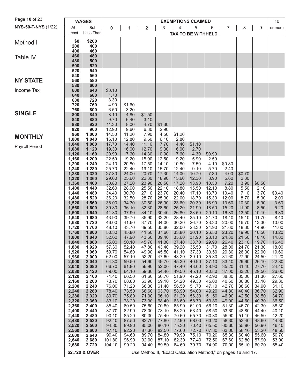| Page 10 of 23       |                | <b>WAGES</b>                                                                     |                |                |                |                | <b>EXEMPTIONS CLAIMED</b> |                |                |                |                |                | 10             |
|---------------------|----------------|----------------------------------------------------------------------------------|----------------|----------------|----------------|----------------|---------------------------|----------------|----------------|----------------|----------------|----------------|----------------|
| NYS-50-T-NYS (1/22) | At             | But                                                                              | $\mathbf 0$    | 1              | 2              | 3              | 4                         | 5              | 6              | $\overline{7}$ | 8              | 9              | or more        |
|                     | Least          | Less Than                                                                        |                |                |                |                | <b>TAX TO BE WITHHELD</b> |                |                |                |                |                |                |
| Method I            | \$0            | \$200                                                                            |                |                |                |                |                           |                |                |                |                |                |                |
|                     | 200            | 400                                                                              |                |                |                |                |                           |                |                |                |                |                |                |
|                     | 400            | 460                                                                              |                |                |                |                |                           |                |                |                |                |                |                |
| Table IV            | 460<br>480     | 480<br>500                                                                       |                |                |                |                |                           |                |                |                |                |                |                |
|                     | 500            | 520                                                                              |                |                |                |                |                           |                |                |                |                |                |                |
|                     | 520            | 540                                                                              |                |                |                |                |                           |                |                |                |                |                |                |
|                     | 540            | 560                                                                              |                |                |                |                |                           |                |                |                |                |                |                |
| <b>NY STATE</b>     | 560            | 580                                                                              |                |                |                |                |                           |                |                |                |                |                |                |
| Income Tax          | 580<br>600     | 600<br>640                                                                       | \$0.10         |                |                |                |                           |                |                |                |                |                |                |
|                     | 640            | 680                                                                              | 1.70           |                |                |                |                           |                |                |                |                |                |                |
|                     | 680            | 720                                                                              | 3.30           |                |                |                |                           |                |                |                |                |                |                |
|                     | 720            | 760                                                                              | 4.90           | \$1.60         |                |                |                           |                |                |                |                |                |                |
| <b>SINGLE</b>       | 760<br>800     | 800<br>840                                                                       | 6.50<br>8.10   | 3.20<br>4.80   | \$1.50         |                |                           |                |                |                |                |                |                |
|                     | 840            | 880                                                                              | 9.70           | 6.40           | 3.10           |                |                           |                |                |                |                |                |                |
|                     | 880            | 920                                                                              | 11.30          | 8.00           | 4.70           | \$1.30         |                           |                |                |                |                |                |                |
|                     | 920            | 960                                                                              | 12.90          | 9.60           | 6.30           | 2.90           |                           |                |                |                |                |                |                |
| <b>MONTHLY</b>      | 960            | 1,000                                                                            | 14.50          | 11.20          | 7.90           | 4.50           | \$1.20                    |                |                |                |                |                |                |
|                     | 1,000<br>1,040 | 1,040<br>1,080                                                                   | 16.10<br>17.70 | 12.80<br>14.40 | 9.50<br>11.10  | 6.10<br>7.70   | 2.80<br>4.40              | \$1.10         |                |                |                |                |                |
| Payroll Period      | 1,080          | 1,120                                                                            | 19.30          | 16.00          | 12.70          | 9.30           | 6.00                      | 2.70           |                |                |                |                |                |
|                     | 1,120          | 1,160                                                                            | 20.90          | 17.60          | 14.30          | 10.90          | 7.60                      | 4.30           | \$0.90         |                |                |                |                |
|                     | 1,160          | 1,200                                                                            | 22.50          | 19.20          | 15.90          | 12.50          | 9.20                      | 5.90           | 2.50           |                |                |                |                |
|                     | 1,200<br>1,240 | 1,240<br>1,280                                                                   | 24.10<br>25.70 | 20.80<br>22.40 | 17.50<br>19.10 | 14.10<br>15.70 | 10.80<br>12.40            | 7.50<br>9.10   | 4.10<br>5.70   | \$0.80<br>2.40 |                |                |                |
|                     | 1,280          | 1,320                                                                            | 27.30          | 24.00          | 20.70          | 17.30          | 14.00                     | 10.70          | 7.30           | 4.00           | \$0.70         |                |                |
|                     | 1,320          | 1,360                                                                            | 29.00          | 25.60          | 22.30          | 18.90          | 15.60                     | 12.30          | 8.90           | 5.60           | 2.30           |                |                |
|                     | 1,360          | 1,400                                                                            | 30.80          | 27.20          | 23.90          | 20.50          | 17.20                     | 13.90          | 10.50          | 7.20           | 3.90           | \$0.50         |                |
|                     | 1,400<br>1,440 | 1,440<br>1,480                                                                   | 32.60<br>34.40 | 28.90<br>30.70 | 25.50<br>27.10 | 22.10<br>23.70 | 18.80<br>20.40            | 15.50<br>17.10 | 12.10<br>13.70 | 8.80<br>10.40  | 5.50<br>7.10   | 2.10<br>3.70   | \$0.40         |
|                     | 1,480          | 1,520                                                                            | 36.20          | 32.50          | 28.70          | 25.30          | 22.00                     | 18.70          | 15.30          | 12.00          | 8.70           | 5.30           | 2.00           |
|                     | 1,520          | 1,560                                                                            | 38.00          | 34.30          | 30.50          | 26.90          | 23.60                     | 20.30          | 16.90          | 13.60          | 10.30          | 6.90           | 3.60           |
|                     | 1,560          | 1,600                                                                            | 39.80          | 36.10          | 32.30          | 28.60          | 25.20                     | 21.90          | 18.50          | 15.20          | 11.90          | 8.50           | 5.20           |
|                     | 1,600          | 1,640                                                                            | 41.80          | 37.90          | 34.10          | 30.40          | 26.80                     | 23.50          | 20.10          | 16.80          | 13.50          | 10.10          | 6.80           |
|                     | 1,640<br>1,680 | 1,680<br>1,720                                                                   | 43.90<br>46.00 | 39.70<br>41.60 | 35.90<br>37.70 | 32.20<br>34.00 | 28.40<br>30.20            | 25.10<br>26.70 | 21.70<br>23.30 | 18.40<br>20.00 | 15.10<br>16.70 | 11.70<br>13.30 | 8.40<br>10.00  |
|                     | 1,720          | 1,760                                                                            | 48.10          | 43.70          | 39.50          | 35.80          | 32.00                     | 28.30          | 24.90          | 21.60          | 18.30          | 14.90          | 11.60          |
|                     | 1,760          | 1,800                                                                            | 50.30          | 45.80          | 41.50          | 37.60          | 33.80                     | 30.10          | 26.50          | 23.20          | 19.90          | 16.50          | 13.20          |
|                     | 1,800          | 1,840                                                                            | 52.60          | 47.90          | 43.60          | 39.40          | 35.60                     | 31.90          | 28.10          | 24.80          | 21.50          | 18.10          | 14.80          |
|                     | 1,840<br>1,880 | 1,880<br>1,920                                                                   | 55.00<br>57.30 | 50.10<br>52.40 | 45.70<br>47.80 | 41.30<br>43.40 | 37.40<br>39.20            | 33.70<br>35.50 | 29.90<br>31.70 | 26.40<br>28.00 | 23.10<br>24.70 | 19.70<br>21.30 | 16.40<br>18.00 |
|                     | 1,920          | 1,960                                                                            | 59.70          | 54.80          | 49.90          | 45.50          | 41.10                     | 37.30          | 33.50          | 29.80          | 26.30          | 22.90          | 19.60          |
|                     | 1,960          | 2,000                                                                            | 62.00          | 57.10          | 52.20          | 47.60          | 43.20                     | 39.10          | 35.30          | 31.60          | 27.90          | 24.50          | 21.20          |
|                     | 2,000          | 2,040                                                                            | 64.30          | 59.50          | 54.60          | 49.70          | 45.30                     | 40.90          | 37.10          | 33.40          | 29.60          | 26.10          | 22.80          |
|                     | 2,040<br>2,080 | 2,080<br>2,120                                                                   | 66.70<br>69.00 | 61.80<br>64.10 | 56.90<br>59.30 | 52.00<br>54.40 | 47.40<br>49.50            | 43.00<br>45.10 | 38.90<br>40.80 | 35.20<br>37.00 | 31.40<br>33.20 | 27.70<br>29.50 | 24.40<br>26.00 |
|                     | 2,120          | 2,160                                                                            | 71.40          | 66.50          | 61.60          | 56.70          | 51.90                     | 47.20          | 42.90          | 38.80          | 35.00          | 31.30          | 27.60          |
|                     | 2,160          | 2,200                                                                            | 73.70          | 68.80          | 63.90          | 59.10          | 54.20                     | 49.30          | 45.00          | 40.60          | 36.80          | 33.10          | 29.30          |
|                     | 2,200          | 2,240                                                                            | 76.00          | 71.20          | 66.30          | 61.40          | 56.50                     | 51.70          | 47.10          | 42.70          | 38.60          | 34.90          | 31.10          |
|                     | 2,240          | 2,280                                                                            | 78.40          | 73.50          | 68.60          | 63.70<br>66.10 | 58.90<br>61.20            | 54.00          | 49.20          | 44.80<br>46.90 | 40.40<br>42.50 | 36.70          | 32.90          |
|                     | 2,280<br>2,320 | 2,320<br>2,360                                                                   | 80.70<br>83.10 | 75.80<br>78.20 | 71.00<br>73.30 | 68.40          | 63.60                     | 56.30<br>58.70 | 51.50<br>53.80 | 49.00          | 44.60          | 38.50<br>40.30 | 34.70<br>36.50 |
|                     | 2,360          | 2,400                                                                            | 85.40          | 80.50          | 75.60          | 70.80          | 65.90                     | 61.00          | 56.10          | 51.30          | 46.70          | 42.30          | 38.30          |
|                     | 2,400          | 2,440                                                                            | 87.70          | 82.90          | 78.00          | 73.10          | 68.20                     | 63.40          | 58.50          | 53.60          | 48.80          | 44.40          | 40.10          |
|                     | 2,440          | 2,480                                                                            | 90.10          | 85.20          | 80.30          | 75.40          | 70.60                     | 65.70          | 60.80          | 55.90          | 51.10          | 46.50          | 42.20          |
|                     | 2,480<br>2,520 | 2,520<br>2,560                                                                   | 92.40<br>94.80 | 87.50<br>89.90 | 82.70<br>85.00 | 77.80<br>80.10 | 72.90<br>75.30            | 68.00<br>70.40 | 63.20<br>65.50 | 58.30<br>60.60 | 53.40<br>55.80 | 48.60<br>50.90 | 44.30<br>46.40 |
|                     | 2,560          | 2,600                                                                            | 97.10          | 92.20          | 87.30          | 82.50          | 77.60                     | 72.70          | 67.80          | 63.00          | 58.10          | 53.20          | 48.50          |
|                     | 2,600          | 2,640                                                                            | 99.40          | 94.60          | 89.70          | 84.80          | 79.90                     | 75.10          | 70.20          | 65.30          | 60.40          | 55.60          | 50.70          |
|                     | 2,640          | 2,680                                                                            | 101.80         | 96.90          | 92.00          | 87.10          | 82.30                     | 77.40          | 72.50          | 67.60          | 62.80          | 57.90          | 53.00          |
|                     | 2,680          | 2,720                                                                            | 104.10         | 99.20          | 94.40          | 89.50          | 84.60                     | 79.70          | 74.90          | 70.00          | 65.10          | 60.20          | 55.40          |
|                     |                | \$2,720 & OVER<br>Use Method II, "Exact Calculation Method," on pages 16 and 17. |                |                |                |                |                           |                |                |                |                |                |                |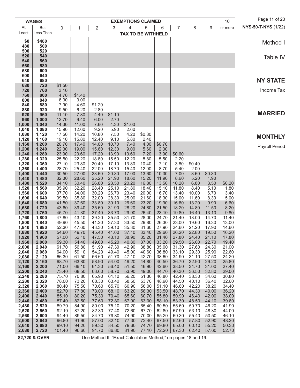|                | <b>WAGES</b>   |                |                |                                                                |                |                | <b>EXEMPTIONS CLAIMED</b> |                |                |                |                | 10             | Page 11 of 23              |
|----------------|----------------|----------------|----------------|----------------------------------------------------------------|----------------|----------------|---------------------------|----------------|----------------|----------------|----------------|----------------|----------------------------|
| At             | <b>But</b>     | 0              | 1              | $\sqrt{2}$                                                     | 3              | $\overline{4}$ | 5                         | 6              | 7              | 8              | 9              | or more        | <b>NYS-50-T-NYS (1/22)</b> |
| Least          | Less Than      |                |                |                                                                |                |                | <b>TAX TO BE WITHHELD</b> |                |                |                |                |                |                            |
| \$0            | \$480          |                |                |                                                                |                |                |                           |                |                |                |                |                | Method I                   |
| 480<br>500     | 500<br>520     |                |                |                                                                |                |                |                           |                |                |                |                |                |                            |
| 520            | 540            |                |                |                                                                |                |                |                           |                |                |                |                |                | Table IV                   |
| 540            | 560            |                |                |                                                                |                |                |                           |                |                |                |                |                |                            |
| 560            | 580            |                |                |                                                                |                |                |                           |                |                |                |                |                |                            |
| 580<br>600     | 600<br>640     |                |                |                                                                |                |                |                           |                |                |                |                |                |                            |
| 640            | 680            |                |                |                                                                |                |                |                           |                |                |                |                |                | <b>NY STATE</b>            |
| 680            | 720            | \$1.50         |                |                                                                |                |                |                           |                |                |                |                |                |                            |
| 720<br>760     | 760<br>800     | 3.10<br>4.70   | \$1.40         |                                                                |                |                |                           |                |                |                |                |                | Income Tax                 |
| 800            | 840            | 6.30           | 3.00           |                                                                |                |                |                           |                |                |                |                |                |                            |
| 840            | 880            | 7.90           | 4.60           | \$1.20                                                         |                |                |                           |                |                |                |                |                |                            |
| 880<br>920     | 920<br>960     | 9.50<br>11.10  | 6.20<br>7.80   | 2.80<br>4.40                                                   | \$1.10         |                |                           |                |                |                |                |                | <b>MARRIED</b>             |
| 960            | 1,000          | 12.70          | 9.40           | 6.00                                                           | 2.70           |                |                           |                |                |                |                |                |                            |
| 1,000          | 1,040          | 14.30          | 11.00          | 7.60                                                           | 4.30           | \$1.00         |                           |                |                |                |                |                |                            |
| 1,040<br>1,080 | 1,080<br>1,120 | 15.90<br>17.50 | 12.60<br>14.20 | 9.20<br>10.80                                                  | 5.90<br>7.50   | 2.60<br>4.20   | \$0.80                    |                |                |                |                |                |                            |
| 1,120          | 1,160          | 19.10          | 15.80          | 12.40                                                          | 9.10           | 5.80           | 2.40                      |                |                |                |                |                | <b>MONTHLY</b>             |
| 1,160          | 1,200          | 20.70          | 17.40          | 14.00                                                          | 10.70          | 7.40           | 4.00                      | \$0.70         |                |                |                |                | Payroll Period             |
| 1,200<br>1,240 | 1,240<br>1,280 | 22.30<br>23.90 | 19.00<br>20.60 | 15.60<br>17.20                                                 | 12.30<br>13.90 | 9.00<br>10.60  | 5.60<br>7.20              | 2.30<br>3.90   | \$0.60         |                |                |                |                            |
| 1,280          | 1,320          | 25.50          | 22.20          | 18.80                                                          | 15.50          | 12.20          | 8.80                      | 5.50           | 2.20           |                |                |                |                            |
| 1,320          | 1,360          | 27.10          | 23.80          | 20.40                                                          | 17.10          | 13.80          | 10.40                     | 7.10           | 3.80           | \$0.40         |                |                |                            |
| 1,360          | 1,400          | 28.70          | 25.40          | 22.00                                                          | 18.70          | 15.40          | 12.00                     | 8.70           | 5.40           | 2.00           |                |                |                            |
| 1,400<br>1,440 | 1,440<br>1,480 | 30.50<br>32.30 | 27.00<br>28.60 | 23.60<br>25.20                                                 | 20.30<br>21.90 | 17.00<br>18.60 | 13.60<br>15.20            | 10.30<br>11.90 | 7.00<br>8.60   | 3.60<br>5.20   | \$0.30<br>1.90 |                |                            |
| 1,480          | 1,520          | 34.10          | 30.40          | 26.80                                                          | 23.50          | 20.20          | 16.80                     | 13.50          | 10.20          | 6.80           | 3.50           | \$0.20         |                            |
| 1,520          | 1,560          | 35.90          | 32.20          | 28.40                                                          | 25.10          | 21.80          | 18.40                     | 15.10          | 11.80          | 8.40           | 5.10           | 1.80           |                            |
| 1,560<br>1,600 | 1,600<br>1,640 | 37.70<br>39.50 | 34.00<br>35.80 | 30.20<br>32.00                                                 | 26.70<br>28.30 | 23.40<br>25.00 | 20.00<br>21.60            | 16.70<br>18.30 | 13.40<br>15.00 | 10.00<br>11.60 | 6.70<br>8.30   | 3.40<br>5.00   |                            |
| 1,640          | 1,680          | 41.50          | 37.60          | 33.80                                                          | 30.10          | 26.60          | 23.20                     | 19.90          | 16.60          | 13.20          | 9.90           | 6.60           |                            |
| 1,680          | 1,720          | 43.60          | 39.40          | 35.60                                                          | 31.90          | 28.20          | 24.80                     | 21.50          | 18.20          | 14.80          | 11.50          | 8.20           |                            |
| 1,720<br>1,760 | 1,760<br>1,800 | 45.70<br>47.80 | 41.30<br>43.40 | 37.40<br>39.20                                                 | 33.70<br>35.50 | 29.90<br>31.70 | 26.40<br>28.00            | 23.10<br>24.70 | 19.80<br>21.40 | 16.40<br>18.00 | 13.10<br>14.70 | 9.80<br>11.40  |                            |
| 1,800          | 1,840          | 49.90          | 45.50          | 41.20                                                          | 37.30          | 33.50          | 29.80                     | 26.30          | 23.00          | 19.60          | 16.30          | 13.00          |                            |
| 1,840          | 1,880          | 52.30          | 47.60          | 43.30                                                          | 39.10          | 35.30          | 31.60                     | 27.90          | 24.60          | 21.20          | 17.90          | 14.60          |                            |
| 1,880<br>1,920 | 1,920<br>1,960 | 54.60<br>57.00 | 49.70<br>52.10 | 45.40<br>47.50                                                 | 41.00<br>43.10 | 37.10<br>38.90 | 33.40<br>35.20            | 29.60<br>31.40 | 26.20<br>27.80 | 22.80<br>24.40 | 19.50<br>21.10 | 16.20<br>17.80 |                            |
| 1,960          | 2,000          | 59.30          | 54.40          | 49.60                                                          | 45.20          | 40.80          | 37.00                     | 33.20          | 29.50          | 26.00          | 22.70          | 19.40          |                            |
| 2,000          | 2,040          | 61.70          | 56.80          | 51.90                                                          | 47.30          | 42.90          | 38.80                     | 35.00          | 31.30          | 27.60          | 24.30          | 21.00          |                            |
| 2,040<br>2,080 | 2,080<br>2,120 | 64.00<br>66.30 | 59.10<br>61.50 | 54.20<br>56.60                                                 | 49.40<br>51.70 | 45.00<br>47.10 | 40.60<br>42.70            | 36.80<br>38.60 | 33.10<br>34.90 | 29.30<br>31.10 | 25.90<br>27.50 | 22.60<br>24.20 |                            |
| 2,120          | 2,160          | 68.70          | 63.80          | 58.90                                                          | 54.00          | 49.20          | 44.80                     | 40.50          | 36.70          | 32.90          | 29.20          | 25.80          |                            |
| 2,160          | 2,200          | 71.00          | 66.10          | 61.30                                                          | 56.40          | 51.50          | 46.90                     | 42.60          | 38.50          | 34.70          | 31.00          | 27.40          |                            |
| 2,200<br>2,240 | 2,240<br>2,280 | 73.40<br>75.70 | 68.50<br>70.80 | 63.60<br>65.90                                                 | 58.70<br>61.10 | 53.90<br>56.20 | 49.00<br>51.30            | 44.70<br>46.80 | 40.30<br>42.40 | 36.50<br>38.30 | 32.80<br>34.60 | 29.00<br>30.80 |                            |
| 2,280          | 2,320          | 78.00          | 73.20          | 68.30                                                          | 63.40          | 58.50          | 53.70                     | 48.90          | 44.50          | 40.10          | 36.40          | 32.60          |                            |
| 2,320          | 2,360          | 80.40          | 75.50          | 70.60                                                          | 65.70          | 60.90          | 56.00                     | 51.10          | 46.60          | 42.20          | 38.20          | 34.40          |                            |
| 2,360<br>2,400 | 2,400          | 82.70          | 77.80          | 73.00<br>75.30                                                 | 68.10          | 63.20<br>65.60 | 58.30                     | 53.50<br>55.80 | 48.70<br>50.90 | 44.30          | 40.00          | 36.20<br>38.00 |                            |
| 2,440          | 2,440<br>2,480 | 85.10<br>87.40 | 80.20<br>82.50 | 77.60                                                          | 70.40<br>72.80 | 67.90          | 60.70<br>63.00            | 58.10          | 53.30          | 46.40<br>48.50 | 42.00<br>44.10 | 39.80          |                            |
| 2,480          | 2,520          | 89.70          | 84.90          | 80.00                                                          | 75.10          | 70.20          | 65.40                     | 60.50          | 55.60          | 50.70          | 46.20          | 41.90          |                            |
| 2,520          | 2,560          | 92.10          | 87.20          | 82.30                                                          | 77.40          | 72.60          | 67.70                     | 62.80          | 57.90          | 53.10          | 48.30          | 44.00          |                            |
| 2,560<br>2,600 | 2,600<br>2,640 | 94.40<br>96.80 | 89.50<br>91.90 | 84.70<br>87.00                                                 | 79.80<br>82.10 | 74.90<br>77.30 | 70.00<br>72.40            | 65.20<br>67.50 | 60.30<br>62.60 | 55.40<br>57.80 | 50.50<br>52.90 | 46.10<br>48.20 |                            |
| 2,640          | 2,680          | 99.10          | 94.20          | 89.30                                                          | 84.50          | 79.60          | 74.70                     | 69.80          | 65.00          | 60.10          | 55.20          | 50.30          |                            |
| 2,680          | 2,720          | 101.40         | 96.60          | 91.70                                                          | 86.80          | 81.90          | 77.10                     | 72.20          | 67.30          | 62.40          | 57.60          | 52.70          |                            |
|                | \$2,720 & OVER |                |                | Use Method II, "Exact Calculation Method," on pages 18 and 19. |                |                |                           |                |                |                |                |                |                            |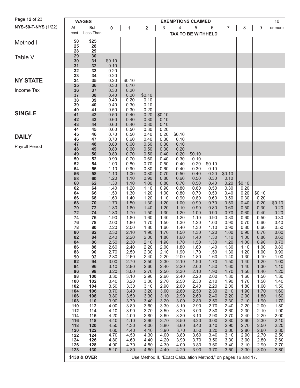| Page 12 of 23       |            | <b>WAGES</b> |              |              |                                                                |              |              | <b>EXEMPTIONS CLAIMED</b> |              |                |              |              | 10           |
|---------------------|------------|--------------|--------------|--------------|----------------------------------------------------------------|--------------|--------------|---------------------------|--------------|----------------|--------------|--------------|--------------|
| NYS-50-T-NYS (1/22) | At         | <b>But</b>   | $\mathbf 0$  | $\mathbf{1}$ | $\overline{2}$                                                 | 3            | 4            | 5                         | 6            | $\overline{7}$ | 8            | 9            | or more      |
|                     | Least      | Less Than    |              |              |                                                                |              |              | <b>TAX TO BE WITHHELD</b> |              |                |              |              |              |
| Method I            | \$0        | \$25         |              |              |                                                                |              |              |                           |              |                |              |              |              |
|                     | 25         | 28           |              |              |                                                                |              |              |                           |              |                |              |              |              |
|                     | 28         | 29           |              |              |                                                                |              |              |                           |              |                |              |              |              |
| Table V             | 29<br>30   | 30<br>31     | \$0.10       |              |                                                                |              |              |                           |              |                |              |              |              |
|                     | 31         | 32           | 0.10         |              |                                                                |              |              |                           |              |                |              |              |              |
|                     | 32         | 33           | 0.20         |              |                                                                |              |              |                           |              |                |              |              |              |
| <b>NY STATE</b>     | 33<br>34   | 34<br>35     | 0.20<br>0.20 | \$0.10       |                                                                |              |              |                           |              |                |              |              |              |
|                     | 35         | 36           | 0.30         | 0.10         |                                                                |              |              |                           |              |                |              |              |              |
| Income Tax          | 36         | 37           | 0.30         | 0.20         |                                                                |              |              |                           |              |                |              |              |              |
|                     | 37         | 38           | 0.40         | 0.20         | \$0.10                                                         |              |              |                           |              |                |              |              |              |
|                     | 38<br>39   | 39<br>40     | 0.40<br>0.40 | 0.20<br>0.30 | 0.10<br>0.10                                                   |              |              |                           |              |                |              |              |              |
|                     | 40         | 41           | 0.50         | 0.30         | 0.20                                                           |              |              |                           |              |                |              |              |              |
| <b>SINGLE</b>       | 41         | 42           | 0.50         | 0.40         | 0.20                                                           | \$0.10       |              |                           |              |                |              |              |              |
|                     | 42         | 43           | 0.60         | 0.40         | 0.30                                                           | 0.10         |              |                           |              |                |              |              |              |
|                     | 43<br>44   | 44<br>45     | 0.60<br>0.60 | 0.40<br>0.50 | 0.30<br>0.30                                                   | 0.10<br>0.20 |              |                           |              |                |              |              |              |
| <b>DAILY</b>        | 45         | 46           | 0.70         | 0.50         | 0.40                                                           | 0.20         | \$0.10       |                           |              |                |              |              |              |
|                     | 46         | 47           | 0.70         | 0.60         | 0.40                                                           | 0.30         | 0.10         |                           |              |                |              |              |              |
| Payroll Period      | 47<br>48   | 48<br>49     | 0.80<br>0.80 | 0.60<br>0.60 | 0.50<br>0.50                                                   | 0.30<br>0.30 | 0.10<br>0.20 |                           |              |                |              |              |              |
|                     | 49         | 50           | 0.80         | 0.70         | 0.50                                                           | 0.40         | 0.20         | \$0.10                    |              |                |              |              |              |
|                     | 50         | 52           | 0.90         | 0.70         | 0.60                                                           | 0.40         | 0.30         | 0.10                      |              |                |              |              |              |
|                     | 52         | 54           | 1.00         | 0.80         | 0.70                                                           | 0.50         | 0.40         | 0.20                      | \$0.10       |                |              |              |              |
|                     | 54<br>56   | 56<br>58     | 1.10<br>1.10 | 0.90<br>1.00 | 0.80<br>0.80                                                   | 0.60<br>0.70 | 0.40<br>0.50 | 0.30<br>0.40              | 0.10<br>0.20 | \$0.10         |              |              |              |
|                     | 58         | 60           | 1.20         | 1.10         | 0.90                                                           | 0.80         | 0.60         | 0.50                      | 0.30         | 0.10           |              |              |              |
|                     | 60         | 62           | 1.30         | 1.10         | 1.00                                                           | 0.80         | 0.70         | 0.50                      | 0.40         | 0.20           | \$0.10       |              |              |
|                     | 62<br>64   | 64<br>66     | 1.40<br>1.50 | 1.20<br>1.30 | 1.10<br>1.20                                                   | 0.90<br>1.00 | 0.80<br>0.80 | 0.60<br>0.70              | 0.50<br>0.50 | 0.30<br>0.40   | 0.20<br>0.20 | \$0.10       |              |
|                     | 66         | 68           | 1.60         | 1.40         | 1.20                                                           | 1.10         | 0.90         | 0.80                      | 0.60         | 0.50           | 0.30         | 0.20         |              |
|                     | 68         | 70           | 1.70         | 1.50         | 1.30                                                           | 1.20         | 1.00         | 0.90                      | 0.70         | 0.50           | 0.40         | 0.20         | \$0.10       |
|                     | 70         | 72           | 1.80         | 1.60         | 1.40                                                           | 1.20         | 1.10         | 0.90                      | 0.80         | 0.60           | 0.50         | 0.30         | 0.20         |
|                     | 72<br>74   | 74<br>76     | 1.80<br>1.90 | 1.70<br>1.80 | 1.50<br>1.60                                                   | 1.30<br>1.40 | 1.20<br>1.20 | 1.00<br>1.10              | 0.90<br>0.90 | 0.70<br>0.80   | 0.60<br>0.60 | 0.40<br>0.50 | 0.20<br>0.30 |
|                     | 76         | 78           | 2.00         | 1.80         | 1.70                                                           | 1.50         | 1.30         | 1.20                      | 1.00         | 0.90           | 0.70         | 0.60         | 0.40         |
|                     | 78         | 80           | 2.20         | 2.00         | 1.80                                                           | 1.60         | 1.40         | 1.30                      | 1.10         | 0.90           | 0.80         | 0.60         | 0.50         |
|                     | 80<br>82   | 82<br>84     | 2.30<br>2.40 | 2.10<br>2.20 | 1.90<br>2.00                                                   | 1.70<br>1.80 | 1.50<br>1.60 | 1.30<br>1.40              | 1.20<br>1.30 | 1.00<br>1.10   | 0.90<br>1.00 | 0.70<br>0.80 | 0.60<br>0.60 |
|                     | 84         | 86           | 2.50         | 2.30         | 2.10                                                           | 1.90         | 1.70         | 1.50                      | 1.30         | 1.20           | 1.00         | 0.90         | 0.70         |
|                     | 86         | 88           | 2.60         | 2.40         | 2.20                                                           | 2.00         | 1.80         | 1.60                      | 1.40         | 1.30           | 1.10         | 1.00         | 0.80         |
|                     | 88         | 90           | 2.70         | 2.50         | 2.30                                                           | 2.10         | 1.90         | 1.70                      | 1.50         | 1.30           | 1.20         | 1.00         | 0.90         |
|                     | 90<br>92   | 92<br>94     | 2.80<br>3.00 | 2.60<br>2.70 | 2.40<br>2.50                                                   | 2.20<br>2.30 | 2.00<br>2.10 | 1.80<br>1.90              | 1.60<br>1.70 | 1.40<br>1.50   | 1.30<br>1.40 | 1.10<br>1.20 | 1.00<br>1.00 |
|                     | 94         | 96           | 3.10         | 2.80         | 2.60                                                           | 2.40         | 2.20         | 2.00                      | 1.80         | 1.60           | 1.40         | 1.30         | 1.10         |
|                     | 96         | 98           | 3.20         | 3.00         | 2.70                                                           | 2.50         | 2.30         | 2.10                      | 1.90         | 1.70           | 1.50         | 1.40         | 1.20         |
|                     | 98<br>100  | 100<br>102   | 3.30<br>3.40 | 3.10<br>3.20 | 2.90<br>3.00                                                   | 2.60<br>2.70 | 2.40<br>2.50 | 2.20<br>2.30              | 2.00<br>2.10 | 1.80<br>1.90   | 1.60<br>1.70 | 1.50<br>1.50 | 1.30<br>1.40 |
|                     | 102        | 104          | 3.50         | 3.30         | 3.10                                                           | 2.90         | 2.60         | 2.40                      | 2.20         | 2.00           | 1.80         | 1.60         | 1.50         |
|                     | 104        | 106          | 3.70         | 3.40         | 3.20                                                           | 3.00         | 2.80         | 2.50                      | 2.30         | 2.10           | 1.90         | 1.70         | 1.60         |
|                     | 106        | 108          | 3.80         | 3.50         | 3.30                                                           | 3.10         | 2.90         | 2.60                      | 2.40         | 2.20           | 2.00         | 1.80         | 1.60         |
|                     | 108<br>110 | 110<br>112   | 3.90<br>4.00 | 3.70<br>3.80 | 3.40<br>3.60                                                   | 3.20<br>3.30 | 3.00<br>3.10 | 2.80<br>2.90              | 2.50<br>2.70 | 2.30<br>2.40   | 2.10<br>2.20 | 1.90<br>2.00 | 1.70<br>1.80 |
|                     | 112        | 114          | 4.10         | 3.90         | 3.70                                                           | 3.50         | 3.20         | 3.00                      | 2.80         | 2.60           | 2.30         | 2.10         | 1.90         |
|                     | 114        | 116          | 4.20         | 4.00         | 3.80                                                           | 3.60         | 3.30         | 3.10                      | 2.90         | 2.70           | 2.40         | 2.20         | 2.00         |
|                     | 116<br>118 | 118<br>120   | 4.40<br>4.50 | 4.10<br>4.30 | 3.90<br>4.00                                                   | 3.70<br>3.80 | 3.50<br>3.60 | 3.20<br>3.40              | 3.00<br>3.10 | 2.80<br>2.90   | 2.60<br>2.70 | 2.30<br>2.50 | 2.10<br>2.20 |
|                     | 120        | 122          | 4.60         | 4.40         | 4.10                                                           | 3.90         | 3.70         | 3.50                      | 3.20         | 3.00           | 2.80         | 2.60         | 2.30         |
|                     | 122        | 124          | 4.70         | 4.50         | 4.30                                                           | 4.00         | 3.80         | 3.60                      | 3.40         | 3.10           | 2.90         | 2.70         | 2.50         |
|                     | 124        | 126          | 4.80         | 4.60         | 4.40                                                           | 4.20         | 3.90         | 3.70                      | 3.50         | 3.30           | 3.00         | 2.80         | 2.60         |
|                     | 126<br>128 | 128<br>130   | 4.90<br>5.10 | 4.70<br>4.80 | 4.50<br>4.60                                                   | 4.30<br>4.40 | 4.00<br>4.20 | 3.80<br>3.90              | 3.60<br>3.70 | 3.40<br>3.50   | 3.10<br>3.30 | 2.90<br>3.00 | 2.70<br>2.80 |
|                     |            |              |              |              |                                                                |              |              |                           |              |                |              |              |              |
|                     |            | \$130 & OVER |              |              | Use Method II, "Exact Calculation Method," on pages 16 and 17. |              |              |                           |              |                |              |              |              |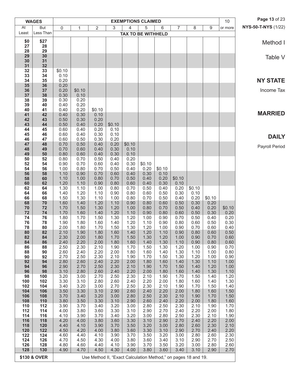|            | <b>WAGES</b> |              |              |                                                                |              |              | <b>EXEMPTIONS CLAIMED</b> |                |                |                |              | 10             | Page 13 of 23       |
|------------|--------------|--------------|--------------|----------------------------------------------------------------|--------------|--------------|---------------------------|----------------|----------------|----------------|--------------|----------------|---------------------|
| At         | <b>But</b>   | 0            | 1            | 2                                                              | 3            | 4            | 5                         | 6              | $\overline{7}$ | 8              | 9            | or more        | NYS-50-T-NYS (1/22) |
| Least      | Less Than    |              |              |                                                                |              |              | <b>TAX TO BE WITHHELD</b> |                |                |                |              |                |                     |
| \$0<br>27  | \$27<br>28   |              |              |                                                                |              |              |                           |                |                |                |              |                | Method I            |
| 28         | 29           |              |              |                                                                |              |              |                           |                |                |                |              |                |                     |
| 29         | 30           |              |              |                                                                |              |              |                           |                |                |                |              |                | Table V             |
| 30<br>31   | 31<br>32     |              |              |                                                                |              |              |                           |                |                |                |              |                |                     |
| 32         | 33           | \$0.10       |              |                                                                |              |              |                           |                |                |                |              |                |                     |
| 33<br>34   | 34           | 0.10<br>0.20 |              |                                                                |              |              |                           |                |                |                |              |                | <b>NY STATE</b>     |
| 35         | 35<br>36     | 0.20         |              |                                                                |              |              |                           |                |                |                |              |                |                     |
| 36         | 37           | 0.20         | \$0.10       |                                                                |              |              |                           |                |                |                |              |                | Income Tax          |
| 37<br>38   | 38<br>39     | 0.30<br>0.30 | 0.10<br>0.20 |                                                                |              |              |                           |                |                |                |              |                |                     |
| 39         | 40           | 0.40         | 0.20         |                                                                |              |              |                           |                |                |                |              |                |                     |
| 40         | 41           | 0.40         | 0.20         | \$0.10                                                         |              |              |                           |                |                |                |              |                | <b>MARRIED</b>      |
| 41<br>42   | 42<br>43     | 0.40<br>0.50 | 0.30<br>0.30 | 0.10<br>0.20                                                   |              |              |                           |                |                |                |              |                |                     |
| 43         | 44           | 0.50         | 0.40         | 0.20                                                           | \$0.10       |              |                           |                |                |                |              |                |                     |
| 44         | 45           | 0.60         | 0.40         | 0.20                                                           | 0.10         |              |                           |                |                |                |              |                |                     |
| 45<br>46   | 46<br>47     | 0.60<br>0.60 | 0.40<br>0.50 | 0.30<br>0.30                                                   | 0.10<br>0.20 |              |                           |                |                |                |              |                | <b>DAILY</b>        |
| 47         | 48           | 0.70         | 0.50         | 0.40                                                           | 0.20         | \$0.10       |                           |                |                |                |              |                | Payroll Period      |
| 48<br>49   | 49<br>50     | 0.70         | 0.60<br>0.60 | 0.40<br>0.40                                                   | 0.30<br>0.30 | 0.10<br>0.10 |                           |                |                |                |              |                |                     |
| 50         | 52           | 0.80<br>0.80 | 0.70         | 0.50                                                           | 0.40         | 0.20         |                           |                |                |                |              |                |                     |
| 52         | 54           | 0.90         | 0.70         | 0.60                                                           | 0.40         | 0.30         | \$0.10                    |                |                |                |              |                |                     |
| 54<br>56   | 56<br>58     | 1.00<br>1.10 | 0.80<br>0.90 | 0.70<br>0.70                                                   | 0.50<br>0.60 | 0.40<br>0.40 | 0.20<br>0.30              | \$0.10<br>0.10 |                |                |              |                |                     |
| 58         | 60           | 1.10         | 1.00         | 0.80                                                           | 0.70         | 0.50         | 0.40                      | 0.20           | \$0.10         |                |              |                |                     |
| 60         | 62           | 1.20         | 1.10         | 0.90                                                           | 0.80         | 0.60         | 0.40                      | 0.30           | 0.10           |                |              |                |                     |
| 62<br>64   | 64<br>66     | 1.30<br>1.40 | 1.10<br>1.20 | 1.00<br>1.10                                                   | 0.80<br>0.90 | 0.70<br>0.80 | 0.50<br>0.60              | 0.40<br>0.50   | 0.20<br>0.30   | \$0.10<br>0.10 |              |                |                     |
| 66         | 68           | 1.50         | 1.30         | 1.10                                                           | 1.00         | 0.80         | 0.70                      | 0.50           | 0.40           | 0.20           | \$0.10       |                |                     |
| 68         | 70           | 1.60         | 1.40         | 1.20                                                           | 1.10         | 0.90         | 0.80                      | 0.60           | 0.50           | 0.30           | 0.20         |                |                     |
| 70<br>72   | 72<br>74     | 1.70<br>1.70 | 1.50<br>1.60 | 1.30<br>1.40                                                   | 1.20<br>1.20 | 1.00<br>1.10 | 0.80<br>0.90              | 0.70<br>0.80   | 0.50<br>0.60   | 0.40<br>0.50   | 0.20<br>0.30 | \$0.10<br>0.20 |                     |
| 74         | 76           | 1.80         | 1.70         | 1.50                                                           | 1.30         | 1.20         | 1.00                      | 0.90           | 0.70           | 0.50           | 0.40         | 0.20           |                     |
| 76<br>78   | 78<br>80     | 1.90<br>2.00 | 1.80<br>1.80 | 1.60<br>1.70                                                   | 1.40<br>1.50 | 1.20<br>1.30 | 1.10<br>1.20              | 0.90<br>1.00   | 0.80<br>0.90   | 0.60<br>0.70   | 0.50<br>0.60 | 0.30<br>0.40   |                     |
| 80         | 82           | 2.10         | 1.90         | 1.80                                                           | 1.60         | 1.40         | 1.20                      | 1.10           | 0.90           | 0.80           | 0.60         | 0.50           |                     |
| 82         | 84           | 2.30         | 2.00         | 1.80                                                           | 1.70         | 1.50         | 1.30                      | 1.20           | 1.00           | 0.90           | 0.70         | 0.60           |                     |
| 84<br>86   | 86<br>88     | 2.40<br>2.50 | 2.20<br>2.30 | 2.00<br>2.10                                                   | 1.80<br>1.90 | 1.60<br>1.70 | 1.40<br>1.50              | 1.30<br>1.30   | 1.10<br>1.20   | 0.90<br>1.00   | 0.80<br>0.90 | 0.60<br>0.70   |                     |
| 88         | 90           | 2.60         | 2.40         | 2.20                                                           | 2.00         | 1.80         | 1.60                      | 1.40           | 1.30           | 1.10           | 1.00         | 0.80           |                     |
| 90         | 92           | 2.70         | 2.50         | 2.30                                                           | 2.10         | 1.90         | 1.70                      | 1.50           | 1.30           | 1.20           | 1.00         | 0.90           |                     |
| 92<br>94   | 94<br>96     | 2.80<br>2.90 | 2.60<br>2.70 | 2.40<br>2.50                                                   | 2.20<br>2.30 | 2.00<br>2.10 | 1.80<br>1.90              | 1.60<br>1.70   | 1.40<br>1.50   | 1.30<br>1.40   | 1.10<br>1.20 | 1.00<br>1.00   |                     |
| 96         | 98           | 3.10         | 2.80         | 2.60                                                           | 2.40         | 2.20         | 2.00                      | 1.80           | 1.60           | 1.40           | 1.30         | 1.10           |                     |
| 98         | 100          | 3.20         | 3.00         | 2.70                                                           | 2.50         | 2.30         | 2.10                      | 1.90           | 1.70           | 1.50           | 1.40         | 1.20           |                     |
| 100<br>102 | 102<br>104   | 3.30<br>3.40 | 3.10<br>3.20 | 2.80<br>3.00                                                   | 2.60<br>2.70 | 2.40<br>2.50 | 2.20<br>2.30              | 2.00<br>2.10   | 1.80<br>1.90   | 1.60<br>1.70   | 1.40<br>1.50 | 1.30<br>1.40   |                     |
| 104        | 106          | 3.50         | 3.30         | 3.10                                                           | 2.90         | 2.60         | 2.40                      | 2.20           | 2.00           | 1.80           | 1.60         | 1.50           |                     |
| 106<br>108 | 108<br>110   | 3.70<br>3.80 | 3.40<br>3.50 | 3.20<br>3.30                                                   | 3.00<br>3.10 | 2.80<br>2.90 | 2.50<br>2.60              | 2.30<br>2.40   | 2.10<br>2.20   | 1.90<br>2.00   | 1.70<br>1.80 | 1.50<br>1.60   |                     |
| 110        | 112          | 3.90         | 3.70         | 3.40                                                           | 3.20         | 3.00         | 2.80                      | 2.50           | 2.30           | 2.10           | 1.90         | 1.70           |                     |
| 112        | 114          | 4.00         | 3.80         | 3.60                                                           | 3.30         | 3.10         | 2.90                      | 2.70           | 2.40           | 2.20           | 2.00         | 1.80           |                     |
| 114<br>116 | 116<br>118   | 4.10<br>4.20 | 3.90<br>4.00 | 3.70<br>3.80                                                   | 3.40<br>3.60 | 3.20<br>3.30 | 3.00<br>3.10              | 2.80<br>2.90   | 2.50<br>2.70   | 2.30<br>2.40   | 2.10<br>2.20 | 1.90<br>2.00   |                     |
| 118        | 120          | 4.40         | 4.10         | 3.90                                                           | 3.70         | 3.50         | 3.20                      | 3.00           | 2.80           | 2.60           | 2.30         | 2.10           |                     |
| 120<br>122 | 122<br>124   | 4.50         | 4.20         | 4.00<br>4.10                                                   | 3.80<br>3.90 | 3.60         | 3.30<br>3.50              | 3.10           | 2.90<br>3.00   | 2.70<br>2.80   | 2.40<br>2.60 | 2.20<br>2.30   |                     |
| 124        | 126          | 4.60<br>4.70 | 4.40<br>4.50 | 4.30                                                           | 4.00         | 3.70<br>3.80 | 3.60                      | 3.20<br>3.40   | 3.10           | 2.90           | 2.70         | 2.50           |                     |
| 126        | 128          | 4.80         | 4.60         | 4.40                                                           | 4.10         | 3.90         | 3.70                      | 3.50           | 3.20           | 3.00           | 2.80         | 2.60           |                     |
| 128        | 130          | 4.90         | 4.70         | 4.50                                                           | 4.30         | 4.00         | 3.80                      | 3.60           | 3.40           | 3.10           | 2.90         | 2.70           |                     |
|            | \$130 & OVER |              |              | Use Method II, "Exact Calculation Method," on pages 18 and 19. |              |              |                           |                |                |                |              |                |                     |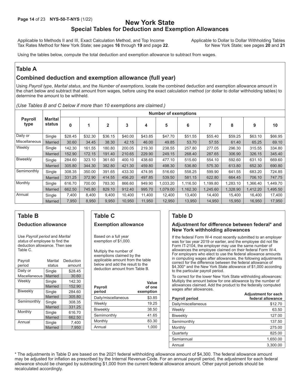# **Page 14** of 23 **NYS-50-T-NYS** (1/22) **New York State Special Tables for Deduction and Exemption Allowances**

Applicable to Methods II and III, Exact Calculation Method, and Top Income<br>Tax Rates Method for New York State; see pages 16 through 19 and page 22. for New York State; see pages 20 and 21 Tax Rates Method for New York State; see pages 16 through 19 and page 22.

Using the tables below, compute the total deduction and exemption allowance to subtract from wages.

### **Table A**

# **Combined deduction and exemption allowance (full year)**

Using *Payroll type*, *Marital status*, and the *Number of exemptions*, locate the combined deduction and exemption allowance amount in the chart below and subtract that amount from wages, before using the exact calculation method (or dollar to dollar withholding tables) to determine the amount to be withheld.

|  |  |  |  |  |  |  |  | (Use Tables B and C below if more than 10 exemptions are claimed.) |  |  |  |
|--|--|--|--|--|--|--|--|--------------------------------------------------------------------|--|--|--|
|--|--|--|--|--|--|--|--|--------------------------------------------------------------------|--|--|--|

|                        |                          |         |         |              |         |         | <b>Number of exemptions</b> |          |          |          |          |          |
|------------------------|--------------------------|---------|---------|--------------|---------|---------|-----------------------------|----------|----------|----------|----------|----------|
| <b>Payroll</b><br>type | <b>Marital</b><br>status | 0       | 1       | $\mathbf{2}$ | 3       | 4       | 5                           | 6        |          | 8        | 9        | 10       |
| Daily or               | Single                   | \$28.45 | \$32.30 | \$36.15      | \$40.00 | \$43.85 | \$47.70                     | \$51.55  | \$55.40  | \$59.25  | \$63.10  | \$66.95  |
| Miscellaneous          | Married                  | 30.60   | 34.45   | 38.30        | 42.15   | 46.00   | 49.85                       | 53.70    | 57.55    | 61.40    | 65.25    | 69.10    |
| Weekly                 | Single                   | 142.30  | 161.55  | 180.80       | 200.05  | 219.30  | 238.55                      | 257.80   | 277.05   | 296.30   | 315.55   | 334.80   |
|                        | <b>Married</b>           | 152.90  | 172.15  | 191.40       | 210.65  | 229.90  | 249.15                      | 268.40   | 287.65   | 306.90   | 326.15   | 345.40   |
| Biweekly               | Single                   | 284.60  | 323.10  | 361.60       | 400.10  | 438.60  | 477.10                      | 515.60   | 554.10   | 592.60   | 631.10   | 669.60   |
|                        | Married                  | 305.80  | 344.30  | 382.80       | 421.30  | 459.80  | 498.30                      | 536.80   | 575.30   | 613.80   | 652.30   | 690.80   |
| Semimonthly            | Single                   | 308.35  | 350.00  | 391.65       | 433.30  | 474.95  | 516.60                      | 558.25   | 599.90   | 641.55   | 683.20   | 724.85   |
|                        | Married                  | 331.25  | 372.90  | 414.55       | 456.20  | 497.85  | 539.50                      | 581.15   | 622.80   | 664.45   | 706.10   | 747.75   |
| Monthly                | Single                   | 616.70  | 700.00  | 783.30       | 866.60  | 949.90  | 1,033.20                    | 1,116.50 | 1,199.80 | 1,283.10 | 1,366.40 | 1,449.70 |
|                        | <b>Married</b>           | 662.50  | 745.80  | 829.10       | 912.40  | 995.70  | 1,079.00                    | 1,162.30 | 1,245.60 | 1,328.90 | 1,412.20 | 1,495.50 |
| Annual                 | Single                   | 7,400   | 8,400   | 9,400        | 10,400  | 11,400  | 12,400                      | 13,400   | 14,400   | 15,400   | 16,400   | 17,400   |
|                        | Married                  | 7,950   | 8,950   | 9,950        | 10,950  | 11,950  | 12,950                      | 13,950   | 14,950   | 15,950   | 16,950   | 17,950   |

## **Table B**

#### **Deduction allowance**

Use *Payroll period* and *Marital status* of employee to find the deduction allowance. Then see Table C.

| Payroll<br>period | Marital<br>status | Deduction<br>amount |
|-------------------|-------------------|---------------------|
| Daily or          | Single            | \$28.45             |
| Miscellaneous     | Married           | 30.60               |
| Weekly            | Single            | 142.30              |
|                   | Married           | 152.90              |
| <b>Biweekly</b>   | Single            | 284.60              |
|                   | Married           | 305.80              |
| Semimonthly       | Single            | 308.35              |
|                   | Married           | 331.25              |
| Monthly           | Single            | 616.70              |
|                   | Married           | 662.50              |
| Annual            | Single            | 7.400               |
|                   | Married           | 7.950               |

# **Table C**

Based on a full year exemption of \$1,000.

**Exemption allowance**

Multiply the number of exemptions claimed by the applicable amount from the table below and add the result to the deduction amount from Table B.

| <b>Payroll</b><br>period | Value<br>of one<br>exemption |
|--------------------------|------------------------------|
| Daily/miscellaneous      | \$3.85                       |
| Weekly                   | 19.25                        |
| <b>Biweekly</b>          | 38.50                        |
| Semimonthly              | 41.65                        |
| Monthly                  | 83.30                        |
| Annual                   | 1.000                        |

## **Table D**

#### **Adjustment for difference between federal\* and New York withholding allowances**

If the federal Form W-4 most recently submitted to an employer was for tax year 2019 or earlier, and the employee did not file Form IT-2104, the employer may use the same number of allowances the employee claimed on their federal Form W-4. For employers who elect to use the federal allowance amounts in computing wages after allowances, the following adjustments correct for the difference between the federal allowance of \$4,300\* and the New York State allowance of \$1,000 according to the particular payroll period.

To correct for the lower New York State withholding allowances: Multiply the amount below for one allowance by the number of allowances claimed. Add the product to the federally computed wages after allowances.

|                     | <b>Adjustment for each</b> |
|---------------------|----------------------------|
| Payroll period      | federal allowance          |
| Daily/miscellaneous | \$12.70                    |
| Weekly              | 63.50                      |
| <b>Biweekly</b>     | 127.00                     |
| Semimonthly         | 137.50                     |
| Monthly             | 275.00                     |
| Quarterly           | 825.00                     |
| Semiannual          | 1,650.00                   |
| Annual              | 3,300.00                   |

\* The adjustments in Table D are based on the 2021 federal withholding allowance amount of \$4,300. The federal allowance amount may be adjusted for inflation as prescribed by the Internal Revenue Code. For an annual payroll period, the adjustment for each federal allowance should be changed by subtracting \$1,000 from the current federal allowance amount. Other payroll periods should be recalculated accordingly.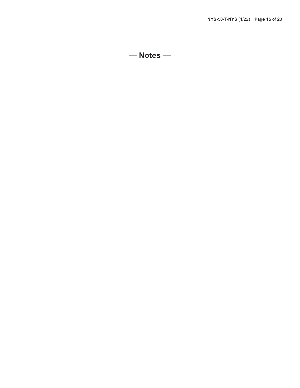**— Notes —**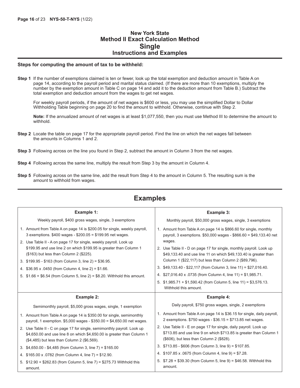### **New York State Method II Exact Calculation Method Single Instructions and Examples**

#### **Steps for computing the amount of tax to be withheld:**

**Step 1** If the number of exemptions claimed is ten or fewer, look up the total exemption and deduction amount in Table A on page 14, according to the payroll period and marital status claimed. (If there are more than 10 exemptions, multiply the number by the exemption amount in Table C on page 14 and add it to the deduction amount from Table B.) Subtract the total exemption and deduction amount from the wages to get net wages.

For weekly payroll periods, if the amount of net wages is \$600 or less, you may use the simplified Dollar to Dollar Withholding Table beginning on page 20 to find the amount to withhold. Otherwise, continue with Step 2.

**Note:** If the annualized amount of net wages is at least \$1,077,550, then you must use Method III to determine the amount to withhold.

- **Step 2** Locate the table on page 17 for the appropriate payroll period. Find the line on which the net wages fall between the amounts in Columns 1 and 2.
- **Step 3** Following across on the line you found in Step 2, subtract the amount in Column 3 from the net wages.
- **Step 4** Following across the same line, multiply the result from Step 3 by the amount in Column 4.
- **Step 5** Following across on the same line, add the result from Step 4 to the amount in Column 5. The resulting sum is the amount to withhold from wages.

| Example 1:                                                                                                                                                                                       | Example 3:                                                                                                                                                                                                  |
|--------------------------------------------------------------------------------------------------------------------------------------------------------------------------------------------------|-------------------------------------------------------------------------------------------------------------------------------------------------------------------------------------------------------------|
| Weekly payroll, \$400 gross wages, single, 3 exemptions                                                                                                                                          | Monthly payroll, \$50,000 gross wages, single, 3 exemptions                                                                                                                                                 |
| 1. Amount from Table A on page 14 is \$200.05 for single, weekly payroll,<br>3 exemptions. \$400 wages - \$200.05 = \$199.95 net wages.                                                          | 1. Amount from Table A on page 14 is \$866.60 for single, monthly<br>payroll, 3 exemptions. \$50,000 wages - \$866.60 = \$49,133.40 net                                                                     |
| 2. Use Table II - A on page 17 for single, weekly payroll. Look up<br>\$199.95 and use line 2 on which \$199.95 is greater than Column 1<br>(\$163) but less than Column 2 (\$225).              | wages.<br>2. Use Table II - D on page 17 for single, monthly payroll. Look up<br>\$49,133.40 and use line 11 on which \$49,133.40 is greater than<br>Column 1 (\$22,117) but less than Column 2 (\$89,796). |
| 3. \$199.95 - \$163 (from Column 3, line 2) = \$36.95.                                                                                                                                           | 3. \$49,133.40 - \$22,117 (from Column 3, line 11) = \$27,016.40.                                                                                                                                           |
| 4. \$36.95 x .0450 (from Column 4, line 2) = \$1.66.<br>5. $$1.66 + $6.54$ (from Column 5, line 2) = \$8.20. Withhold this amount.                                                               | 4. \$27,016.40 x 0735 (from Column 4, line 11) = \$1,985.71.                                                                                                                                                |
|                                                                                                                                                                                                  | 5. $$1,985.71 + $1,590.42$ (from Column 5, line 11) = \$3,576.13.<br>Withhold this amount.                                                                                                                  |
|                                                                                                                                                                                                  |                                                                                                                                                                                                             |
| Example 2:                                                                                                                                                                                       | <b>Example 4:</b>                                                                                                                                                                                           |
| Semimonthly payroll, \$5,000 gross wages, single, 1 exemption                                                                                                                                    | Daily payroll, \$750 gross wages, single, 2 exemptions                                                                                                                                                      |
| 1. Amount from Table A on page 14 is \$350.00 for single, semimonthly<br>payroll, 1 exemption. \$5,000 wages - \$350.00 = \$4,650.00 net wages.                                                  | 1. Amount from Table A on page 14 is \$36.15 for single, daily payroll,<br>2 exemptions. \$750 wages - \$36.15 = \$713.85 net wages.                                                                        |
| 2. Use Table II - C on page 17 for single, semimonthly payroll. Look up<br>\$4,650.00 and use line 8 on which \$4,650.00 is greater than Column 1<br>(\$4,485) but less than Column 2 (\$6,569). | 2. Use Table II - E on page 17 for single, daily payroll. Look up<br>\$713.85 and use line 9 on which \$713.85 is greater than Column 1<br>(\$606), but less than Column 2 (\$828).                         |
| 3. \$4,650.00 - \$4,485 (from Column 3, line 7) = \$165.00                                                                                                                                       | 3. \$713.85 - \$606 (from Column 3, line 9) = \$107.85.                                                                                                                                                     |
| 4. \$165.00 x .0782 (from Column 4, line 7) = \$12.90.                                                                                                                                           | 4. \$107.85 x .0675 (from Column 4, line 9) = \$7.28.                                                                                                                                                       |

# **Examples**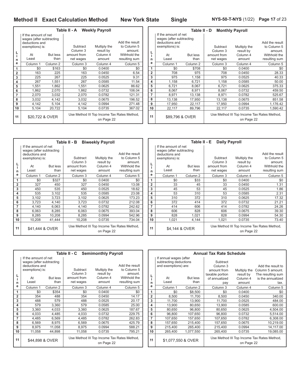**NYS-50-T-NYS** (1/22) **Page 17** of 23

|    |                                                                                       |                     | Table II - A                    | <b>Weekly Payroll</b>                                     |                                          |                |                                                                                       | Ta     |
|----|---------------------------------------------------------------------------------------|---------------------|---------------------------------|-----------------------------------------------------------|------------------------------------------|----------------|---------------------------------------------------------------------------------------|--------|
| L  | If the amount of net<br>wages (after subtracting<br>deductions and<br>exemptions) is: |                     | Subtract<br>Column <sub>3</sub> | Multiply the<br>result by                                 | Add the result<br>to Column 5<br>amount. | L              | If the amount of net<br>wages (after subtracting<br>deductions and<br>exemptions) is: |        |
|    | At                                                                                    | But less            | amount from                     | Column 4                                                  | Withhold the                             |                | At                                                                                    | But le |
| n  | Least                                                                                 | than                | net wages                       | amount                                                    | resulting sum                            | n              | Least                                                                                 | th     |
| е  | Column <sub>1</sub>                                                                   | Column <sub>2</sub> | Column 3                        | Column 4                                                  | Column <sub>5</sub>                      | e              | Column <sub>1</sub>                                                                   | Colum  |
| 1  | \$0                                                                                   | \$163               | \$0                             | 0.0400                                                    | \$0                                      | 1              | \$0                                                                                   | \$7    |
| 2  | 163                                                                                   | 225                 | 163                             | 0.0450                                                    | 6.54                                     | $\overline{2}$ | 708                                                                                   |        |
| 3  | 225                                                                                   | 267                 | 225                             | 0.0525                                                    | 9.31                                     | 3              | 975                                                                                   | 1,1    |
| 4  | 267                                                                                   | 1,551               | 267                             | 0.0585                                                    | 11.54                                    | 4              | 1,158                                                                                 | 6,7    |
| 5  | 1,551                                                                                 | 1,862               | 1.551                           | 0.0625                                                    | 86.62                                    | 5              | 6,721                                                                                 | 8,0    |
| 6  | 1,862                                                                                 | 2,070               | 1.862                           | 0.0732                                                    | 106.04                                   | 6              | 8,067                                                                                 | 8,9    |
| 7  | 2,070                                                                                 | 3,032               | 2,070                           | 0.0782                                                    | 121.31                                   | $\overline{7}$ | 8,971                                                                                 | 13,1   |
| 8  | 3,032                                                                                 | 4,142               | 3,032                           | 0.0675                                                    | 196.52                                   | 8              | 13,138                                                                                | 17,9   |
| 9  | 4,142                                                                                 | 5,104               | 4,142                           | 0.0994                                                    | 271.48                                   | 9              | 17,950                                                                                | 22,7   |
| 10 | 5,104                                                                                 | 20,722              | 5,104                           | 0.0735                                                    | 367.02                                   | 10             | 22,117                                                                                | 89,7   |
| 11 |                                                                                       | \$20,722 & OVER     |                                 | Use Method III Top Income Tax Rates Method,<br>on Page 22 |                                          | 11             | \$89,796 & OVER                                                                       |        |

|                |                          | Table II - D    |                     | <b>Monthly Payroll</b>                      |                     |
|----------------|--------------------------|-----------------|---------------------|---------------------------------------------|---------------------|
|                | If the amount of net     |                 |                     |                                             |                     |
|                | wages (after subtracting |                 |                     |                                             |                     |
|                | deductions and           |                 |                     |                                             | Add the result      |
|                | exemptions) is:          |                 | Subtract            | Multiply the                                | to Column 5         |
| L              |                          |                 | Column 3            | result by                                   | amount.             |
| i              | At                       | <b>But less</b> | amount from         | Column 4                                    | Withhold the        |
| n              | Least                    | than            | net wages           | amount                                      | resulting sum       |
| е              | Column <sub>1</sub>      | Column 2        | Column <sub>3</sub> | Column 4                                    | Column <sub>5</sub> |
| 1              | \$0                      | \$708           | \$0                 | 0.0400                                      | \$0                 |
| $\overline{2}$ | 708                      | 975             | 708                 | 0.0450                                      | 28.33               |
| 3              | 975                      | 1,158           | 975                 | 0.0525                                      | 40.33               |
| 4              | 1,158                    | 6,721           | 1,158               | 0.0585                                      | 50.00               |
| 5              | 6,721                    | 8,067           | 6,721               | 0.0625                                      | 375.33              |
| 6              | 8,067                    | 8,971           | 8,067               | 0.0732                                      | 459.50              |
| 7              | 8,971                    | 13,138          | 8,971               | 0.0782                                      | 525.67              |
| 8              | 13,138                   | 17,950          | 13,138              | 0.0675                                      | 851.58              |
| 9              | 17,950                   | 22,117          | 17,950              | 0.0994                                      | 1,176.42            |
| 10             | 22,117                   | 89,796          | 22,117              | 0.0735                                      | 1,590.42            |
| 11             | \$89,796 & OVER          |                 |                     | Use Method III Top Income Tax Rates Method, |                     |
|                |                          |                 |                     | on Page 22                                  |                     |

|                |                                                                                                      |                         | Table II - B                                                | <b>Biweekly Payroll</b>                                   |                                                                           |                |                                                                                                      | Тε          |
|----------------|------------------------------------------------------------------------------------------------------|-------------------------|-------------------------------------------------------------|-----------------------------------------------------------|---------------------------------------------------------------------------|----------------|------------------------------------------------------------------------------------------------------|-------------|
| L<br>i.<br>n   | If the amount of net<br>wages (after subtracting<br>deductions and<br>exemptions) is:<br>At<br>Least | <b>But less</b><br>than | Subtract<br>Column <sub>3</sub><br>amount from<br>net wages | Multiply the<br>result by<br>Column 4<br>amount           | Add the result<br>to Column 5<br>amount.<br>Withhold the<br>resulting sum | n              | If the amount of net<br>wages (after subtracting<br>deductions and<br>exemptions) is:<br>At<br>Least | But I<br>tl |
| е              | Column <sub>1</sub>                                                                                  | Column 2                | Column 3                                                    | Column 4                                                  | Column 5                                                                  | е              | Column 1                                                                                             | Colun       |
| 1              | \$0                                                                                                  | \$327                   | \$0                                                         | 0.0400                                                    | \$0                                                                       | 1              | \$0                                                                                                  |             |
| $\overline{2}$ | 327                                                                                                  | 450                     | 327                                                         | 0.0450                                                    | 13.08                                                                     | $\overline{2}$ | 33                                                                                                   |             |
| 3              | 450                                                                                                  | 535                     | 450                                                         | 0.0525                                                    | 18.62                                                                     | 3              | 45                                                                                                   |             |
| 4              | 535                                                                                                  | 3,102                   | 535                                                         | 0.0585                                                    | 23.08                                                                     | 4              | 53                                                                                                   |             |
| 5              | 3,102                                                                                                | 3,723                   | 3,102                                                       | 0.0625                                                    | 173.23                                                                    | 5              | 310                                                                                                  |             |
| 6              | 3,723                                                                                                | 4,140                   | 3,723                                                       | 0.0732                                                    | 212.08                                                                    | 6              | 372                                                                                                  |             |
| 7              | 4,140                                                                                                | 6,063                   | 4,140                                                       | 0.0782                                                    | 242.62                                                                    | 7              | 414                                                                                                  |             |
| 8              | 6,063                                                                                                | 8,285                   | 6,063                                                       | 0.0675                                                    | 393.04                                                                    | 8              | 606                                                                                                  |             |
| 9              | 8,285                                                                                                | 10,208                  | 8,285                                                       | 0.0994                                                    | 542.96                                                                    | 9              | 828                                                                                                  | 1,          |
| 10             | 10,208                                                                                               | 41,444                  | 10,208                                                      | 0.0735                                                    | 734.04                                                                    | 10             | 1,021                                                                                                | 4,          |
| 11             |                                                                                                      | \$41.444 & OVER         |                                                             | Use Method III Top Income Tax Rates Method,<br>on Page 22 |                                                                           | 11             | \$4.144 & OVER                                                                                       |             |

|                | Table II - E<br><b>Daily Payroll</b> |                 |                         |                                             |                         |  |  |  |  |  |  |  |  |
|----------------|--------------------------------------|-----------------|-------------------------|---------------------------------------------|-------------------------|--|--|--|--|--|--|--|--|
|                | If the amount of net                 |                 |                         |                                             |                         |  |  |  |  |  |  |  |  |
|                | wages (after subtracting             |                 |                         |                                             |                         |  |  |  |  |  |  |  |  |
|                | deductions and                       |                 |                         |                                             | Add the result          |  |  |  |  |  |  |  |  |
|                | exemptions) is:                      |                 | Subtract                | Multiply the                                | to Column 5             |  |  |  |  |  |  |  |  |
| ۱.<br>i        |                                      | <b>But less</b> | Column 3<br>amount from | result by<br>Column 4                       | amount.<br>Withhold the |  |  |  |  |  |  |  |  |
|                | At<br>Least                          | than            | net wages               | amount                                      | resulting sum           |  |  |  |  |  |  |  |  |
| n<br>e         |                                      |                 |                         |                                             |                         |  |  |  |  |  |  |  |  |
|                | Column <sub>1</sub>                  | Column 2        | Column <sub>3</sub>     | Column 4                                    | Column 5                |  |  |  |  |  |  |  |  |
| 1              | \$0                                  | \$33            | \$0                     | 0.0400                                      | \$0                     |  |  |  |  |  |  |  |  |
| $\overline{2}$ | 33                                   | 45              | 33                      | 0.0450                                      | 1.31                    |  |  |  |  |  |  |  |  |
| 3              | 45                                   | 53              | 45                      | 0.0525                                      | 1.86                    |  |  |  |  |  |  |  |  |
| 4              | 53                                   | 310             | 53                      | 0.0585                                      | 2.31                    |  |  |  |  |  |  |  |  |
| 5              | 310                                  | 372             | 310                     | 0.0625                                      | 17.32                   |  |  |  |  |  |  |  |  |
| 6              | 372                                  | 414             | 372                     | 0.0732                                      | 21.21                   |  |  |  |  |  |  |  |  |
| 7              | 414                                  | 606             | 414                     | 0.0782                                      | 24.26                   |  |  |  |  |  |  |  |  |
| 8              | 606                                  | 828             | 606                     | 0.0675                                      | 39.30                   |  |  |  |  |  |  |  |  |
| 9              | 828                                  | 1,021           | 828                     | 0.0994                                      | 54.30                   |  |  |  |  |  |  |  |  |
| 10             | 1,021                                | 4,144           | 1,021                   | 0.0735                                      | 73.40                   |  |  |  |  |  |  |  |  |
| 11             | \$4,144 & OVER                       |                 |                         | Use Method III Top Income Tax Rates Method, |                         |  |  |  |  |  |  |  |  |
|                |                                      |                 |                         | on Page 22                                  |                         |  |  |  |  |  |  |  |  |

|                       |                                                                                             | Table II - C Semimonthly Payroll |                                     |                                                           | An                                                       |                |                                                                                |          |
|-----------------------|---------------------------------------------------------------------------------------------|----------------------------------|-------------------------------------|-----------------------------------------------------------|----------------------------------------------------------|----------------|--------------------------------------------------------------------------------|----------|
|                       | If the amount of net<br>wages (after subtracting<br>deductions and<br>exemptions) is:<br>At | <b>But less</b>                  | Subtract<br>Column 3<br>amount from | Multiply the<br>result by<br>Column 4                     | Add the result<br>to Column 5<br>amount.<br>Withhold the | ц<br>i.        | If annual wages (after<br>subtracting deductions<br>and exemptions) are:<br>At | But less |
| n                     | Least                                                                                       | than                             | net wages                           | amount                                                    | resulting sum                                            | n              | Least                                                                          | thar     |
| е                     | Column 1                                                                                    | Column <sub>2</sub>              | Column <sub>3</sub>                 | Column 4                                                  | Column <sub>5</sub>                                      | е              | Column 1                                                                       | Column   |
| 1                     | \$0                                                                                         | \$354                            | \$0                                 | 0.0400                                                    | \$0                                                      | 1              | \$0                                                                            | \$8,50   |
| 2                     | 354                                                                                         | 488                              | 354                                 | 0.0450                                                    | 14.17                                                    | $\overline{2}$ | 8,500                                                                          | 11,70    |
| 3                     | 488                                                                                         | 579                              | 488                                 | 0.0525                                                    | 20.17                                                    | 3              | 11,700                                                                         | 13,90    |
| 4                     | 579                                                                                         | 3,360                            | 579                                 | 0.0585                                                    | 25.00                                                    | 4              | 13.900                                                                         | 80,65    |
| 5                     | 3,360                                                                                       | 4,033                            | 3,360                               | 0.0625                                                    | 187.67                                                   | 5              | 80.650                                                                         | 96,80    |
| 6                     | 4,033                                                                                       | 4,485                            | 4,033                               | 0.0732                                                    | 229.75                                                   | 6              | 96,800                                                                         | 107,65   |
| 7                     | 4,485                                                                                       | 6,569                            | 4,485                               | 0.0782                                                    | 262.83                                                   | 7              | 107,650                                                                        | 157,65   |
| 8                     | 6,569                                                                                       | 8,975                            | 6,569                               | 0.0675                                                    | 425.79                                                   | 8              | 157,650                                                                        | 215,40   |
| 9                     | 8,975                                                                                       | 11,058                           | 8,975                               | 0.0994                                                    | 588.21                                                   | 9              | 215,400                                                                        | 265,40   |
| 10                    | 11,058                                                                                      | 44,898                           | 11,058                              | 0.0735                                                    | 795.21                                                   | 10             | 265,400                                                                        | 1,077,55 |
| 11<br>\$44,898 & OVER |                                                                                             |                                  |                                     | Use Method III Top Income Tax Rates Method,<br>on Page 22 |                                                          | 11             | \$1,077,550 & OVER                                                             |          |

|                |                        |                 | <b>Annual Tax Rate Schedule</b>                           |              |                     |  |  |
|----------------|------------------------|-----------------|-----------------------------------------------------------|--------------|---------------------|--|--|
|                | If annual wages (after |                 |                                                           |              |                     |  |  |
|                | subtracting deductions |                 | Subtract                                                  |              |                     |  |  |
|                | and exemptions) are:   |                 | Column 3                                                  |              | Add the result to   |  |  |
|                |                        |                 | amount from                                               | Multiply the | Column 5 amount.    |  |  |
|                |                        |                 | taxable portion                                           | result by    | The resulting sum   |  |  |
| $\frac{L}{i}$  | At                     | <b>But less</b> | of annualized                                             | Column 4     | is the annualized   |  |  |
| n              | Least                  | than            | pay                                                       | amount       | tax.                |  |  |
| e              | Column <sub>1</sub>    | Column 2        | Column 3                                                  | Column 4     | Column <sub>5</sub> |  |  |
| 1              | \$0                    | \$8,500         | \$0                                                       | 0.0400       | \$0                 |  |  |
| $\overline{2}$ | 8,500                  | 11,700          | 8,500                                                     | 0.0450       | 340.00              |  |  |
| 3              | 11,700                 | 13,900          | 11,700                                                    | 0.0525       | 484.00              |  |  |
| 4              | 13,900                 | 80,650          | 13,900                                                    | 0.0585       | 600.00              |  |  |
| 5              | 80,650                 | 96,800          | 80,650                                                    | 0.0625       | 4,504.00            |  |  |
| 6              | 96,800                 | 107,650         | 96.800                                                    | 0.0732       | 5.514.00            |  |  |
| 7              | 107,650                | 157,650         | 107,650                                                   | 0.0782       | 6,308.00            |  |  |
| 8              | 157,650                | 215,400         | 157,650                                                   | 0.0675       | 10,219.00           |  |  |
| 9              | 215,400                | 265,400         | 215.400                                                   | 0.0994       | 14,117.00           |  |  |
| 10             | 265,400                | 1,077,550       | 265,400                                                   | 0.0735       | 19,085.00           |  |  |
| 11             | \$1,077,550 & OVER     |                 | Use Method III Top Income Tax Rates Method,<br>on Page 22 |              |                     |  |  |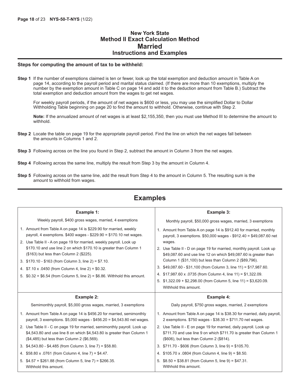### **New York State Method II Exact Calculation Method Married Instructions and Examples**

#### **Steps for computing the amount of tax to be withheld:**

**Step 1** If the number of exemptions claimed is ten or fewer, look up the total exemption and deduction amount in Table A on page 14, according to the payroll period and marital status claimed. (If there are more than 10 exemptions, multiply the number by the exemption amount in Table C on page 14 and add it to the deduction amount from Table B.) Subtract the total exemption and deduction amount from the wages to get net wages.

For weekly payroll periods, if the amount of net wages is \$600 or less, you may use the simplified Dollar to Dollar Withholding Table beginning on page 20 to find the amount to withhold. Otherwise, continue with Step 2.

**Note:** If the annualized amount of net wages is at least \$2,155,350, then you must use Method III to determine the amount to withhold.

- **Step 2** Locate the table on page 19 for the appropriate payroll period. Find the line on which the net wages fall between the amounts in Columns 1 and 2.
- **Step 3** Following across on the line you found in Step 2, subtract the amount in Column 3 from the net wages.
- **Step 4** Following across the same line, multiply the result from Step 3 by the amount in Column 4.
- **Step 5** Following across on the same line, add the result from Step 4 to the amount in Column 5. The resulting sum is the amount to withhold from wages.

| Example 1:                                                                                                                                                                                                                                                                                                                                                                                                                                                                                                                            | Example 3:                                                                                                                                                                                                                                                                                                                                                                                                                                                                                                                                                                                   |
|---------------------------------------------------------------------------------------------------------------------------------------------------------------------------------------------------------------------------------------------------------------------------------------------------------------------------------------------------------------------------------------------------------------------------------------------------------------------------------------------------------------------------------------|----------------------------------------------------------------------------------------------------------------------------------------------------------------------------------------------------------------------------------------------------------------------------------------------------------------------------------------------------------------------------------------------------------------------------------------------------------------------------------------------------------------------------------------------------------------------------------------------|
| Weekly payroll, \$400 gross wages, married, 4 exemptions                                                                                                                                                                                                                                                                                                                                                                                                                                                                              | Monthly payroll, \$50,000 gross wages, married, 3 exemptions                                                                                                                                                                                                                                                                                                                                                                                                                                                                                                                                 |
| 1. Amount from Table A on page 14 is \$229.90 for married, weekly<br>payroll, 4 exemptions. $$400$ wages - $$229.90 = $170.10$ net wages.<br>2. Use Table II - A on page 19 for married, weekly payroll. Look up<br>\$170.10 and use line 2 on which \$170.10 is greater than Column 1<br>(\$163) but less than Column 2 (\$225).<br>3. \$170.10 - \$163 (from Column 3, line 2) = \$7.10.<br>4. $$7.10 \times .0450$ (from Column 4, line 2) = \$0.32.<br>5. $$0.32 + $6.54$ (from Column 5, line 2) = \$6.86. Withhold this amount. | 1. Amount from Table A on page 14 is \$912.40 for married, monthly<br>payroll, 3 exemptions. \$50,000 wages - \$912.40 = \$49,087.60 net<br>wages.<br>2. Use Table II - D on page 19 for married, monthly payroll. Look up<br>\$49,087.60 and use line 12 on which \$49,087.60 is greater than<br>Column 1 (\$31,100) but less than Column 2 (\$89,796).<br>3. \$49,087.60 - \$31,100 (from Column 3, line 11) = \$17,987.60.<br>4. \$17,987.60 x .0735 (from Column 4, line 11) = \$1,322.09.<br>5. $$1,322.09 + $2,298.00$ (from Column 5, line 11) = \$3,620.09.<br>Withhold this amount. |
| <b>Example 2:</b>                                                                                                                                                                                                                                                                                                                                                                                                                                                                                                                     | <b>Example 4:</b>                                                                                                                                                                                                                                                                                                                                                                                                                                                                                                                                                                            |
| Semimonthly payroll, \$5,000 gross wages, married, 3 exemptions                                                                                                                                                                                                                                                                                                                                                                                                                                                                       | Daily payroll, \$750 gross wages, married, 2 exemptions                                                                                                                                                                                                                                                                                                                                                                                                                                                                                                                                      |
| 1. Amount from Table A on page 14 is \$456.20 for married, semimonthly<br>payroll, 3 exemptions. $$5,000$ wages - $$456.20 = $4,543.80$ net wages.                                                                                                                                                                                                                                                                                                                                                                                    | 1. Amount from Table A on page 14 is \$38.30 for married, daily payroll,<br>2 exemptions. \$750 wages - \$38.30 = \$711.70 net wages.                                                                                                                                                                                                                                                                                                                                                                                                                                                        |
| 2. Use Table II - C on page 19 for married, semimonthly payroll. Look up<br>\$4,543.80 and use line 8 on which \$4,543.80 is greater than Column 1<br>(\$4,485) but less than Column 2 (\$6,569).                                                                                                                                                                                                                                                                                                                                     | 2. Use Table II - E on page 19 for married, daily payroll. Look up<br>\$711.70 and use line 9 on which \$711.70 is greater than Column 1<br>(\$606), but less than Column 2 (\$814).                                                                                                                                                                                                                                                                                                                                                                                                         |
|                                                                                                                                                                                                                                                                                                                                                                                                                                                                                                                                       |                                                                                                                                                                                                                                                                                                                                                                                                                                                                                                                                                                                              |
| 3. \$4,543.80 - \$4,485 (from Column 3, line 7) = \$58.80.                                                                                                                                                                                                                                                                                                                                                                                                                                                                            | 3. \$711.70 - \$606 (from Column 3, line 9) = \$105.70.                                                                                                                                                                                                                                                                                                                                                                                                                                                                                                                                      |
| 4. \$58.80 x .0761 (from Column 4, line 7) = \$4.47.                                                                                                                                                                                                                                                                                                                                                                                                                                                                                  | 4. \$105.70 x .0804 (from Column 4, line 9) = \$8.50.                                                                                                                                                                                                                                                                                                                                                                                                                                                                                                                                        |

# **Examples**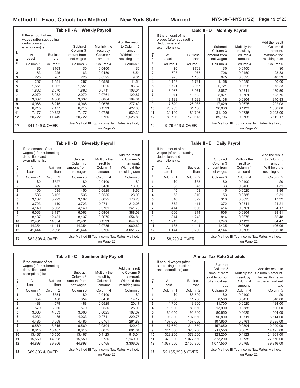٦

|                       |                                                                                             | Table II - A Weekly Payroll |                                                |                                                           |                                                          | Tal            |                                                                                             |         |
|-----------------------|---------------------------------------------------------------------------------------------|-----------------------------|------------------------------------------------|-----------------------------------------------------------|----------------------------------------------------------|----------------|---------------------------------------------------------------------------------------------|---------|
| L                     | If the amount of net<br>wages (after subtracting<br>deductions and<br>exemptions) is:<br>At | <b>But less</b>             | Subtract<br>Column <sub>3</sub><br>amount from | Multiply the<br>result by<br>Column 4                     | Add the result<br>to Column 5<br>amount.<br>Withhold the | L              | If the amount of net<br>wages (after subtracting<br>deductions and<br>exemptions) is:<br>At | But les |
| n                     | Least                                                                                       | than                        | net wages                                      | amount                                                    | resulting sum                                            | n              | Least                                                                                       | tha     |
| е                     | Column <sub>1</sub>                                                                         | Column <sub>2</sub>         | Column 3                                       | Column 4                                                  | Column 5                                                 | e              | Column 1                                                                                    | Columr  |
| 1                     | \$0                                                                                         | \$163                       | \$0                                            | 0.0400                                                    | \$0                                                      | 1              | \$0                                                                                         | \$7     |
| $\overline{2}$        | 163                                                                                         | 225                         | 163                                            | 0.0450                                                    | 6.54                                                     | $\overline{2}$ | 708                                                                                         | 9       |
| 3                     | 225                                                                                         | 267                         | 225                                            | 0.0525                                                    | 9.31                                                     | 3              | 975                                                                                         | 1,1     |
| 4                     | 267                                                                                         | 1.551                       | 267                                            | 0.0585                                                    | 11.54                                                    | 4              | 1,158                                                                                       | 6,7     |
| 5                     | 1,551                                                                                       | 1,862                       | 1,551                                          | 0.0625                                                    | 86.62                                                    | 5              | 6,721                                                                                       | 8,0     |
| 6                     | 1,862                                                                                       | 2,070                       | 1,862                                          | 0.0711                                                    | 106.04                                                   | 6              | 8,067                                                                                       | 8,9     |
| $\overline{7}$        | 2,070                                                                                       | 3,032                       | 2,070                                          | 0.0761                                                    | 120.87                                                   | $\overline{7}$ | 8,971                                                                                       | 13,1    |
| 8                     | 3,032                                                                                       | 4,068                       | 3,032                                          | 0.0804                                                    | 194.04                                                   | 8              | 13,138                                                                                      | 17,6    |
| 9                     | 4,068                                                                                       | 6,215                       | 4,068                                          | 0.0675                                                    | 277.40                                                   | 9              | 17,629                                                                                      | 26,9    |
| 10                    | 6,215                                                                                       | 7,177                       | 6,215                                          | 0.1123                                                    | 422.33                                                   | 10             | 26,933                                                                                      | 31,1    |
| 11                    | 7,177                                                                                       | 20,722                      | 7,177                                          | 0.0735                                                    | 530.31                                                   | 11             | 31,100                                                                                      | 89,7    |
| 12                    | 20,722                                                                                      | 41,449                      | 20,722                                         | 0.0765                                                    | 1,525.88                                                 | 12             | 89,796                                                                                      | 179,6   |
| 13<br>\$41,449 & OVER |                                                                                             |                             |                                                | Use Method III Top Income Tax Rates Method,<br>on Page 22 |                                                          | 13             | \$179,613 & OVER                                                                            |         |

|                | If the amount of net<br>wages (after subtracting |                     |                     |                                                           |                |
|----------------|--------------------------------------------------|---------------------|---------------------|-----------------------------------------------------------|----------------|
|                | deductions and                                   |                     |                     |                                                           | Add the result |
|                | exemptions) is:                                  |                     | Subtract            | Multiply the                                              | to Column 5    |
| L              |                                                  |                     | Column <sub>3</sub> | result by                                                 | amount.        |
| i.             | At                                               | <b>But less</b>     | amount from         | Column 4                                                  | Withhold the   |
| n              | Least                                            | than                | net wages           | amount                                                    | resulting sum  |
| е              | Column 1                                         | Column <sub>2</sub> | Column 3            | Column 4                                                  | Column 5       |
| 1              | \$0                                              | \$708               | \$0                 | 0.0400                                                    | \$0            |
| $\overline{2}$ | 708                                              | 975                 | 708                 | 0.0450                                                    | 28.33          |
| 3              | 975                                              | 1,158               | 975                 | 0.0525                                                    | 40.33          |
| 4              | 1,158                                            | 6,721               | 1,158               | 0.0585                                                    | 50.00          |
| 5              | 6,721                                            | 8,067               | 6,721               | 0.0625                                                    | 375.33         |
| 6              | 8,067                                            | 8,971               | 8,067               | 0.0711                                                    | 459.50         |
| 7              | 8,971                                            | 13,138              | 8,971               | 0.0761                                                    | 523.75         |
| 8              | 13,138                                           | 17,629              | 13,138              | 0.0804                                                    | 840.83         |
| 9              | 17,629                                           | 26,933              | 17,629              | 0.0675                                                    | 1,202.08       |
| 10             | 26,933                                           | 31,100              | 26,933              | 0.1123                                                    | 1,830.08       |
| 11             | 31,100                                           | 89,796              | 31,100              | 0.0735                                                    | 2,298.00       |
| 12             | 89,796                                           | 179.613             | 89,796              | 0.0765                                                    | 6,612.17       |
| 13             | \$179,613 & OVER                                 |                     |                     | Use Method III Top Income Tax Rates Method,<br>on Page 22 |                |

**Table II - D Monthly Payroll**

|              |                                                                                             |                 | Table II - B                                              | <b>Biweekly Payroll</b>               |                                                          |                |                                                                                             | Тε    |
|--------------|---------------------------------------------------------------------------------------------|-----------------|-----------------------------------------------------------|---------------------------------------|----------------------------------------------------------|----------------|---------------------------------------------------------------------------------------------|-------|
|              | If the amount of net<br>wages (after subtracting<br>deductions and<br>exemptions) is:<br>At | <b>But less</b> | Subtract<br>Column <sub>3</sub><br>amount from            | Multiply the<br>result by<br>Column 4 | Add the result<br>to Column 5<br>amount.<br>Withhold the | L              | If the amount of net<br>wages (after subtracting<br>deductions and<br>exemptions) is:<br>At | But I |
| n            | Least                                                                                       | than            | net wages                                                 | amount                                | resulting sum                                            | n              | Least                                                                                       | tl    |
| е            | Column <sub>1</sub>                                                                         | Column 2        | Column 3                                                  | Column 4                              | Column <sub>5</sub>                                      | е              | Column <sub>1</sub>                                                                         | Colun |
| 1            | \$0                                                                                         | \$327           | \$0                                                       | 0.0400                                | \$0                                                      | 1              | \$0                                                                                         |       |
| $\mathbf{2}$ | 327                                                                                         | 450             | 327                                                       | 0.0450                                | 13.08                                                    | $\overline{2}$ | 33                                                                                          |       |
| 3            | 450                                                                                         | 535             | 450                                                       | 0.0525                                | 18.62                                                    | 3              | 45                                                                                          |       |
| 4            | 535                                                                                         | 3,102           | 535                                                       | 0.0585                                | 23.08                                                    | 4              | 53                                                                                          |       |
| 5            | 3,102                                                                                       | 3,723           | 3,102                                                     | 0.0625                                | 173.23                                                   | 5              | 310                                                                                         |       |
| 6            | 3,723                                                                                       | 4,140           | 3,723                                                     | 0.0711                                | 212.08                                                   | 6              | 372                                                                                         |       |
| 7            | 4,140                                                                                       | 6,063           | 4,140                                                     | 0.0761                                | 241.73                                                   | 7              | 414                                                                                         |       |
| 8            | 6,063                                                                                       | 8,137           | 6,063                                                     | 0.0804                                | 388.08                                                   | 8              | 606                                                                                         |       |
| 9            | 8,137                                                                                       | 12,431          | 8,137                                                     | 0.0675                                | 554.81                                                   | 9              | 814                                                                                         | 1,    |
| 10           | 12,431                                                                                      | 14,354          | 12,431                                                    | 0.1123                                | 844.65                                                   | 10             | 1.243                                                                                       | 1.    |
| 11           | 14,354                                                                                      | 41,444          | 14,354                                                    | 0.0735                                | 1,060.62                                                 | 11             | 1,435                                                                                       | 4,    |
| 12           | 41,444                                                                                      | 82,898          | 41.444                                                    | 0.0765                                | 3,051.77                                                 | 12             | 4,144                                                                                       | 8.    |
| 13           |                                                                                             | \$82,898 & OVER | Use Method III Top Income Tax Rates Method,<br>on Page 22 |                                       |                                                          |                | 13<br>\$8,290 & OVER                                                                        |       |

|                |                                                  | Table II - E            | <b>Daily Payroll</b>            |                                                           |                               |
|----------------|--------------------------------------------------|-------------------------|---------------------------------|-----------------------------------------------------------|-------------------------------|
|                | If the amount of net<br>wages (after subtracting |                         |                                 |                                                           | Add the result                |
|                | deductions and<br>exemptions) is:                |                         | Subtract<br>Column <sub>3</sub> | Multiply the<br>result by                                 | to Column 5<br>amount.        |
| L<br>n         | At<br>Least                                      | <b>But less</b><br>than | amount from<br>net wages        | Column <sub>4</sub><br>amount                             | Withhold the<br>resulting sum |
| e              | Column 1                                         | Column <sub>2</sub>     | Column <sub>3</sub>             | Column 4                                                  | Column <sub>5</sub>           |
| 1              | \$0                                              | \$33                    | \$0                             | 0.0400                                                    | \$0                           |
| $\overline{2}$ | 33                                               | 45                      | 33                              | 0.0450                                                    | 1.31                          |
| 3              | 45                                               | 53                      | 45                              | 0.0525                                                    | 1.86                          |
| 4              | 53                                               | 310                     | 53                              | 0.0585                                                    | 2.31                          |
| 5              | 310                                              | 372                     | 310                             | 0.0625                                                    | 17.32                         |
| 6              | 372                                              | 414                     | 372                             | 0.0711                                                    | 21.21                         |
| 7              | 414                                              | 606                     | 414                             | 0.0761                                                    | 24.17                         |
| 8              | 606                                              | 814                     | 606                             | 0.0804                                                    | 38.81                         |
| 9              | 814                                              | 1,243                   | 814                             | 0.0675                                                    | 55.48                         |
| 10             | 1,243                                            | 1,435                   | 1,243                           | 0.1123                                                    | 84.47                         |
| 11             | 1,435                                            | 4,144                   | 1,435                           | 0.0735                                                    | 106.06                        |
| 12             | 4,144                                            | 8,290                   | 4,144                           | 0.0765                                                    | 305.18                        |
| 13             | \$8,290 & OVER                                   |                         |                                 | Use Method III Top Income Tax Rates Method,<br>on Page 22 |                               |

|                |                                                                                       | Table II - C            |                                                           |                                 |                                          | An |                |                                                                          |                         |
|----------------|---------------------------------------------------------------------------------------|-------------------------|-----------------------------------------------------------|---------------------------------|------------------------------------------|----|----------------|--------------------------------------------------------------------------|-------------------------|
|                | If the amount of net<br>wages (after subtracting<br>deductions and<br>exemptions) is: |                         | Subtract                                                  | Multiply the                    | Add the result<br>to Column 5            |    |                | If annual wages (after<br>subtracting deductions<br>and exemptions) are: |                         |
| L<br>n         | At<br>Least                                                                           | <b>But less</b><br>than | Column 3<br>amount from<br>net wages                      | result by<br>Column 4<br>amount | amount.<br>Withhold the<br>resulting sum |    | L<br>n         | At<br>Least                                                              | <b>But less</b><br>thar |
| e              | Column 1                                                                              | Column 2                | Column 3                                                  | Column 4                        | Column <sub>5</sub>                      |    | e              | Column 1                                                                 | Column                  |
| 1              | \$0                                                                                   | \$354                   | \$0                                                       | 0.0400                          | \$0                                      |    | 1              | \$0                                                                      | \$8,50                  |
| $\overline{2}$ | 354                                                                                   | 488                     | 354                                                       | 0.0450                          | 14.17                                    |    | $\overline{2}$ | 8,500                                                                    | 11,70                   |
| 3              | 488                                                                                   | 579                     | 488                                                       | 0.0525                          | 20.17                                    |    | 3              | 11.700                                                                   | 13,90                   |
| 4              | 579                                                                                   | 3,360                   | 579                                                       | 0.0585                          | 25.00                                    |    | 4              | 13,900                                                                   | 80,65                   |
| 5              | 3,360                                                                                 | 4,033                   | 3,360                                                     | 0.0625                          | 187.67                                   |    | 5              | 80,650                                                                   | 96,80                   |
| 6              | 4,033                                                                                 | 4,485                   | 4,033                                                     | 0.0711                          | 229.75                                   |    | 6              | 96,800                                                                   | 107,65                  |
| 7              | 4,485                                                                                 | 6,569                   | 4,485                                                     | 0.0761                          | 261.88                                   |    | 7              | 107,650                                                                  | 157,65                  |
| 8              | 6,569                                                                                 | 8,815                   | 6,569                                                     | 0.0804                          | 420.42                                   |    | 8              | 157,650                                                                  | 211,55                  |
| 9              | 8,815                                                                                 | 13,467                  | 8,815                                                     | 0.0675                          | 601.04                                   |    | 9              | 211,550                                                                  | 323,20                  |
| 10             | 13,467                                                                                | 15,550                  | 13,467                                                    | 0.1123                          | 915.04                                   |    | 10             | 323,200                                                                  | 373,20                  |
| 11             | 15,550                                                                                | 44,898                  | 15,550                                                    | 0.0735                          | 1,149.00                                 |    | 11             | 373,200                                                                  | 1,077,55                |
| 12             | 44,898                                                                                | 89,806                  | 44,898                                                    | 0.0765                          | 3,306.08                                 |    | 12             | 1,077,550                                                                | 2,155,35                |
| 13             |                                                                                       | \$89,806 & OVER         | Use Method III Top Income Tax Rates Method,<br>on Page 22 |                                 |                                          |    | 13             | \$2,155,350 & OVER                                                       |                         |

|                | <b>Annual Tax Rate Schedule</b>                                                |                     |                                                                                    |                                       |                                                                                 |  |  |  |  |  |  |  |  |
|----------------|--------------------------------------------------------------------------------|---------------------|------------------------------------------------------------------------------------|---------------------------------------|---------------------------------------------------------------------------------|--|--|--|--|--|--|--|--|
| ۲<br>۲         | If annual wages (after<br>subtracting deductions<br>and exemptions) are:<br>At | <b>But less</b>     | Subtract<br>Column <sub>3</sub><br>amount from<br>taxable portion<br>of annualized | Multiply the<br>result by<br>Column 4 | Add the result to<br>Column 5 amount.<br>The resulting sum<br>is the annualized |  |  |  |  |  |  |  |  |
| n              | Least                                                                          | than                | pay                                                                                | amount                                | tax.                                                                            |  |  |  |  |  |  |  |  |
| e              | Column <sub>1</sub>                                                            | Column <sub>2</sub> | Column <sub>3</sub>                                                                | Column 4                              | Column <sub>5</sub>                                                             |  |  |  |  |  |  |  |  |
| 1              | \$0                                                                            | \$8,500             | \$0                                                                                | 0.0400                                | \$0                                                                             |  |  |  |  |  |  |  |  |
| $\overline{2}$ | 8,500                                                                          | 11,700              | 8,500                                                                              | 0.0450                                | 340.00                                                                          |  |  |  |  |  |  |  |  |
| 3              | 11,700<br>13,900                                                               |                     | 11,700                                                                             | 0.0525                                | 484.00                                                                          |  |  |  |  |  |  |  |  |
| 4              | 13,900                                                                         | 80,650              | 13,900                                                                             | 0.0585                                | 600.00                                                                          |  |  |  |  |  |  |  |  |
| 5              | 80,650                                                                         | 96,800              | 80,650                                                                             | 0.0625                                | 4,504.00                                                                        |  |  |  |  |  |  |  |  |
| 6              | 96,800                                                                         | 107,650             | 96,800                                                                             | 0.0711                                | 5,514.00                                                                        |  |  |  |  |  |  |  |  |
| 7              | 107,650                                                                        | 157,650             | 107,650                                                                            | 0.0761                                | 6,285.00                                                                        |  |  |  |  |  |  |  |  |
| 8              | 157,650                                                                        | 211,550             | 157,650                                                                            | 0.0804                                | 10,090.00                                                                       |  |  |  |  |  |  |  |  |
| 9              | 211,550                                                                        | 323,200             | 211,550                                                                            | 0.0675                                | 14,425.00                                                                       |  |  |  |  |  |  |  |  |
| 10             | 323,200                                                                        | 373,200             | 323,200                                                                            | 0.1123                                | 21,961.00                                                                       |  |  |  |  |  |  |  |  |
| 11             | 373,200                                                                        | 1,077,550           | 373,200                                                                            | 0.0735                                | 27,576.00                                                                       |  |  |  |  |  |  |  |  |
| 12             | 1,077,550                                                                      | 2,155,350           | 1,077,550                                                                          | 0.0765                                | 79,346.00                                                                       |  |  |  |  |  |  |  |  |
| 13             |                                                                                | \$2,155,350 & OVER  | Use Method III Top Income Tax Rates Method,<br>on Page 22                          |                                       |                                                                                 |  |  |  |  |  |  |  |  |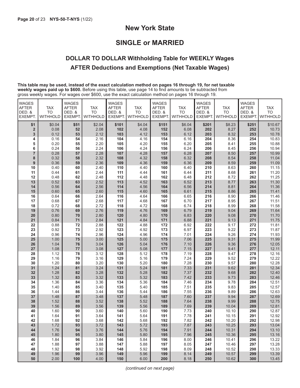# **New York State**

# **SINGLE or MARRIED**

# **DOLLAR TO DOLLAR Withholding Table for WEEKLY Wages AFTER Deductions and Exemptions (Net Taxable Wages)**

**This table may be used, instead of the exact calculation method on pages 16 through 19, for net taxable weekly wages paid up to \$600.** Before using this table, use page 14 to find amounts to be subtracted from gross weekly wages. For wages over \$600, use the exact calculation method on pages 16 through 19.

| <b>WAGES</b><br><b>AFTER</b><br>DED. &<br>EXEMPT. | <b>TAX</b><br><b>TO</b><br><b>WITHHOLD</b> | <b>WAGES</b><br><b>AFTER</b><br>DED. &<br>EXEMPT. | <b>TAX</b><br><b>TO</b><br><b>WITHHOLD</b> | <b>WAGES</b><br><b>AFTER</b><br>DED. &<br><b>EXEMPT</b> | <b>TAX</b><br><b>TO</b><br><b>WITHHOLD</b> | <b>WAGES</b><br><b>AFTER</b><br>DED. &<br>EXEMPT. | <b>TAX</b><br><b>TO</b><br>WITHHOLD | <b>WAGES</b><br><b>AFTER</b><br>DED. &<br>EXEMPT. | <b>TAX</b><br><b>TO</b><br><b>WITHHOLD</b> | <b>WAGES</b><br><b>AFTER</b><br>DED. &<br>EXEMPT. | <b>TAX</b><br><b>TO</b><br><b>WITHHOLD</b> |
|---------------------------------------------------|--------------------------------------------|---------------------------------------------------|--------------------------------------------|---------------------------------------------------------|--------------------------------------------|---------------------------------------------------|-------------------------------------|---------------------------------------------------|--------------------------------------------|---------------------------------------------------|--------------------------------------------|
| \$1                                               | \$0.04                                     | \$51                                              | \$2.04                                     | \$101                                                   | \$4.04                                     | \$151                                             | \$6.04                              | \$201                                             | \$8.23                                     | \$251                                             | \$10.67                                    |
| $\overline{\mathbf{2}}$                           | 0.08                                       | 52                                                | 2.08                                       | 102                                                     | 4.08                                       | 152                                               | 6.08                                | 202                                               | 8.27                                       | 252                                               | 10.73                                      |
| 3                                                 | 0.12                                       | 53                                                | 2.12                                       | 103                                                     | 4.12                                       | 153                                               | 6.12                                | 203                                               | 8.32                                       | 253                                               | 10.78                                      |
| 4                                                 | 0.16                                       | 54                                                | 2.16                                       | 104                                                     | 4.16                                       | 154                                               | 6.16                                | 204                                               | 8.36                                       | 254                                               | 10.83                                      |
| 5                                                 | 0.20                                       | 55                                                | 2.20                                       | 105                                                     | 4.20                                       | 155                                               | 6.20                                | 205                                               | 8.41                                       | 255                                               | 10.88                                      |
| 6                                                 | 0.24                                       | 56                                                | 2.24                                       | 106                                                     | 4.24                                       | 156                                               | 6.24                                | 206                                               | 8.45                                       | 256                                               | 10.94                                      |
| $\overline{7}$                                    | 0.28                                       | 57                                                | 2.28                                       | 107                                                     | 4.28                                       | 157                                               | 6.28                                | 207                                               | 8.50                                       | 257                                               | 10.99                                      |
| 8                                                 | 0.32                                       | 58                                                | 2.32                                       | 108                                                     | 4.32                                       | 158                                               | 6.32                                | 208                                               | 8.54                                       | 258                                               | 11.04                                      |
| 9                                                 | 0.36                                       | 59                                                | 2.36                                       | 109                                                     | 4.36                                       | 159                                               | 6.36                                | 209                                               | 8.59                                       | 259                                               | 11.09                                      |
| 10                                                | 0.40                                       | 60                                                | 2.40                                       | 110                                                     | 4.40                                       | 160                                               | 6.40                                | 210                                               | 8.63                                       | 260                                               | 11.15                                      |
| 11                                                | 0.44                                       | 61                                                | 2.44                                       | 111                                                     | 4.44                                       | 161                                               | 6.44                                | 211                                               | 8.68                                       | 261                                               | 11.20                                      |
| 12                                                | 0.48                                       | 62<br>63                                          | 2.48<br>2.52                               | 112                                                     | 4.48                                       | 162<br>163                                        | 6.48<br>6.52                        | 212<br>213                                        | 8.72                                       | 262                                               | 11.25                                      |
| 13<br>14                                          | 0.52<br>0.56                               | 64                                                | 2.56                                       | 113<br>114                                              | 4.52<br>4.56                               | 164                                               | 6.56                                | 214                                               | 8.77<br>8.81                               | 263<br>264                                        | 11.30<br>11.36                             |
| 15                                                | 0.60                                       | 65                                                | 2.60                                       | 115                                                     | 4.60                                       | 165                                               | 6.61                                | 215                                               | 8.86                                       | 265                                               | 11.41                                      |
| 16                                                | 0.64                                       | 66                                                | 2.64                                       | 116                                                     | 4.64                                       | 166                                               | 6.65                                | 216                                               | 8.90                                       | 266                                               | 11.46                                      |
| 17                                                | 0.68                                       | 67                                                | 2.68                                       | 117                                                     | 4.68                                       | 167                                               | 6.70                                | 217                                               | 8.95                                       | 267                                               | 11.51                                      |
| 18                                                | 0.72                                       | 68                                                | 2.72                                       | 118                                                     | 4.72                                       | 168                                               | 6.74                                | 218                                               | 8.99                                       | 268                                               | 11.58                                      |
| 19                                                | 0.76                                       | 69                                                | 2.76                                       | 119                                                     | 4.76                                       | 169                                               | 6.79                                | 219                                               | 9.04                                       | 269                                               | 11.64                                      |
| 20                                                | 0.80                                       | 70                                                | 2.80                                       | 120                                                     | 4.80                                       | 170                                               | 6.83                                | 220                                               | 9.08                                       | 270                                               | 11.70                                      |
| 21                                                | 0.84                                       | 71                                                | 2.84                                       | 121                                                     | 4.84                                       | 171                                               | 6.88                                | 221                                               | 9.13                                       | 271                                               | 11.75                                      |
| 22                                                | 0.88                                       | 72                                                | 2.88                                       | 122                                                     | 4.88                                       | 172                                               | 6.92                                | 222                                               | 9.17                                       | 272                                               | 11.81                                      |
| 23                                                | 0.92                                       | 73                                                | 2.92                                       | 123                                                     | 4.92                                       | 173                                               | 6.97                                | 223                                               | 9.22                                       | 273                                               | 11.87                                      |
| 24                                                | 0.96                                       | 74                                                | 2.96                                       | 124                                                     | 4.96                                       | 174                                               | 7.01                                | 224                                               | 9.26                                       | 274                                               | 11.93                                      |
| 25                                                | 1.00                                       | 75                                                | 3.00                                       | 125                                                     | 5.00                                       | 175                                               | 7.06                                | 225                                               | 9.31                                       | 275                                               | 11.99                                      |
| 26                                                | 1.04                                       | 76                                                | 3.04                                       | 126                                                     | 5.04                                       | 176                                               | 7.10                                | 226                                               | 9.36                                       | 276                                               | 12.05                                      |
| 27                                                | 1.08                                       | 77                                                | 3.08<br>3.12                               | 127                                                     | 5.08                                       | 177                                               | 7.15                                | 227<br>228                                        | 9.41                                       | 277                                               | 12.11<br>12.16                             |
| 28<br>29                                          | 1.12<br>1.16                               | 78<br>79                                          | 3.16                                       | 128<br>129                                              | 5.12<br>5.16                               | 178<br>179                                        | 7.19<br>7.24                        | 229                                               | 9.47<br>9.52                               | 278<br>279                                        | 12.22                                      |
| 30                                                | 1.20                                       | 80                                                | 3.20                                       | 130                                                     | 5.20                                       | 180                                               | 7.28                                | 230                                               | 9.57                                       | 280                                               | 12.28                                      |
| 31                                                | 1.24                                       | 81                                                | 3.24                                       | 131                                                     | 5.24                                       | 181                                               | 7.33                                | 231                                               | 9.62                                       | 281                                               | 12.34                                      |
| 32                                                | 1.28                                       | 82                                                | 3.28                                       | 132                                                     | 5.28                                       | 182                                               | 7.37                                | 232                                               | 9.68                                       | 282                                               | 12.40                                      |
| 33                                                | 1.32                                       | 83                                                | 3.32                                       | 133                                                     | 5.32                                       | 183                                               | 7.42                                | 233                                               | 9.73                                       | 283                                               | 12.46                                      |
| 34                                                | 1.36                                       | 84                                                | 3.36                                       | 134                                                     | 5.36                                       | 184                                               | 7.46                                | 234                                               | 9.78                                       | 284                                               | 12.51                                      |
| 35                                                | 1.40                                       | 85                                                | 3.40                                       | 135                                                     | 5.40                                       | 185                                               | 7.51                                | 235                                               | 9.83                                       | 285                                               | 12.57                                      |
| 36                                                | 1.44                                       | 86                                                | 3.44                                       | 136                                                     | 5.44                                       | 186                                               | 7.55                                | 236                                               | 9.89                                       | 286                                               | 12.63                                      |
| 37                                                | 1.48                                       | 87                                                | 3.48                                       | 137                                                     | 5.48                                       | 187                                               | 7.60                                | 237                                               | 9.94                                       | 287                                               | 12.69                                      |
| 38                                                | 1.52                                       | 88                                                | 3.52                                       | 138                                                     | 5.52                                       | 188                                               | 7.64                                | 238                                               | 9.99                                       | 288                                               | 12.75                                      |
| 39                                                | 1.56                                       | 89                                                | 3.56                                       | 139                                                     | 5.56                                       | 189                                               | 7.69                                | 239                                               | 10.04                                      | 289                                               | 12.81                                      |
| 40<br>41                                          | 1.60                                       | 90<br>91                                          | 3.60<br>3.64                               | 140<br>141                                              | 5.60                                       | 190<br>191                                        | 7.73                                | 240                                               | 10.10                                      | 290<br>291                                        | 12.87                                      |
| 42                                                | 1.64<br>1.68                               | 92                                                | 3.68                                       | 142                                                     | 5.64<br>5.68                               | 192                                               | 7.78<br>7.82                        | 241<br>242                                        | 10.15<br>10.20                             | 292                                               | 12.92<br>12.98                             |
| 43                                                | 1.72                                       | 93                                                | 3.72                                       | 143                                                     | 5.72                                       | 193                                               | 7.87                                | 243                                               | 10.25                                      | 293                                               | 13.04                                      |
| 44                                                | 1.76                                       | 94                                                | 3.76                                       | 144                                                     | 5.76                                       | 194                                               | 7.91                                | 244                                               | 10.31                                      | 294                                               | 13.10                                      |
| 45                                                | 1.80                                       | 95                                                | 3.80                                       | 145                                                     | 5.80                                       | 195                                               | 7.96                                | 245                                               | 10.36                                      | 295                                               | 13.16                                      |
| 46                                                | 1.84                                       | 96                                                | 3.84                                       | 146                                                     | 5.84                                       | 196                                               | 8.00                                | 246                                               | 10.41                                      | 296                                               | 13.22                                      |
| 47                                                | 1.88                                       | 97                                                | 3.88                                       | 147                                                     | 5.88                                       | 197                                               | 8.05                                | 247                                               | 10.46                                      | 297                                               | 13.28                                      |
| 48                                                | 1.92                                       | 98                                                | 3.92                                       | 148                                                     | 5.92                                       | 198                                               | 8.09                                | 248                                               | 10.52                                      | 298                                               | 13.33                                      |
| 49                                                | 1.96                                       | 99                                                | 3.96                                       | 149                                                     | 5.96                                       | 199                                               | 8.14                                | 249                                               | 10.57                                      | 299                                               | 13.39                                      |
| 50                                                | 2.00                                       | 100                                               | 4.00                                       | 150                                                     | 6.00                                       | 200                                               | 8.18                                | 250                                               | 10.62                                      | 300                                               | 13.45                                      |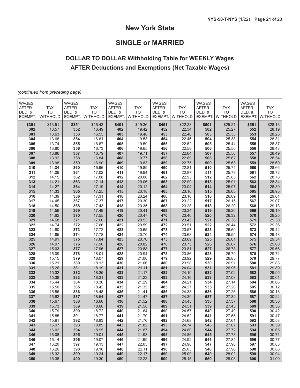# **New York State**

# **SINGLE or MARRIED**

# **DOLLAR TO DOLLAR Withholding Table for WEEKLY Wages AFTER Deductions and Exemptions (Net Taxable Wages)**

*(continued from preceding page)*

| <b>WAGES</b> |            | <b>WAGES</b>  |                | <b>WAGES</b>  |                 | <b>WAGES</b>  |                 | WAGES         |                | <b>WAGES</b> |                         |
|--------------|------------|---------------|----------------|---------------|-----------------|---------------|-----------------|---------------|----------------|--------------|-------------------------|
| <b>AFTER</b> | <b>TAX</b> | <b>AFTER</b>  | <b>TAX</b>     | <b>AFTER</b>  | <b>TAX</b>      | <b>AFTER</b>  | <b>TAX</b>      | <b>AFTER</b>  | <b>TAX</b>     | <b>AFTER</b> | <b>TAX</b><br><b>TO</b> |
| DED. &       | <b>TO</b>  | DED. &        | <b>TO</b>      | DED. &        | <b>TO</b>       | DED. &        | <b>TO</b>       | DED. &        | <b>TO</b>      | DED. &       |                         |
| EXEMPT.      | WITHHOLD   | <b>EXEMPT</b> | WITHHOLD       | <b>EXEMPT</b> | <b>WITHHOLD</b> | <b>EXEMPT</b> | <b>WITHHOLD</b> | <b>EXEMPT</b> | WITHHOLD       | EXEMPT.      | WITHHOLD                |
| \$301        | \$13.51    | \$351         | \$16.43        | \$401         | \$19.36         | \$451         | \$22.28         | \$501         | \$25.21        | \$551        | \$28.13                 |
| 302          | 13.57      | 352           | 16.49          | 402           | 19.42           | 452           | 22.34           | 502           | 25.27          | 552          | 28.19                   |
| 303          | 13.63      | 353           | 16.55          | 403           | 19.48           | 453           | 22.40           | 503           | 25.33          | 553          | 28.25                   |
| 304          | 13.68      | 354           | 16.61          | 404           | 19.53           | 454           | 22.46           | 504           | 25.38          | 554          | 28.31                   |
| 305          | 13.74      | 355           | 16.67          | 405           | 19.59           | 455           | 22.52           | 505           | 25.44          | 555          | 28.37                   |
| 306          | 13.80      | 356           | 16.73          | 406           | 19.65           | 456           | 22.58           | 506           | 25.50          | 556          | 28.43                   |
| 307          | 13.86      | 357           | 16.79          | 407           | 19.71           | 457           | 22.64           | 507           | 25.56          | 557          | 28.49                   |
| 308          | 13.92      | 358           | 16.84          | 408           | 19.77           | 458           | 22.69           | 508           | 25.62          | 558          | 28.54                   |
|              |            | 359           |                | 409           |                 |               |                 |               |                |              |                         |
| 309          | 13.98      |               | 16.90          |               | 19.83           | 459           | 22.75           | 509           | 25.68          | 559          | 28.60                   |
| 310          | 14.04      | 360           | 16.96          | 410           | 19.89           | 460           | 22.81           | 510           | 25.74          | 560          | 28.66                   |
| 311          | 14.09      | 361           | 17.02          | 411           | 19.94           | 461           | 22.87           | 511           | 25.79          | 561          | 28.72                   |
| 312          | 14.15      | 362           | 17.08          | 412           | 20.00           | 462           | 22.93           | 512           | 25.85          | 562          | 28.78                   |
| 313          | 14.21      | 363           | 17.14          | 413           | 20.06           | 463           | 22.99           | 513           | 25.91          | 563          | 28.84                   |
| 314          | 14.27      | 364           | 17.19          | 414           | 20.12           | 464           | 23.04           | 514           | 25.97          | 564          | 28.89                   |
| 315          | 14.33      | 365           | 17.25          | 415           | 20.18           | 465           | 23.10           | 515           | 26.03          | 565          | 28.95                   |
| 316          | 14.39      | 366           | 17.31          | 416           | 20.24           | 466           | 23.16           | 516           | 26.09          | 566          | 29.01                   |
| 317          | 14.45      | 367           | 17.37          | 417           | 20.30           | 467           | 23.22           | 517           | 26.15          | 567          | 29.07                   |
| 318          | 14.50      | 368           | 17.43          | 418           | 20.35           | 468           | 23.28           | 518           | 26.20          | 568          | 29.13                   |
| 319          | 14.56      | 369           | 17.49          | 419           | 20.41           | 469           | 23.34           | 519           | 26.26          | 569          | 29.19                   |
| 320          | 14.62      | 370           | 17.55          | 420           | 20.47           | 470           | 23.40           | 520           | 26.32          | 570          | 29.25                   |
| 321          | 14.68      | 371           | 17.60          | 421           | 20.53           | 471           | 23.45           | 521           | 26.38          | 571          | 29.30                   |
| 322          | 14.74      | 372           | 17.66          | 422           | 20.59           | 472           | 23.51           | 522           | 26.44          | 572          | 29.36                   |
| 323          | 14.80      | 373           | 17.72          | 423           | 20.65           | 473           | 23.57           | 523           | 26.50          | 573          | 29.42                   |
| 324          | 14.85      | 374           | 17.78          | 424           | 20.70           | 474           | 23.63           | 524           | 26.55          | 574          | 29.48                   |
| 325          | 14.91      | 375           | 17.84          | 425           | 20.76           | 475           | 23.69           | 525           | 26.61          | 575          | 29.54                   |
| 326          | 14.97      | 376           | 17.90          | 426           | 20.82           | 476           | 23.75           | 526           | 26.67          | 576          | 29.60                   |
| 327          | 15.03      | 377           | 17.96          | 427           | 20.88           | 477           | 23.81           | 527           | 26.73          | 577          | 29.66                   |
| 328          | 15.09      | 378           | 18.01          | 428           | 20.94           | 478           | 23.86           | 528           | 26.79          | 578          | 29.71                   |
| 329          | 15.15      | 379           | 18.07          | 429           | 21.00           | 479           | 23.92           | 529           | 26.85          | 579          | 29.77                   |
| 330          | 15.21      | 380           | 18.13          | 430           | 21.06           | 480           | 23.98           | 530           | 26.91          | 580          | 29.83                   |
| 331          | 15.26      | 381           | 18.19          | 431           | 21.11           | 481           | 24.04           | 531           | 26.96          | 581          | 29.89                   |
| 332          | 15.32      | 382           | 18.25          | 432           | 21.17           | 482           | 24.10           | 532           | 27.02          | 582          | 29.95                   |
| 333          | 15.38      | 383           | 18.31          | 433           | 21.23           | 483           | 24.16           | 533           | 27.08          | 583          | 30.01                   |
| 334          | 15.44      | 384           | 18.36          | 434           | 21.29           | 484           | 24.21           | 534           | 27.14          | 584          | 30.06                   |
| 335          | 15.50      | 385           | 18.42          | 435           | 21.35           | 485           | 24.27           | 535           | 27.20          | 585          | 30.12                   |
| 336          | 15.56      | 386           | 18.48          | 436           | 21.41           | 486           | 24.33           | 536           | 27.26          | 586          | 30.18                   |
| 337          | 15.62      | 387           | 18.54          | 437           | 21.47           | 487           | 24.39           | 537           | 27.32          | 587          | 30.24                   |
| 338          | 15.67      | 388           | 18.60          | 438           | 21.52           | 488           | 24.45           | 538           | 27.37          | 588          | 30.30                   |
| 339          | 15.73      | 389           | 18.66          | 439           | 21.58           | 489           | 24.51           | 539           | 27.43          | 589          | 30.36                   |
| 340          | 15.79      | 390           | 18.72          | 440           | 21.64           | 490           | 24.57           | 540           | 27.49          | 590          | 30.42                   |
| 341          | 15.85      | 391           | 18.77          | 441           | 21.70           | 491           | 24.62           | 541           | 27.55          | 591          | 30.47                   |
| 342          | 15.91      | 392           |                | 442           |                 | 492           |                 | 542           |                | 592          | 30.53                   |
| 343          | 15.97      | 393           | 18.83<br>18.89 | 443           | 21.76<br>21.82  | 493           | 24.68<br>24.74  | 543           | 27.61<br>27.67 | 593          | 30.59                   |
|              |            |               |                |               |                 |               |                 |               |                |              |                         |
| 344          | 16.02      | 394           | 18.95          | 444           | 21.87           | 494           | 24.80           | 544           | 27.72          | 594          | 30.65                   |
| 345          | 16.08      | 395           | 19.01          | 445           | 21.93           | 495           | 24.86           | 545           | 27.78          | 595          | 30.71                   |
| 346          | 16.14      | 396           | 19.07          | 446           | 21.99           | 496           | 24.92           | 546           | 27.84          | 596          | 30.77                   |
| 347          | 16.20      | 397           | 19.13          | 447           | 22.05           | 497           | 24.98           | 547           | 27.90          | 597          | 30.83                   |
| 348          | 16.26      | 398           | 19.18          | 448           | 22.11           | 498           | 25.03           | 548           | 27.96          | 598          | 30.88                   |
| 349          | 16.32      | 399           | 19.24          | 449           | 22.17           | 499           | 25.09           | 549           | 28.02          | 599          | 30.94                   |
| 350          | 16.38      | 400           | 19.30          | 450           | 22.23           | 500           | 25.15           | 550           | 28.08          | 600          | 31.00                   |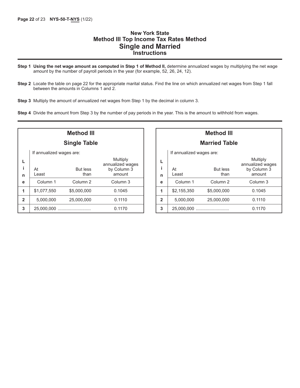## **New York State Method III Top Income Tax Rates Method Single and Married Instructions**

- **Step 1 Using the net wage amount as computed in Step 1 of Method II,** determine annualized wages by multiplying the net wage amount by the number of payroll periods in the year (for example, 52, 26, 24, 12).
- **Step 2** Locate the table on page 22 for the appropriate marital status. Find the line on which annualized net wages from Step 1 fall between the amounts in Columns 1 and 2.
- **Step 3** Multiply the amount of annualized net wages from Step 1 by the decimal in column 3.
- **Step 4** Divide the amount from Step 3 by the number of pay periods in the year. This is the amount to withhold from wages.

| <b>Method III</b>   |                          |                     |                                 |  |  |
|---------------------|--------------------------|---------------------|---------------------------------|--|--|
| <b>Single Table</b> |                          |                     |                                 |  |  |
|                     | If annualized wages are: |                     |                                 |  |  |
|                     |                          |                     | Multiply                        |  |  |
| i                   | At                       | <b>But less</b>     | annualized wages<br>by Column 3 |  |  |
| n                   | I east                   | than                | amount                          |  |  |
| е                   | Column <sub>1</sub>      | Column <sub>2</sub> | Column <sub>3</sub>             |  |  |
| 1                   | \$1,077,550              | \$5,000,000         | 0.1045                          |  |  |
| $\overline{2}$      | 5,000,000                | 25,000,000          | 0.1110                          |  |  |
| 3                   | 25,000,000               |                     | 0.1170                          |  |  |

| <b>Method III</b>        |             |                     |                              |  |  |
|--------------------------|-------------|---------------------|------------------------------|--|--|
| <b>Married Table</b>     |             |                     |                              |  |  |
| If annualized wages are: |             |                     |                              |  |  |
| L                        |             |                     | Multiply<br>annualized wages |  |  |
| i                        | At          | <b>But less</b>     | by Column 3                  |  |  |
| n                        | Least       | than                | amount                       |  |  |
| e                        | Column 1    | Column <sub>2</sub> | Column 3                     |  |  |
| 1                        | \$2,155,350 | \$5,000,000         | 0.1045                       |  |  |
| $\mathbf{2}$             | 5,000,000   | 25,000,000          | 0.1110                       |  |  |
| 3                        | 25,000,000  |                     | 0.1170                       |  |  |